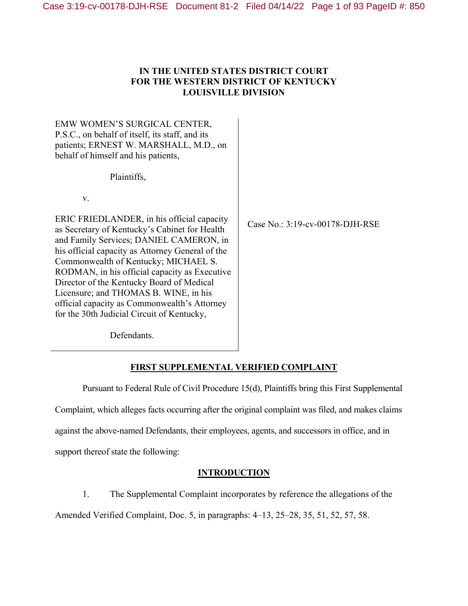# **IN THE UNITED STATES DISTRICT COURT FOR THE WESTERN DISTRICT OF KENTUCKY LOUISVILLE DIVISION**

EMW WOMEN'S SURGICAL CENTER, P.S.C., on behalf of itself, its staff, and its patients; ERNEST W. MARSHALL, M.D., on behalf of himself and his patients,

Plaintiffs,

v.

ERIC FRIEDLANDER, in his official capacity as Secretary of Kentucky's Cabinet for Health and Family Services; DANIEL CAMERON, in his official capacity as Attorney General of the Commonwealth of Kentucky; MICHAEL S. RODMAN, in his official capacity as Executive Director of the Kentucky Board of Medical Licensure; and THOMAS B. WINE, in his official capacity as Commonwealth's Attorney for the 30th Judicial Circuit of Kentucky,

Case No.: 3:19-cv-00178-DJH-RSE

Defendants.

# **FIRST SUPPLEMENTAL VERIFIED COMPLAINT**

Pursuant to Federal Rule of Civil Procedure 15(d), Plaintiffs bring this First Supplemental Complaint, which alleges facts occurring after the original complaint was filed, and makes claims against the above-named Defendants, their employees, agents, and successors in office, and in support thereof state the following:

# **INTRODUCTION**

1. The Supplemental Complaint incorporates by reference the allegations of the Amended Verified Complaint, Doc. 5, in paragraphs: 4–13, 25–28, 35, 51, 52, 57, 58.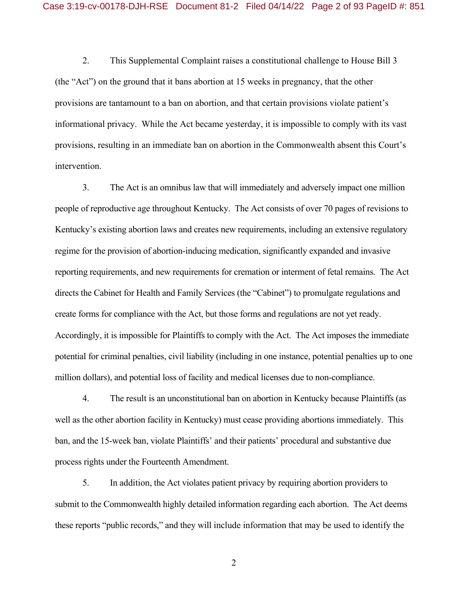2. This Supplemental Complaint raises a constitutional challenge to House Bill 3 (the "Act") on the ground that it bans abortion at 15 weeks in pregnancy, that the other provisions are tantamount to a ban on abortion, and that certain provisions violate patient's informational privacy. While the Act became yesterday, it is impossible to comply with its vast provisions, resulting in an immediate ban on abortion in the Commonwealth absent this Court's intervention.

3. The Act is an omnibus law that will immediately and adversely impact one million people of reproductive age throughout Kentucky. The Act consists of over 70 pages of revisions to Kentucky's existing abortion laws and creates new requirements, including an extensive regulatory regime for the provision of abortion-inducing medication, significantly expanded and invasive reporting requirements, and new requirements for cremation or interment of fetal remains. The Act directs the Cabinet for Health and Family Services (the "Cabinet") to promulgate regulations and create forms for compliance with the Act, but those forms and regulations are not yet ready. Accordingly, it is impossible for Plaintiffs to comply with the Act. The Act imposes the immediate potential for criminal penalties, civil liability (including in one instance, potential penalties up to one million dollars), and potential loss of facility and medical licenses due to non-compliance.

4. The result is an unconstitutional ban on abortion in Kentucky because Plaintiffs (as well as the other abortion facility in Kentucky) must cease providing abortions immediately. This ban, and the 15-week ban, violate Plaintiffs' and their patients' procedural and substantive due process rights under the Fourteenth Amendment.

5. In addition, the Act violates patient privacy by requiring abortion providers to submit to the Commonwealth highly detailed information regarding each abortion. The Act deems these reports "public records," and they will include information that may be used to identify the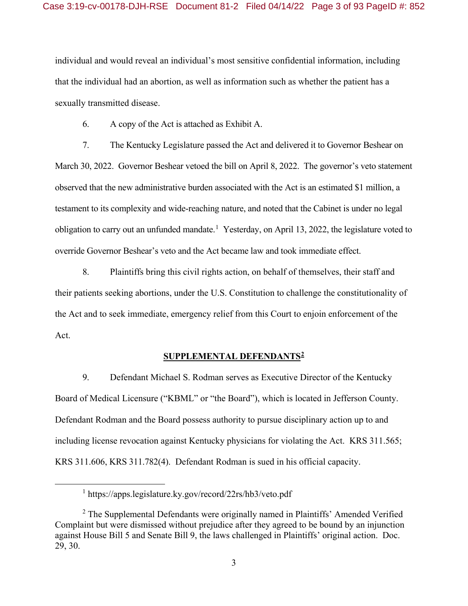individual and would reveal an individual's most sensitive confidential information, including that the individual had an abortion, as well as information such as whether the patient has a sexually transmitted disease.

6. A copy of the Act is attached as Exhibit A.

7. The Kentucky Legislature passed the Act and delivered it to Governor Beshear on March 30, 2022. Governor Beshear vetoed the bill on April 8, 2022. The governor's veto statement observed that the new administrative burden associated with the Act is an estimated \$1 million, a testament to its complexity and wide-reaching nature, and noted that the Cabinet is under no legal obligation to carry out an unfunded mandate.<sup>1</sup> Yesterday, on April 13, 2022, the legislature voted to override Governor Beshear's veto and the Act became law and took immediate effect.

8. Plaintiffs bring this civil rights action, on behalf of themselves, their staff and their patients seeking abortions, under the U.S. Constitution to challenge the constitutionality of the Act and to seek immediate, emergency relief from this Court to enjoin enforcement of the Act.

### **SUPPLEMENTAL DEFENDANTS2**

9. Defendant Michael S. Rodman serves as Executive Director of the Kentucky Board of Medical Licensure ("KBML" or "the Board"), which is located in Jefferson County. Defendant Rodman and the Board possess authority to pursue disciplinary action up to and including license revocation against Kentucky physicians for violating the Act. KRS 311.565; KRS 311.606, KRS 311.782(4). Defendant Rodman is sued in his official capacity.

<sup>1&</sup>lt;sup>1</sup> <sup>1</sup> https://apps.legislature.ky.gov/record/22rs/hb3/veto.pdf

<sup>&</sup>lt;sup>2</sup> The Supplemental Defendants were originally named in Plaintiffs' Amended Verified Complaint but were dismissed without prejudice after they agreed to be bound by an injunction against House Bill 5 and Senate Bill 9, the laws challenged in Plaintiffs' original action. Doc. 29, 30.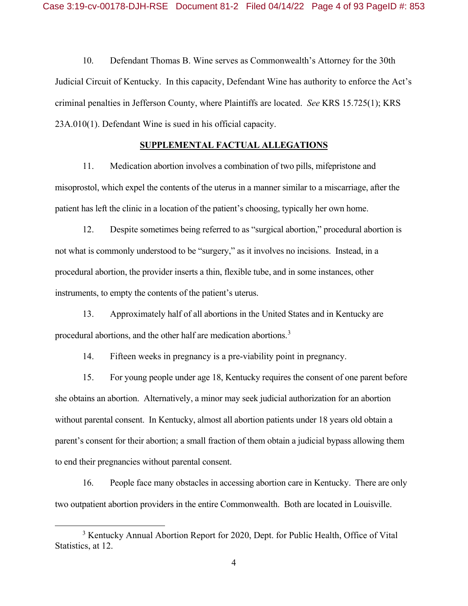10. Defendant Thomas B. Wine serves as Commonwealth's Attorney for the 30th Judicial Circuit of Kentucky. In this capacity, Defendant Wine has authority to enforce the Act's criminal penalties in Jefferson County, where Plaintiffs are located. *See* KRS 15.725(1); KRS 23A.010(1). Defendant Wine is sued in his official capacity.

### **SUPPLEMENTAL FACTUAL ALLEGATIONS**

11. Medication abortion involves a combination of two pills, mifepristone and misoprostol, which expel the contents of the uterus in a manner similar to a miscarriage, after the patient has left the clinic in a location of the patient's choosing, typically her own home.

12. Despite sometimes being referred to as "surgical abortion," procedural abortion is not what is commonly understood to be "surgery," as it involves no incisions. Instead, in a procedural abortion, the provider inserts a thin, flexible tube, and in some instances, other instruments, to empty the contents of the patient's uterus.

13. Approximately half of all abortions in the United States and in Kentucky are procedural abortions, and the other half are medication abortions.<sup>3</sup>

14. Fifteen weeks in pregnancy is a pre-viability point in pregnancy.

15. For young people under age 18, Kentucky requires the consent of one parent before she obtains an abortion. Alternatively, a minor may seek judicial authorization for an abortion without parental consent. In Kentucky, almost all abortion patients under 18 years old obtain a parent's consent for their abortion; a small fraction of them obtain a judicial bypass allowing them to end their pregnancies without parental consent.

16. People face many obstacles in accessing abortion care in Kentucky. There are only two outpatient abortion providers in the entire Commonwealth. Both are located in Louisville.

 $\frac{1}{3}$ <sup>3</sup> Kentucky Annual Abortion Report for 2020, Dept. for Public Health, Office of Vital Statistics, at 12.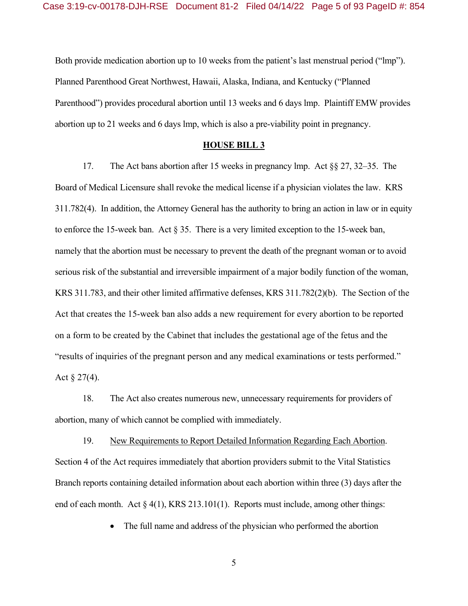Both provide medication abortion up to 10 weeks from the patient's last menstrual period ("lmp"). Planned Parenthood Great Northwest, Hawaii, Alaska, Indiana, and Kentucky ("Planned Parenthood") provides procedural abortion until 13 weeks and 6 days lmp. Plaintiff EMW provides abortion up to 21 weeks and 6 days lmp, which is also a pre-viability point in pregnancy.

### **HOUSE BILL 3**

17. The Act bans abortion after 15 weeks in pregnancy lmp. Act §§ 27, 32–35. The Board of Medical Licensure shall revoke the medical license if a physician violates the law. KRS 311.782(4). In addition, the Attorney General has the authority to bring an action in law or in equity to enforce the 15-week ban. Act § 35. There is a very limited exception to the 15-week ban, namely that the abortion must be necessary to prevent the death of the pregnant woman or to avoid serious risk of the substantial and irreversible impairment of a major bodily function of the woman, KRS 311.783, and their other limited affirmative defenses, KRS 311.782(2)(b). The Section of the Act that creates the 15-week ban also adds a new requirement for every abortion to be reported on a form to be created by the Cabinet that includes the gestational age of the fetus and the "results of inquiries of the pregnant person and any medical examinations or tests performed." Act  $\S 27(4)$ .

18. The Act also creates numerous new, unnecessary requirements for providers of abortion, many of which cannot be complied with immediately.

19. New Requirements to Report Detailed Information Regarding Each Abortion. Section 4 of the Act requires immediately that abortion providers submit to the Vital Statistics Branch reports containing detailed information about each abortion within three (3) days after the end of each month. Act  $\S 4(1)$ , KRS 213.101(1). Reports must include, among other things:

• The full name and address of the physician who performed the abortion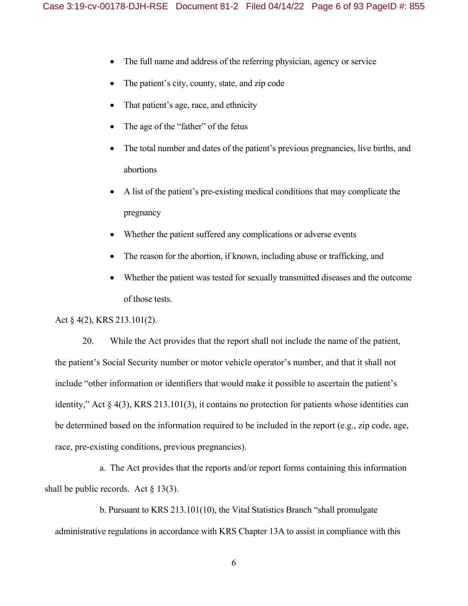- The full name and address of the referring physician, agency or service
- The patient's city, county, state, and zip code
- That patient's age, race, and ethnicity
- The age of the "father" of the fetus
- The total number and dates of the patient's previous pregnancies, live births, and abortions
- A list of the patient's pre-existing medical conditions that may complicate the pregnancy
- Whether the patient suffered any complications or adverse events
- The reason for the abortion, if known, including abuse or trafficking, and
- Whether the patient was tested for sexually transmitted diseases and the outcome of those tests.

### Act § 4(2), KRS 213.101(2).

20. While the Act provides that the report shall not include the name of the patient, the patient's Social Security number or motor vehicle operator's number, and that it shall not include "other information or identifiers that would make it possible to ascertain the patient's identity," Act  $\S$  4(3), KRS 213.101(3), it contains no protection for patients whose identities can be determined based on the information required to be included in the report (e.g., zip code, age, race, pre-existing conditions, previous pregnancies).

a. The Act provides that the reports and/or report forms containing this information shall be public records. Act  $\S$  13(3).

b. Pursuant to KRS 213.101(10), the Vital Statistics Branch "shall promulgate administrative regulations in accordance with KRS Chapter 13A to assist in compliance with this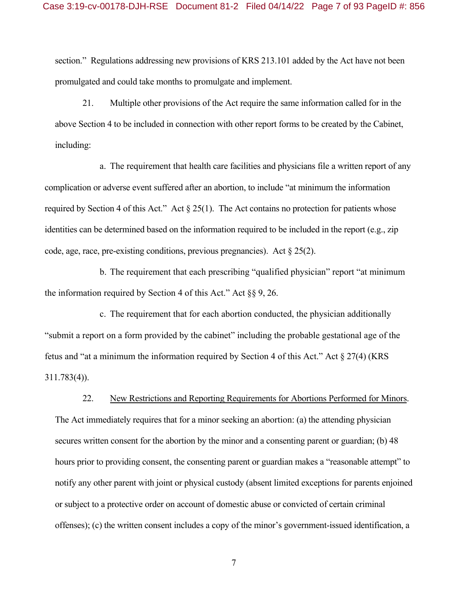section." Regulations addressing new provisions of KRS 213.101 added by the Act have not been promulgated and could take months to promulgate and implement.

21. Multiple other provisions of the Act require the same information called for in the above Section 4 to be included in connection with other report forms to be created by the Cabinet, including:

a. The requirement that health care facilities and physicians file a written report of any complication or adverse event suffered after an abortion, to include "at minimum the information required by Section 4 of this Act." Act  $\S 25(1)$ . The Act contains no protection for patients whose identities can be determined based on the information required to be included in the report (e.g., zip code, age, race, pre-existing conditions, previous pregnancies). Act  $\S 25(2)$ .

b. The requirement that each prescribing "qualified physician" report "at minimum the information required by Section 4 of this Act." Act  $\S$ § 9, 26.

c. The requirement that for each abortion conducted, the physician additionally "submit a report on a form provided by the cabinet" including the probable gestational age of the fetus and "at a minimum the information required by Section 4 of this Act." Act  $\S 27(4)$  (KRS 311.783(4)).

22. New Restrictions and Reporting Requirements for Abortions Performed for Minors. The Act immediately requires that for a minor seeking an abortion: (a) the attending physician secures written consent for the abortion by the minor and a consenting parent or guardian; (b) 48 hours prior to providing consent, the consenting parent or guardian makes a "reasonable attempt" to notify any other parent with joint or physical custody (absent limited exceptions for parents enjoined or subject to a protective order on account of domestic abuse or convicted of certain criminal offenses); (c) the written consent includes a copy of the minor's government-issued identification, a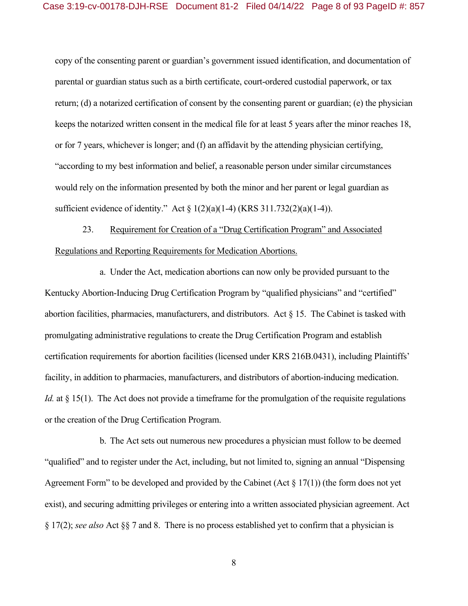copy of the consenting parent or guardian's government issued identification, and documentation of parental or guardian status such as a birth certificate, court-ordered custodial paperwork, or tax return; (d) a notarized certification of consent by the consenting parent or guardian; (e) the physician keeps the notarized written consent in the medical file for at least 5 years after the minor reaches 18, or for 7 years, whichever is longer; and (f) an affidavit by the attending physician certifying, "according to my best information and belief, a reasonable person under similar circumstances would rely on the information presented by both the minor and her parent or legal guardian as sufficient evidence of identity." Act  $\S 1(2)(a)(1-4)$  (KRS 311.732(2)(a)(1-4)).

23. Requirement for Creation of a "Drug Certification Program" and Associated Regulations and Reporting Requirements for Medication Abortions.

a. Under the Act, medication abortions can now only be provided pursuant to the Kentucky Abortion-Inducing Drug Certification Program by "qualified physicians" and "certified" abortion facilities, pharmacies, manufacturers, and distributors. Act  $\S$  15. The Cabinet is tasked with promulgating administrative regulations to create the Drug Certification Program and establish certification requirements for abortion facilities (licensed under KRS 216B.0431), including Plaintiffs' facility, in addition to pharmacies, manufacturers, and distributors of abortion-inducing medication. *Id.* at § 15(1). The Act does not provide a timeframe for the promulgation of the requisite regulations or the creation of the Drug Certification Program.

b. The Act sets out numerous new procedures a physician must follow to be deemed "qualified" and to register under the Act, including, but not limited to, signing an annual "Dispensing Agreement Form" to be developed and provided by the Cabinet (Act  $\S 17(1)$ ) (the form does not yet exist), and securing admitting privileges or entering into a written associated physician agreement. Act § 17(2); *see also* Act §§ 7 and 8. There is no process established yet to confirm that a physician is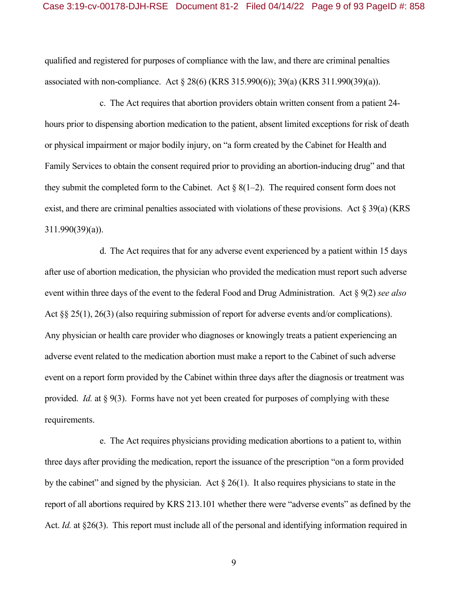qualified and registered for purposes of compliance with the law, and there are criminal penalties associated with non-compliance. Act § 28(6) (KRS 315.990(6)); 39(a) (KRS 311.990(39)(a)).

c. The Act requires that abortion providers obtain written consent from a patient 24 hours prior to dispensing abortion medication to the patient, absent limited exceptions for risk of death or physical impairment or major bodily injury, on "a form created by the Cabinet for Health and Family Services to obtain the consent required prior to providing an abortion-inducing drug" and that they submit the completed form to the Cabinet. Act  $\S 8(1-2)$ . The required consent form does not exist, and there are criminal penalties associated with violations of these provisions. Act § 39(a) (KRS 311.990(39)(a)).

d. The Act requires that for any adverse event experienced by a patient within 15 days after use of abortion medication, the physician who provided the medication must report such adverse event within three days of the event to the federal Food and Drug Administration. Act § 9(2) *see also*  Act §§ 25(1), 26(3) (also requiring submission of report for adverse events and/or complications). Any physician or health care provider who diagnoses or knowingly treats a patient experiencing an adverse event related to the medication abortion must make a report to the Cabinet of such adverse event on a report form provided by the Cabinet within three days after the diagnosis or treatment was provided. *Id.* at § 9(3). Forms have not yet been created for purposes of complying with these requirements.

e. The Act requires physicians providing medication abortions to a patient to, within three days after providing the medication, report the issuance of the prescription "on a form provided by the cabinet" and signed by the physician. Act § 26(1). It also requires physicians to state in the report of all abortions required by KRS 213.101 whether there were "adverse events" as defined by the Act. *Id.* at §26(3). This report must include all of the personal and identifying information required in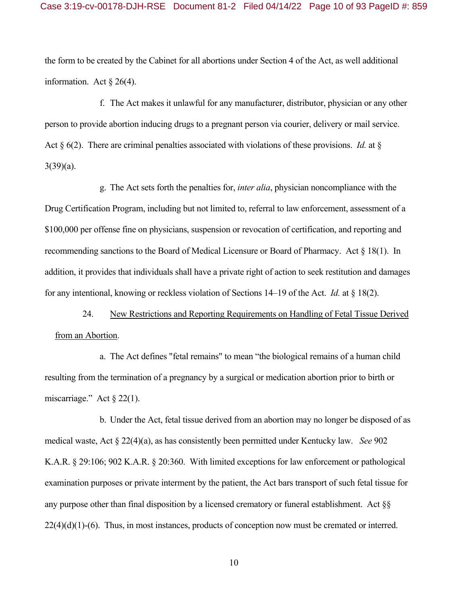the form to be created by the Cabinet for all abortions under Section 4 of the Act, as well additional information. Act  $\S 26(4)$ .

f. The Act makes it unlawful for any manufacturer, distributor, physician or any other person to provide abortion inducing drugs to a pregnant person via courier, delivery or mail service. Act § 6(2). There are criminal penalties associated with violations of these provisions. *Id.* at §  $3(39)(a)$ .

g. The Act sets forth the penalties for, *inter alia*, physician noncompliance with the Drug Certification Program, including but not limited to, referral to law enforcement, assessment of a \$100,000 per offense fine on physicians, suspension or revocation of certification, and reporting and recommending sanctions to the Board of Medical Licensure or Board of Pharmacy. Act § 18(1). In addition, it provides that individuals shall have a private right of action to seek restitution and damages for any intentional, knowing or reckless violation of Sections 14–19 of the Act. *Id.* at § 18(2).

24. New Restrictions and Reporting Requirements on Handling of Fetal Tissue Derived from an Abortion.

a. The Act defines "fetal remains" to mean "the biological remains of a human child resulting from the termination of a pregnancy by a surgical or medication abortion prior to birth or miscarriage." Act  $\S 22(1)$ .

b. Under the Act, fetal tissue derived from an abortion may no longer be disposed of as medical waste, Act § 22(4)(a), as has consistently been permitted under Kentucky law. *See* 902 K.A.R. § 29:106; 902 K.A.R. § 20:360. With limited exceptions for law enforcement or pathological examination purposes or private interment by the patient, the Act bars transport of such fetal tissue for any purpose other than final disposition by a licensed crematory or funeral establishment. Act §§  $22(4)(d)(1)-(6)$ . Thus, in most instances, products of conception now must be cremated or interred.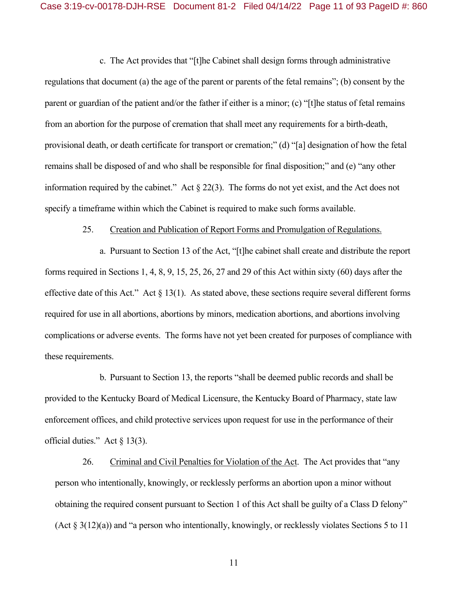c. The Act provides that "[t]he Cabinet shall design forms through administrative regulations that document (a) the age of the parent or parents of the fetal remains"; (b) consent by the parent or guardian of the patient and/or the father if either is a minor; (c) "[t]he status of fetal remains from an abortion for the purpose of cremation that shall meet any requirements for a birth-death, provisional death, or death certificate for transport or cremation;" (d) "[a] designation of how the fetal remains shall be disposed of and who shall be responsible for final disposition;" and (e) "any other information required by the cabinet." Act  $\S 22(3)$ . The forms do not yet exist, and the Act does not specify a timeframe within which the Cabinet is required to make such forms available.

### 25. Creation and Publication of Report Forms and Promulgation of Regulations.

a. Pursuant to Section 13 of the Act, "[t]he cabinet shall create and distribute the report forms required in Sections 1, 4, 8, 9, 15, 25, 26, 27 and 29 of this Act within sixty (60) days after the effective date of this Act." Act  $\S 13(1)$ . As stated above, these sections require several different forms required for use in all abortions, abortions by minors, medication abortions, and abortions involving complications or adverse events. The forms have not yet been created for purposes of compliance with these requirements.

b. Pursuant to Section 13, the reports "shall be deemed public records and shall be provided to the Kentucky Board of Medical Licensure, the Kentucky Board of Pharmacy, state law enforcement offices, and child protective services upon request for use in the performance of their official duties." Act  $\S$  13(3).

26. Criminal and Civil Penalties for Violation of the Act. The Act provides that "any person who intentionally, knowingly, or recklessly performs an abortion upon a minor without obtaining the required consent pursuant to Section 1 of this Act shall be guilty of a Class D felony" (Act  $\S 3(12)(a)$ ) and "a person who intentionally, knowingly, or recklessly violates Sections 5 to 11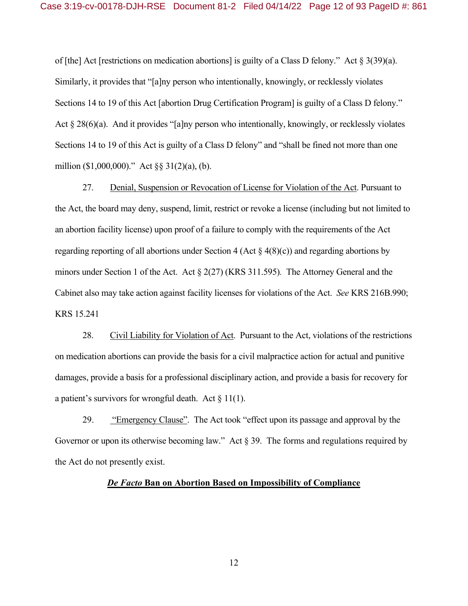of [the] Act [restrictions on medication abortions] is guilty of a Class D felony." Act § 3(39)(a). Similarly, it provides that "[a]ny person who intentionally, knowingly, or recklessly violates Sections 14 to 19 of this Act [abortion Drug Certification Program] is guilty of a Class D felony." Act § 28(6)(a). And it provides "[a]ny person who intentionally, knowingly, or recklessly violates Sections 14 to 19 of this Act is guilty of a Class D felony" and "shall be fined not more than one million (\$1,000,000)." Act §§ 31(2)(a), (b).

27. Denial, Suspension or Revocation of License for Violation of the Act. Pursuant to the Act, the board may deny, suspend, limit, restrict or revoke a license (including but not limited to an abortion facility license) upon proof of a failure to comply with the requirements of the Act regarding reporting of all abortions under Section 4 (Act  $\S$  4(8)(c)) and regarding abortions by minors under Section 1 of the Act. Act § 2(27) (KRS 311.595)*.* The Attorney General and the Cabinet also may take action against facility licenses for violations of the Act. *See* KRS 216B.990; KRS 15.241

28. Civil Liability for Violation of Act. Pursuant to the Act, violations of the restrictions on medication abortions can provide the basis for a civil malpractice action for actual and punitive damages, provide a basis for a professional disciplinary action, and provide a basis for recovery for a patient's survivors for wrongful death. Act  $\S 11(1)$ .

29. "Emergency Clause". The Act took "effect upon its passage and approval by the Governor or upon its otherwise becoming law." Act § 39. The forms and regulations required by the Act do not presently exist.

### *De Facto* **Ban on Abortion Based on Impossibility of Compliance**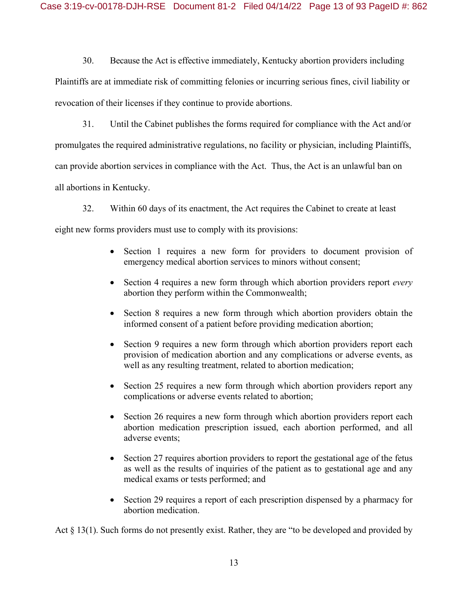30. Because the Act is effective immediately, Kentucky abortion providers including Plaintiffs are at immediate risk of committing felonies or incurring serious fines, civil liability or revocation of their licenses if they continue to provide abortions.

31. Until the Cabinet publishes the forms required for compliance with the Act and/or promulgates the required administrative regulations, no facility or physician, including Plaintiffs, can provide abortion services in compliance with the Act. Thus, the Act is an unlawful ban on all abortions in Kentucky.

32. Within 60 days of its enactment, the Act requires the Cabinet to create at least eight new forms providers must use to comply with its provisions:

- Section 1 requires a new form for providers to document provision of emergency medical abortion services to minors without consent;
- Section 4 requires a new form through which abortion providers report *every* abortion they perform within the Commonwealth;
- Section 8 requires a new form through which abortion providers obtain the informed consent of a patient before providing medication abortion;
- Section 9 requires a new form through which abortion providers report each provision of medication abortion and any complications or adverse events, as well as any resulting treatment, related to abortion medication;
- Section 25 requires a new form through which abortion providers report any complications or adverse events related to abortion;
- Section 26 requires a new form through which abortion providers report each abortion medication prescription issued, each abortion performed, and all adverse events;
- Section 27 requires abortion providers to report the gestational age of the fetus as well as the results of inquiries of the patient as to gestational age and any medical exams or tests performed; and
- Section 29 requires a report of each prescription dispensed by a pharmacy for abortion medication.

Act § 13(1). Such forms do not presently exist. Rather, they are "to be developed and provided by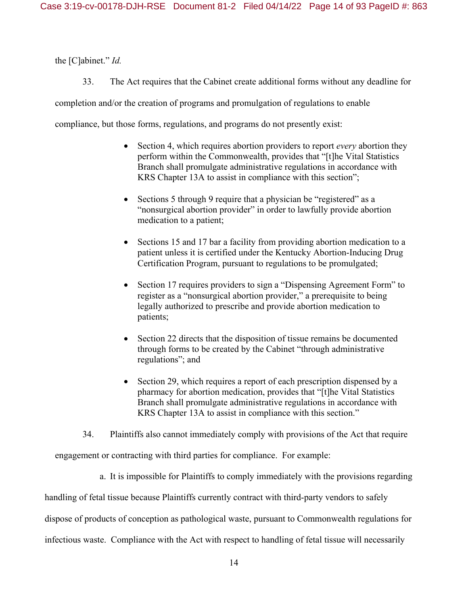the [C]abinet." *Id.*

33. The Act requires that the Cabinet create additional forms without any deadline for

completion and/or the creation of programs and promulgation of regulations to enable

compliance, but those forms, regulations, and programs do not presently exist:

- Section 4, which requires abortion providers to report *every* abortion they perform within the Commonwealth, provides that "[t]he Vital Statistics Branch shall promulgate administrative regulations in accordance with KRS Chapter 13A to assist in compliance with this section";
- Sections 5 through 9 require that a physician be "registered" as a "nonsurgical abortion provider" in order to lawfully provide abortion medication to a patient;
- Sections 15 and 17 bar a facility from providing abortion medication to a patient unless it is certified under the Kentucky Abortion-Inducing Drug Certification Program, pursuant to regulations to be promulgated;
- Section 17 requires providers to sign a "Dispensing Agreement Form" to register as a "nonsurgical abortion provider," a prerequisite to being legally authorized to prescribe and provide abortion medication to patients;
- Section 22 directs that the disposition of tissue remains be documented through forms to be created by the Cabinet "through administrative regulations"; and
- Section 29, which requires a report of each prescription dispensed by a pharmacy for abortion medication, provides that "[t]he Vital Statistics Branch shall promulgate administrative regulations in accordance with KRS Chapter 13A to assist in compliance with this section."
- 34. Plaintiffs also cannot immediately comply with provisions of the Act that require

engagement or contracting with third parties for compliance. For example:

a. It is impossible for Plaintiffs to comply immediately with the provisions regarding

handling of fetal tissue because Plaintiffs currently contract with third-party vendors to safely

dispose of products of conception as pathological waste, pursuant to Commonwealth regulations for

infectious waste. Compliance with the Act with respect to handling of fetal tissue will necessarily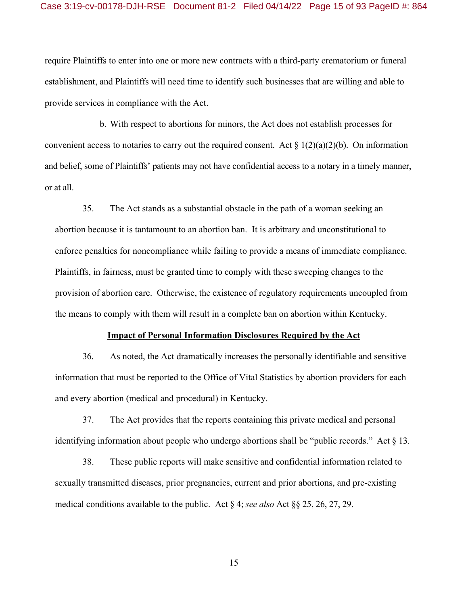require Plaintiffs to enter into one or more new contracts with a third-party crematorium or funeral establishment, and Plaintiffs will need time to identify such businesses that are willing and able to provide services in compliance with the Act.

b. With respect to abortions for minors, the Act does not establish processes for convenient access to notaries to carry out the required consent. Act  $\S 1(2)(a)(2)(b)$ . On information and belief, some of Plaintiffs' patients may not have confidential access to a notary in a timely manner, or at all.

35. The Act stands as a substantial obstacle in the path of a woman seeking an abortion because it is tantamount to an abortion ban. It is arbitrary and unconstitutional to enforce penalties for noncompliance while failing to provide a means of immediate compliance. Plaintiffs, in fairness, must be granted time to comply with these sweeping changes to the provision of abortion care. Otherwise, the existence of regulatory requirements uncoupled from the means to comply with them will result in a complete ban on abortion within Kentucky.

### **Impact of Personal Information Disclosures Required by the Act**

36. As noted, the Act dramatically increases the personally identifiable and sensitive information that must be reported to the Office of Vital Statistics by abortion providers for each and every abortion (medical and procedural) in Kentucky.

37. The Act provides that the reports containing this private medical and personal identifying information about people who undergo abortions shall be "public records." Act  $\S$  13.

38. These public reports will make sensitive and confidential information related to sexually transmitted diseases, prior pregnancies, current and prior abortions, and pre-existing medical conditions available to the public. Act § 4; *see also* Act §§ 25, 26, 27, 29.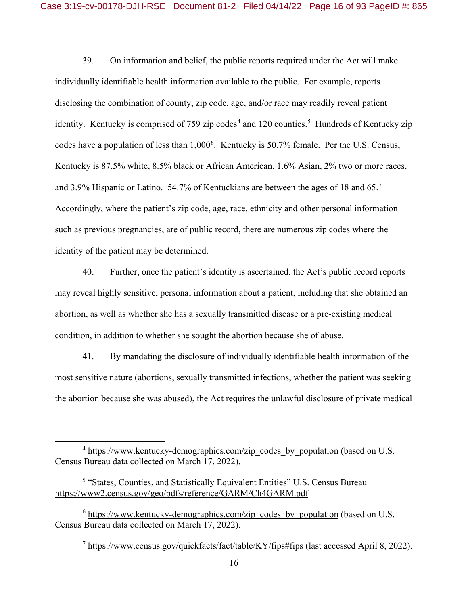39. On information and belief, the public reports required under the Act will make individually identifiable health information available to the public. For example, reports disclosing the combination of county, zip code, age, and/or race may readily reveal patient identity. Kentucky is comprised of 759 zip codes<sup>4</sup> and 120 counties.<sup>5</sup> Hundreds of Kentucky zip codes have a population of less than 1,000<sup>6</sup>. Kentucky is 50.7% female. Per the U.S. Census, Kentucky is 87.5% white, 8.5% black or African American, 1.6% Asian, 2% two or more races, and 3.9% Hispanic or Latino. 54.7% of Kentuckians are between the ages of 18 and 65.<sup>7</sup> Accordingly, where the patient's zip code, age, race, ethnicity and other personal information such as previous pregnancies, are of public record, there are numerous zip codes where the identity of the patient may be determined.

40. Further, once the patient's identity is ascertained, the Act's public record reports may reveal highly sensitive, personal information about a patient, including that she obtained an abortion, as well as whether she has a sexually transmitted disease or a pre-existing medical condition, in addition to whether she sought the abortion because she of abuse.

41. By mandating the disclosure of individually identifiable health information of the most sensitive nature (abortions, sexually transmitted infections, whether the patient was seeking the abortion because she was abused), the Act requires the unlawful disclosure of private medical

<sup>7</sup> https://www.census.gov/quickfacts/fact/table/KY/fips#fips (last accessed April 8, 2022).

 $\overline{4}$ <sup>4</sup> https://www.kentucky-demographics.com/zip\_codes\_by\_population (based on U.S. Census Bureau data collected on March 17, 2022).

<sup>5</sup> "States, Counties, and Statistically Equivalent Entities" U.S. Census Bureau https://www2.census.gov/geo/pdfs/reference/GARM/Ch4GARM.pdf

<sup>&</sup>lt;sup>6</sup> https://www.kentucky-demographics.com/zip\_codes\_by\_population (based on U.S. Census Bureau data collected on March 17, 2022).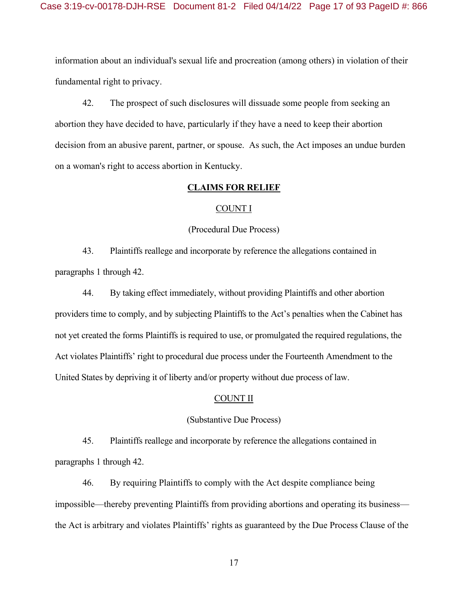information about an individual's sexual life and procreation (among others) in violation of their fundamental right to privacy.

42. The prospect of such disclosures will dissuade some people from seeking an abortion they have decided to have, particularly if they have a need to keep their abortion decision from an abusive parent, partner, or spouse. As such, the Act imposes an undue burden on a woman's right to access abortion in Kentucky.

### **CLAIMS FOR RELIEF**

### COUNT I

### (Procedural Due Process)

43. Plaintiffs reallege and incorporate by reference the allegations contained in paragraphs 1 through 42.

44. By taking effect immediately, without providing Plaintiffs and other abortion providers time to comply, and by subjecting Plaintiffs to the Act's penalties when the Cabinet has not yet created the forms Plaintiffs is required to use, or promulgated the required regulations, the Act violates Plaintiffs' right to procedural due process under the Fourteenth Amendment to the United States by depriving it of liberty and/or property without due process of law.

### COUNT II

### (Substantive Due Process)

45. Plaintiffs reallege and incorporate by reference the allegations contained in paragraphs 1 through 42.

46. By requiring Plaintiffs to comply with the Act despite compliance being impossible—thereby preventing Plaintiffs from providing abortions and operating its business the Act is arbitrary and violates Plaintiffs' rights as guaranteed by the Due Process Clause of the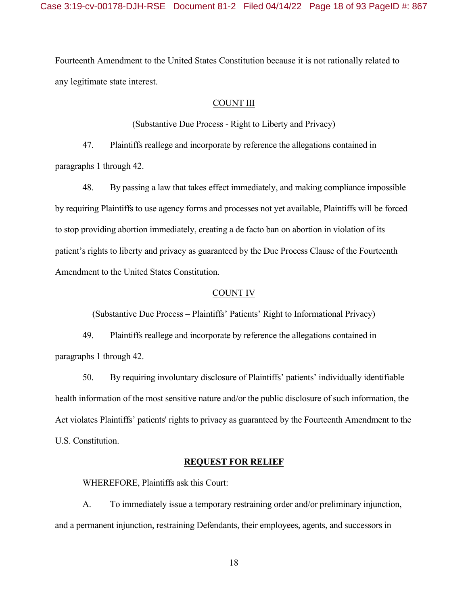Fourteenth Amendment to the United States Constitution because it is not rationally related to any legitimate state interest.

### COUNT III

(Substantive Due Process - Right to Liberty and Privacy)

47. Plaintiffs reallege and incorporate by reference the allegations contained in paragraphs 1 through 42.

48. By passing a law that takes effect immediately, and making compliance impossible by requiring Plaintiffs to use agency forms and processes not yet available, Plaintiffs will be forced to stop providing abortion immediately, creating a de facto ban on abortion in violation of its patient's rights to liberty and privacy as guaranteed by the Due Process Clause of the Fourteenth Amendment to the United States Constitution.

### COUNT IV

(Substantive Due Process – Plaintiffs' Patients' Right to Informational Privacy)

49. Plaintiffs reallege and incorporate by reference the allegations contained in paragraphs 1 through 42.

50. By requiring involuntary disclosure of Plaintiffs' patients' individually identifiable health information of the most sensitive nature and/or the public disclosure of such information, the Act violates Plaintiffs' patients' rights to privacy as guaranteed by the Fourteenth Amendment to the U.S. Constitution.

### **REQUEST FOR RELIEF**

WHEREFORE, Plaintiffs ask this Court:

A. To immediately issue a temporary restraining order and/or preliminary injunction, and a permanent injunction, restraining Defendants, their employees, agents, and successors in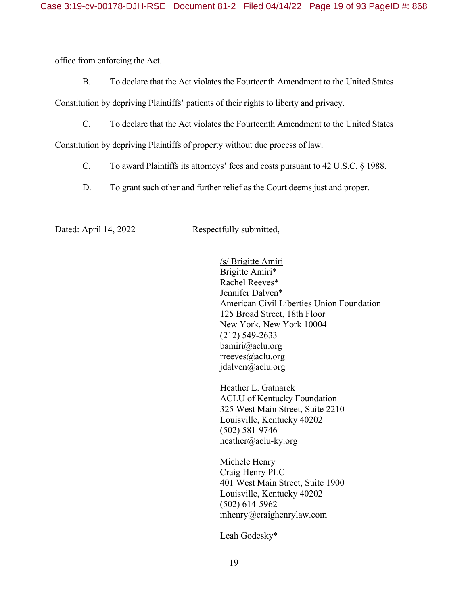office from enforcing the Act.

B. To declare that the Act violates the Fourteenth Amendment to the United States

Constitution by depriving Plaintiffs' patients of their rights to liberty and privacy.

C. To declare that the Act violates the Fourteenth Amendment to the United States

Constitution by depriving Plaintiffs of property without due process of law.

- C. To award Plaintiffs its attorneys' fees and costs pursuant to 42 U.S.C. § 1988.
- D. To grant such other and further relief as the Court deems just and proper.

Dated: April 14, 2022 Respectfully submitted,

/s/ Brigitte Amiri Brigitte Amiri\* Rachel Reeves\* Jennifer Dalven\* American Civil Liberties Union Foundation 125 Broad Street, 18th Floor New York, New York 10004 (212) 549-2633 bamiri@aclu.org rreeves@aclu.org jdalven@aclu.org

Heather L. Gatnarek ACLU of Kentucky Foundation 325 West Main Street, Suite 2210 Louisville, Kentucky 40202 (502) 581-9746 heather@aclu-ky.org

Michele Henry Craig Henry PLC 401 West Main Street, Suite 1900 Louisville, Kentucky 40202 (502) 614-5962 mhenry@craighenrylaw.com

Leah Godesky\*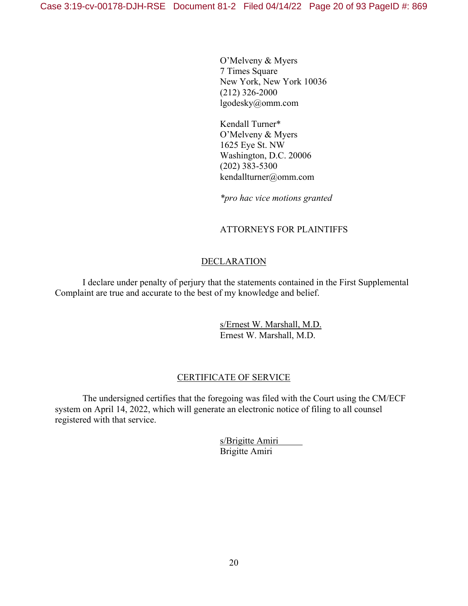O'Melveny & Myers 7 Times Square New York, New York 10036 (212) 326-2000 lgodesky@omm.com

Kendall Turner\* O'Melveny & Myers 1625 Eye St. NW Washington, D.C. 20006 (202) 383-5300 kendallturner@omm.com

*\*pro hac vice motions granted* 

# ATTORNEYS FOR PLAINTIFFS

# **DECLARATION**

I declare under penalty of perjury that the statements contained in the First Supplemental Complaint are true and accurate to the best of my knowledge and belief.

> s/Ernest W. Marshall, M.D. Ernest W. Marshall, M.D.

# CERTIFICATE OF SERVICE

 The undersigned certifies that the foregoing was filed with the Court using the CM/ECF system on April 14, 2022, which will generate an electronic notice of filing to all counsel registered with that service.

> s/Brigitte Amiri Brigitte Amiri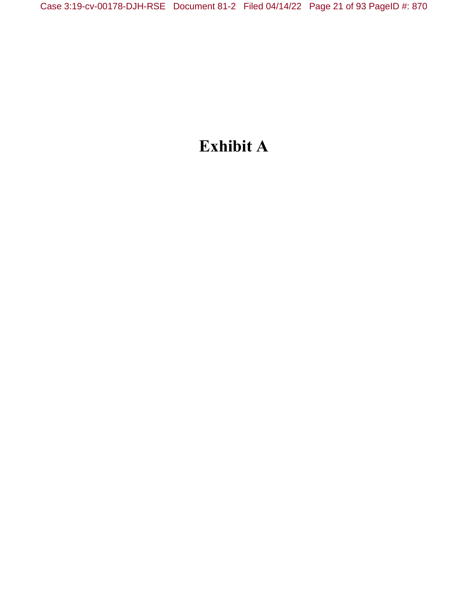# **Exhibit A**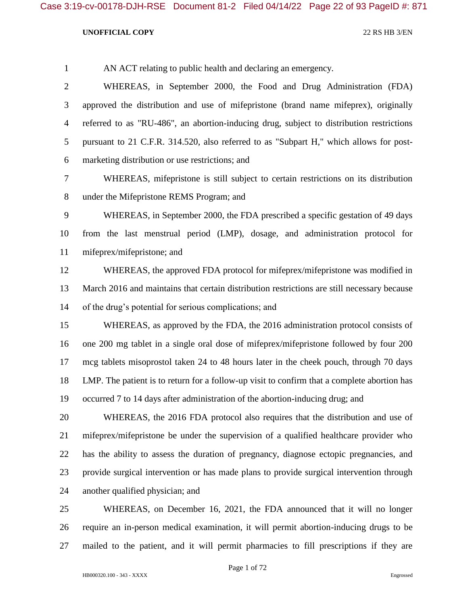AN ACT relating to public health and declaring an emergency. WHEREAS, in September 2000, the Food and Drug Administration (FDA) approved the distribution and use of mifepristone (brand name mifeprex), originally referred to as "RU-486", an abortion-inducing drug, subject to distribution restrictions pursuant to 21 C.F.R. 314.520, also referred to as "Subpart H," which allows for post-marketing distribution or use restrictions; and

 WHEREAS, mifepristone is still subject to certain restrictions on its distribution under the Mifepristone REMS Program; and

 WHEREAS, in September 2000, the FDA prescribed a specific gestation of 49 days from the last menstrual period (LMP), dosage, and administration protocol for mifeprex/mifepristone; and

 WHEREAS, the approved FDA protocol for mifeprex/mifepristone was modified in March 2016 and maintains that certain distribution restrictions are still necessary because of the drug's potential for serious complications; and

 WHEREAS, as approved by the FDA, the 2016 administration protocol consists of one 200 mg tablet in a single oral dose of mifeprex/mifepristone followed by four 200 mcg tablets misoprostol taken 24 to 48 hours later in the cheek pouch, through 70 days LMP. The patient is to return for a follow-up visit to confirm that a complete abortion has occurred 7 to 14 days after administration of the abortion-inducing drug; and

 WHEREAS, the 2016 FDA protocol also requires that the distribution and use of mifeprex/mifepristone be under the supervision of a qualified healthcare provider who has the ability to assess the duration of pregnancy, diagnose ectopic pregnancies, and provide surgical intervention or has made plans to provide surgical intervention through another qualified physician; and

 WHEREAS, on December 16, 2021, the FDA announced that it will no longer require an in-person medical examination, it will permit abortion-inducing drugs to be mailed to the patient, and it will permit pharmacies to fill prescriptions if they are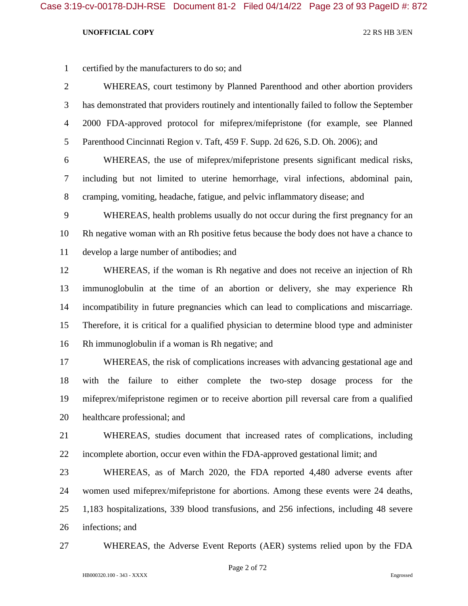certified by the manufacturers to do so; and

 WHEREAS, court testimony by Planned Parenthood and other abortion providers has demonstrated that providers routinely and intentionally failed to follow the September 2000 FDA-approved protocol for mifeprex/mifepristone (for example, see Planned Parenthood Cincinnati Region v. Taft, 459 F. Supp. 2d 626, S.D. Oh. 2006); and

 WHEREAS, the use of mifeprex/mifepristone presents significant medical risks, including but not limited to uterine hemorrhage, viral infections, abdominal pain, cramping, vomiting, headache, fatigue, and pelvic inflammatory disease; and

 WHEREAS, health problems usually do not occur during the first pregnancy for an Rh negative woman with an Rh positive fetus because the body does not have a chance to develop a large number of antibodies; and

 WHEREAS, if the woman is Rh negative and does not receive an injection of Rh immunoglobulin at the time of an abortion or delivery, she may experience Rh incompatibility in future pregnancies which can lead to complications and miscarriage. Therefore, it is critical for a qualified physician to determine blood type and administer Rh immunoglobulin if a woman is Rh negative; and

 WHEREAS, the risk of complications increases with advancing gestational age and with the failure to either complete the two-step dosage process for the mifeprex/mifepristone regimen or to receive abortion pill reversal care from a qualified healthcare professional; and

 WHEREAS, studies document that increased rates of complications, including incomplete abortion, occur even within the FDA-approved gestational limit; and

 WHEREAS, as of March 2020, the FDA reported 4,480 adverse events after women used mifeprex/mifepristone for abortions. Among these events were 24 deaths, 1,183 hospitalizations, 339 blood transfusions, and 256 infections, including 48 severe infections; and

WHEREAS, the Adverse Event Reports (AER) systems relied upon by the FDA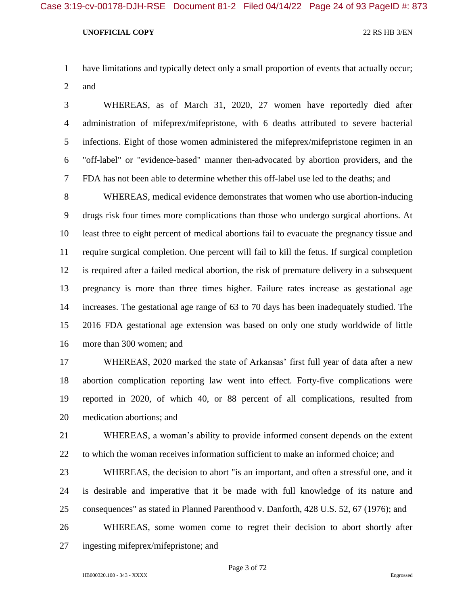have limitations and typically detect only a small proportion of events that actually occur; and

 WHEREAS, as of March 31, 2020, 27 women have reportedly died after administration of mifeprex/mifepristone, with 6 deaths attributed to severe bacterial infections. Eight of those women administered the mifeprex/mifepristone regimen in an "off-label" or "evidence-based" manner then-advocated by abortion providers, and the FDA has not been able to determine whether this off-label use led to the deaths; and

 WHEREAS, medical evidence demonstrates that women who use abortion-inducing drugs risk four times more complications than those who undergo surgical abortions. At least three to eight percent of medical abortions fail to evacuate the pregnancy tissue and require surgical completion. One percent will fail to kill the fetus. If surgical completion is required after a failed medical abortion, the risk of premature delivery in a subsequent pregnancy is more than three times higher. Failure rates increase as gestational age increases. The gestational age range of 63 to 70 days has been inadequately studied. The 2016 FDA gestational age extension was based on only one study worldwide of little more than 300 women; and

 WHEREAS, 2020 marked the state of Arkansas' first full year of data after a new abortion complication reporting law went into effect. Forty-five complications were reported in 2020, of which 40, or 88 percent of all complications, resulted from medication abortions; and

 WHEREAS, a woman's ability to provide informed consent depends on the extent to which the woman receives information sufficient to make an informed choice; and

 WHEREAS, the decision to abort "is an important, and often a stressful one, and it is desirable and imperative that it be made with full knowledge of its nature and consequences" as stated in Planned Parenthood v. Danforth, 428 U.S. 52, 67 (1976); and

 WHEREAS, some women come to regret their decision to abort shortly after ingesting mifeprex/mifepristone; and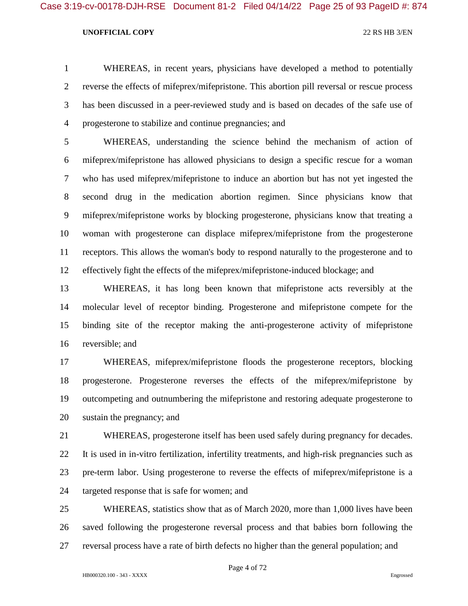WHEREAS, in recent years, physicians have developed a method to potentially reverse the effects of mifeprex/mifepristone. This abortion pill reversal or rescue process has been discussed in a peer-reviewed study and is based on decades of the safe use of progesterone to stabilize and continue pregnancies; and

 WHEREAS, understanding the science behind the mechanism of action of mifeprex/mifepristone has allowed physicians to design a specific rescue for a woman who has used mifeprex/mifepristone to induce an abortion but has not yet ingested the second drug in the medication abortion regimen. Since physicians know that mifeprex/mifepristone works by blocking progesterone, physicians know that treating a woman with progesterone can displace mifeprex/mifepristone from the progesterone receptors. This allows the woman's body to respond naturally to the progesterone and to effectively fight the effects of the mifeprex/mifepristone-induced blockage; and

 WHEREAS, it has long been known that mifepristone acts reversibly at the molecular level of receptor binding. Progesterone and mifepristone compete for the binding site of the receptor making the anti-progesterone activity of mifepristone reversible; and

 WHEREAS, mifeprex/mifepristone floods the progesterone receptors, blocking progesterone. Progesterone reverses the effects of the mifeprex/mifepristone by outcompeting and outnumbering the mifepristone and restoring adequate progesterone to sustain the pregnancy; and

 WHEREAS, progesterone itself has been used safely during pregnancy for decades. It is used in in-vitro fertilization, infertility treatments, and high-risk pregnancies such as pre-term labor. Using progesterone to reverse the effects of mifeprex/mifepristone is a targeted response that is safe for women; and

 WHEREAS, statistics show that as of March 2020, more than 1,000 lives have been saved following the progesterone reversal process and that babies born following the reversal process have a rate of birth defects no higher than the general population; and

Page 4 of 72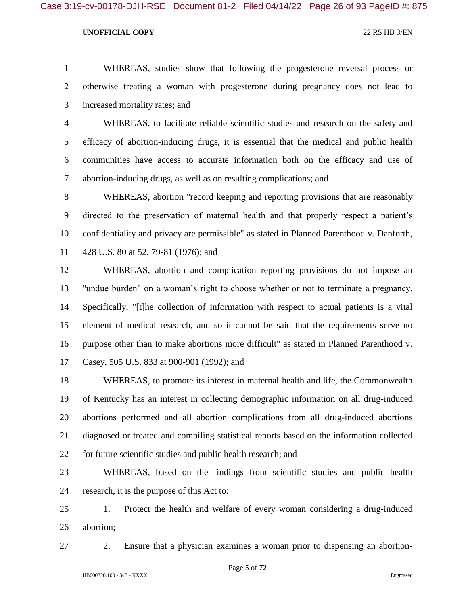Case 3:19-cv-00178-DJH-RSE Document 81-2 Filed 04/14/22 Page 26 of 93 PageID #: 875

### **UNOFFICIAL COPY** 22 RS HB 3/EN

 WHEREAS, studies show that following the progesterone reversal process or otherwise treating a woman with progesterone during pregnancy does not lead to increased mortality rates; and

 WHEREAS, to facilitate reliable scientific studies and research on the safety and efficacy of abortion-inducing drugs, it is essential that the medical and public health communities have access to accurate information both on the efficacy and use of abortion-inducing drugs, as well as on resulting complications; and

 WHEREAS, abortion "record keeping and reporting provisions that are reasonably directed to the preservation of maternal health and that properly respect a patient's confidentiality and privacy are permissible" as stated in Planned Parenthood v. Danforth, 428 U.S. 80 at 52, 79-81 (1976); and

 WHEREAS, abortion and complication reporting provisions do not impose an "undue burden" on a woman's right to choose whether or not to terminate a pregnancy. Specifically, "[t]he collection of information with respect to actual patients is a vital element of medical research, and so it cannot be said that the requirements serve no purpose other than to make abortions more difficult" as stated in Planned Parenthood v. Casey, 505 U.S. 833 at 900-901 (1992); and

 WHEREAS, to promote its interest in maternal health and life, the Commonwealth of Kentucky has an interest in collecting demographic information on all drug-induced abortions performed and all abortion complications from all drug-induced abortions diagnosed or treated and compiling statistical reports based on the information collected for future scientific studies and public health research; and

 WHEREAS, based on the findings from scientific studies and public health research, it is the purpose of this Act to:

 1. Protect the health and welfare of every woman considering a drug-induced abortion;

2. Ensure that a physician examines a woman prior to dispensing an abortion-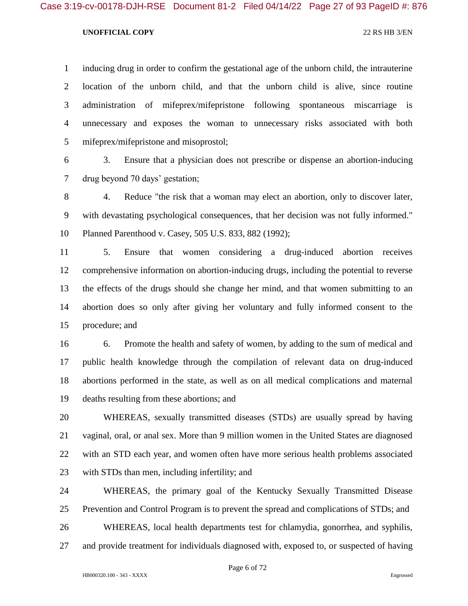inducing drug in order to confirm the gestational age of the unborn child, the intrauterine location of the unborn child, and that the unborn child is alive, since routine administration of mifeprex/mifepristone following spontaneous miscarriage is unnecessary and exposes the woman to unnecessary risks associated with both mifeprex/mifepristone and misoprostol;

 3. Ensure that a physician does not prescribe or dispense an abortion-inducing drug beyond 70 days' gestation;

 4. Reduce "the risk that a woman may elect an abortion, only to discover later, with devastating psychological consequences, that her decision was not fully informed." Planned Parenthood v. Casey, 505 U.S. 833, 882 (1992);

 5. Ensure that women considering a drug-induced abortion receives comprehensive information on abortion-inducing drugs, including the potential to reverse the effects of the drugs should she change her mind, and that women submitting to an abortion does so only after giving her voluntary and fully informed consent to the procedure; and

 6. Promote the health and safety of women, by adding to the sum of medical and public health knowledge through the compilation of relevant data on drug-induced abortions performed in the state, as well as on all medical complications and maternal deaths resulting from these abortions; and

 WHEREAS, sexually transmitted diseases (STDs) are usually spread by having vaginal, oral, or anal sex. More than 9 million women in the United States are diagnosed with an STD each year, and women often have more serious health problems associated with STDs than men, including infertility; and

 WHEREAS, the primary goal of the Kentucky Sexually Transmitted Disease Prevention and Control Program is to prevent the spread and complications of STDs; and

WHEREAS, local health departments test for chlamydia, gonorrhea, and syphilis,

and provide treatment for individuals diagnosed with, exposed to, or suspected of having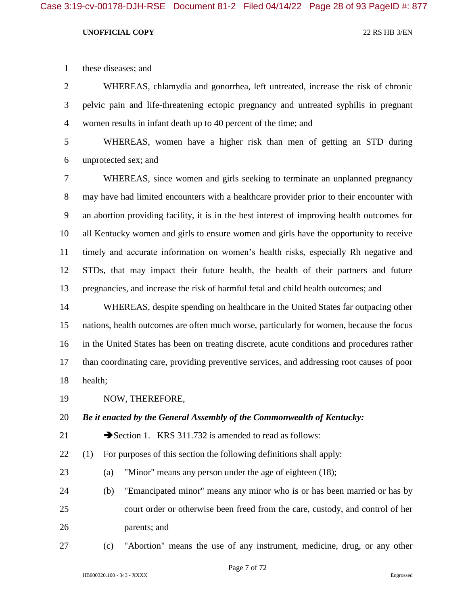these diseases; and

 WHEREAS, chlamydia and gonorrhea, left untreated, increase the risk of chronic pelvic pain and life-threatening ectopic pregnancy and untreated syphilis in pregnant women results in infant death up to 40 percent of the time; and

 WHEREAS, women have a higher risk than men of getting an STD during unprotected sex; and

 WHEREAS, since women and girls seeking to terminate an unplanned pregnancy may have had limited encounters with a healthcare provider prior to their encounter with an abortion providing facility, it is in the best interest of improving health outcomes for all Kentucky women and girls to ensure women and girls have the opportunity to receive timely and accurate information on women's health risks, especially Rh negative and STDs, that may impact their future health, the health of their partners and future pregnancies, and increase the risk of harmful fetal and child health outcomes; and

 WHEREAS, despite spending on healthcare in the United States far outpacing other nations, health outcomes are often much worse, particularly for women, because the focus in the United States has been on treating discrete, acute conditions and procedures rather than coordinating care, providing preventive services, and addressing root causes of poor health;

NOW, THEREFORE,

*Be it enacted by the General Assembly of the Commonwealth of Kentucky:*

21 Section 1. KRS 311.732 is amended to read as follows:

(1) For purposes of this section the following definitions shall apply:

- (a) "Minor" means any person under the age of eighteen (18);
- (b) "Emancipated minor" means any minor who is or has been married or has by court order or otherwise been freed from the care, custody, and control of her parents; and
- (c) "Abortion" means the use of any instrument, medicine, drug, or any other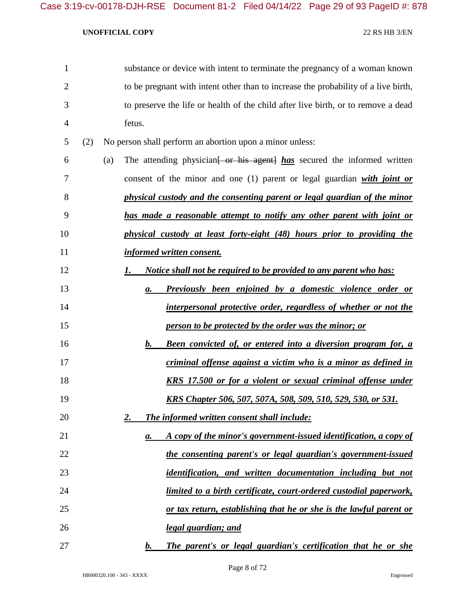| $\mathbf{1}$   |     |     | substance or device with intent to terminate the pregnancy of a woman known         |                                                                           |
|----------------|-----|-----|-------------------------------------------------------------------------------------|---------------------------------------------------------------------------|
| $\overline{2}$ |     |     | to be pregnant with intent other than to increase the probability of a live birth,  |                                                                           |
| 3              |     |     | to preserve the life or health of the child after live birth, or to remove a dead   |                                                                           |
| $\overline{4}$ |     |     | fetus.                                                                              |                                                                           |
| 5              | (2) |     | No person shall perform an abortion upon a minor unless:                            |                                                                           |
| 6              |     | (a) | The attending physician <del>[ or his agent]</del> has secured the informed written |                                                                           |
| 7              |     |     | consent of the minor and one $(1)$ parent or legal guardian with joint or           |                                                                           |
| 8              |     |     | physical custody and the consenting parent or legal guardian of the minor           |                                                                           |
| 9              |     |     | has made a reasonable attempt to notify any other parent with joint or              |                                                                           |
| 10             |     |     | physical custody at least forty-eight (48) hours prior to providing the             |                                                                           |
| 11             |     |     | <b>informed written consent.</b>                                                    |                                                                           |
| 12             |     |     | <u>Notice shall not be required to be provided to any parent who has:</u><br>I.     |                                                                           |
| 13             |     |     | а.                                                                                  | Previously been enjoined by a domestic violence order or                  |
| 14             |     |     |                                                                                     | interpersonal protective order, regardless of whether or not the          |
| 15             |     |     | person to be protected by the order was the minor; or                               |                                                                           |
| 16             |     |     | b.                                                                                  | <b>Been convicted of, or entered into a diversion program for, a</b>      |
| 17             |     |     |                                                                                     | criminal offense against a victim who is a minor as defined in            |
| 18             |     |     |                                                                                     | <b>KRS</b> 17.500 or for a violent or sexual criminal offense under       |
| 19             |     |     |                                                                                     | <u>KRS Chapter 506, 507, 507A, 508, 509, 510, 529, 530, or 531.</u>       |
| 20             |     |     | <u>2.</u><br><b>The informed written consent shall include:</b>                     |                                                                           |
| 21             |     |     | $\mathbf{a}$ .                                                                      | A copy of the minor's government-issued identification, a copy of         |
| 22             |     |     |                                                                                     | the consenting parent's or legal guardian's government-issued             |
| 23             |     |     |                                                                                     | identification, and written documentation including but not               |
| 24             |     |     |                                                                                     | <u>limited to a birth certificate, court-ordered custodial paperwork,</u> |
| 25             |     |     |                                                                                     | or tax return, establishing that he or she is the lawful parent or        |
| 26             |     |     | <u>legal guardian; and</u>                                                          |                                                                           |
| 27             |     |     | $\mathbf{b}$ .                                                                      | The parent's or legal guardian's certification that he or she             |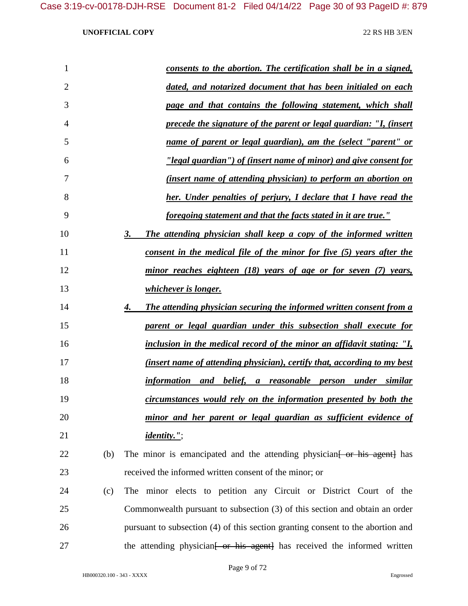| $\mathbf{1}$   |     | <u>consents to the abortion. The certification shall be in a signed,</u>             |
|----------------|-----|--------------------------------------------------------------------------------------|
| $\overline{2}$ |     | dated, and notarized document that has been initialed on each                        |
| 3              |     | page and that contains the following statement, which shall                          |
| 4              |     | <u>precede the signature of the parent or legal guardian: "I, (insert</u>            |
| 5              |     | <u>name of parent or legal guardian), am the (select "parent" or</u>                 |
| 6              |     | "legal guardian") of (insert name of minor) and give consent for                     |
| 7              |     | <i>(insert name of attending physician) to perform an abortion on</i>                |
| 8              |     | <b>her.</b> Under penalties of perjury, I declare that I have read the               |
| 9              |     | <u>foregoing statement and that the facts stated in it are true."</u>                |
| 10             |     | 3.<br>The attending physician shall keep a copy of the informed written              |
| 11             |     | <u>consent in the medical file of the minor for five (5) years after the</u>         |
| 12             |     | <u>minor reaches eighteen (18) years of age or for seven (7) years,</u>              |
| 13             |     | <u>whichever is longer.</u>                                                          |
| 14             |     | <b>The attending physician securing the informed written consent from a</b><br>4.    |
| 15             |     | parent or legal guardian under this subsection shall execute for                     |
| 16             |     | <u>inclusion in the medical record of the minor an affidavit stating: "I,</u>        |
| 17             |     | (insert name of attending physician), certify that, according to my best             |
| 18             |     | information and belief,<br>a reasonable person under<br>similar                      |
| 19             |     | circumstances would rely on the information presented by both the                    |
| 20             |     | minor and her parent or legal guardian as sufficient evidence of                     |
| 21             |     | <i>identity."</i> ;                                                                  |
| 22             | (b) | The minor is emancipated and the attending physician [ or his agent] has             |
| 23             |     | received the informed written consent of the minor; or                               |
| 24             | (c) | The minor elects to petition any Circuit or District Court of the                    |
| 25             |     | Commonwealth pursuant to subsection (3) of this section and obtain an order          |
| 26             |     | pursuant to subsection (4) of this section granting consent to the abortion and      |
| 27             |     | the attending physician <del>[ or his agent]</del> has received the informed written |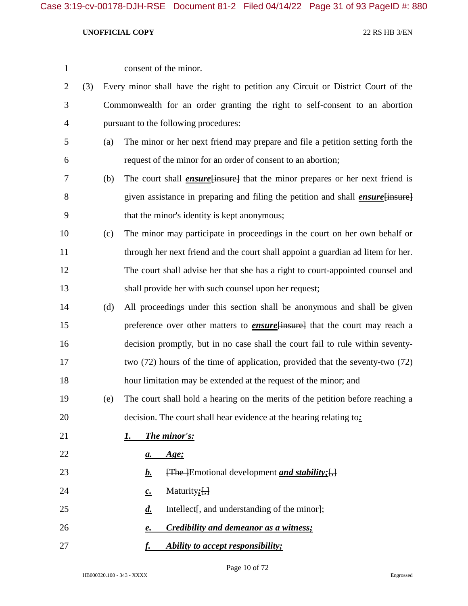| $\mathbf{1}$   |     |     | consent of the minor.                                                                         |
|----------------|-----|-----|-----------------------------------------------------------------------------------------------|
| $\overline{2}$ | (3) |     | Every minor shall have the right to petition any Circuit or District Court of the             |
| 3              |     |     | Commonwealth for an order granting the right to self-consent to an abortion                   |
| $\overline{4}$ |     |     | pursuant to the following procedures:                                                         |
| 5              |     | (a) | The minor or her next friend may prepare and file a petition setting forth the                |
| 6              |     |     | request of the minor for an order of consent to an abortion;                                  |
| 7              |     | (b) | The court shall <i>ensure</i> [insure] that the minor prepares or her next friend is          |
| 8              |     |     | given assistance in preparing and filing the petition and shall <i>ensure</i> [insure]        |
| 9              |     |     | that the minor's identity is kept anonymous;                                                  |
| 10             |     | (c) | The minor may participate in proceedings in the court on her own behalf or                    |
| 11             |     |     | through her next friend and the court shall appoint a guardian ad litem for her.              |
| 12             |     |     | The court shall advise her that she has a right to court-appointed counsel and                |
| 13             |     |     | shall provide her with such counsel upon her request;                                         |
| 14             |     | (d) | All proceedings under this section shall be anonymous and shall be given                      |
| 15             |     |     | preference over other matters to <b>ensure</b> [insure] that the court may reach a            |
| 16             |     |     | decision promptly, but in no case shall the court fail to rule within seventy-                |
| 17             |     |     | two (72) hours of the time of application, provided that the seventy-two (72)                 |
| 18             |     |     | hour limitation may be extended at the request of the minor; and                              |
| 19             |     | (e) | The court shall hold a hearing on the merits of the petition before reaching a                |
| 20             |     |     | decision. The court shall hear evidence at the hearing relating to:                           |
| 21             |     |     | The minor's:<br>1.                                                                            |
| 22             |     |     | <u>Age;</u><br>$\mathbf{a}$ .                                                                 |
| 23             |     |     | $\overline{f}$ The Emotional development <i>and stability</i> ; $\overline{f}$ ,<br><u>b.</u> |
| 24             |     |     | Maturity $;\left[ ,\right]$<br>$c_{\cdot}$                                                    |
| 25             |     |     | Intellect, and understanding of the minor};<br>$\boldsymbol{d}$ .                             |
| 26             |     |     | <b>Credibility and demeanor as a witness;</b><br>e.                                           |
| 27             |     |     | Ability to accept responsibility;<br><u>f.</u>                                                |

Page 10 of 72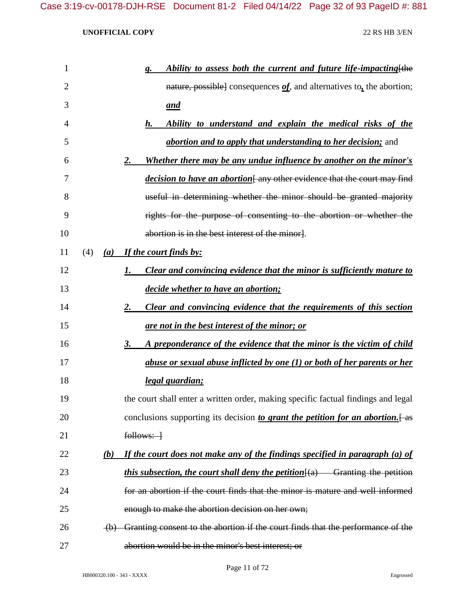| $\mathbf{1}$   |     |     | Ability to assess both the current and future life-impacting [the<br>g.                 |
|----------------|-----|-----|-----------------------------------------------------------------------------------------|
| $\overline{2}$ |     |     | nature, possible] consequences $of$ , and alternatives to, the abortion;                |
| 3              |     |     | <u>and</u>                                                                              |
| 4              |     |     | h.<br>Ability to understand and explain the medical risks of the                        |
| 5              |     |     | <i>abortion and to apply that understanding to her decision;</i> and                    |
| 6              |     |     | Whether there may be any undue influence by another on the minor's<br><u>2.</u>         |
| 7              |     |     | decision to have an abortion[any other evidence that the court may find                 |
| 8              |     |     | useful in determining whether the minor should be granted majority                      |
| 9              |     |     | rights for the purpose of consenting to the abortion or whether the                     |
| 10             |     |     | abortion is in the best interest of the minor].                                         |
| 11             | (4) |     | (a) If the court finds by:                                                              |
| 12             |     |     | <b>Clear and convincing evidence that the minor is sufficiently mature to</b><br>1.     |
| 13             |     |     | decide whether to have an abortion;                                                     |
| 14             |     |     | Clear and convincing evidence that the requirements of this section<br><u>2.</u>        |
| 15             |     |     | <u>are not in the best interest of the minor; or</u>                                    |
| 16             |     |     | <u>3.</u><br>A preponderance of the evidence that the minor is the victim of child      |
| 17             |     |     | abuse or sexual abuse inflicted by one (1) or both of her parents or her                |
| 18             |     |     | <u>legal guardian;</u>                                                                  |
| 19             |     |     | the court shall enter a written order, making specific factual findings and legal       |
| 20             |     |     | conclusions supporting its decision to grant the petition for an abortion. $[$ as       |
| 21             |     |     | $follows:$ $\rightarrow$                                                                |
| 22             |     | (b) | If the court does not make any of the findings specified in paragraph (a) of            |
| 23             |     |     | <i>this subsection, the court shall deny the petition</i> $\{a\}$ Granting the petition |
| 24             |     |     | for an abortion if the court finds that the minor is mature and well informed           |
| 25             |     |     | enough to make the abortion decision on her own;                                        |
| 26             |     |     | (b) Granting consent to the abortion if the court finds that the performance of the     |
| 27             |     |     | abortion would be in the minor's best interest; or                                      |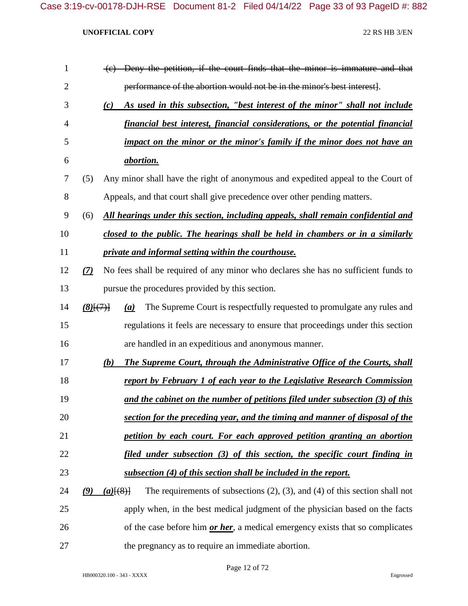| $\mathbf{1}$   |                                | (c) Deny the petition, if the court finds that the minor is immature and that                        |
|----------------|--------------------------------|------------------------------------------------------------------------------------------------------|
| $\overline{2}$ |                                | performance of the abortion would not be in the minor's best interest.                               |
| 3              |                                | As used in this subsection, "best interest of the minor" shall not include<br>(c)                    |
| 4              |                                | financial best interest, financial considerations, or the potential financial                        |
| 5              |                                | impact on the minor or the minor's family if the minor does not have an                              |
| 6              |                                | <i><u>abortion.</u></i>                                                                              |
| 7              | (5)                            | Any minor shall have the right of anonymous and expedited appeal to the Court of                     |
| 8              |                                | Appeals, and that court shall give precedence over other pending matters.                            |
| 9              | (6)                            | All hearings under this section, including appeals, shall remain confidential and                    |
| 10             |                                | closed to the public. The hearings shall be held in chambers or in a similarly                       |
| 11             |                                | private and informal setting within the courthouse.                                                  |
| 12             | (7)                            | No fees shall be required of any minor who declares she has no sufficient funds to                   |
| 13             |                                | pursue the procedures provided by this section.                                                      |
| 14             | $(8)$ $\{$ <sup>(7)</sup> $\}$ | The Supreme Court is respectfully requested to promulgate any rules and<br>(a)                       |
| 15             |                                | regulations it feels are necessary to ensure that proceedings under this section                     |
| 16             |                                | are handled in an expeditious and anonymous manner.                                                  |
| 17             |                                | (b)<br><b>The Supreme Court, through the Administrative Office of the Courts, shall</b>              |
| 18             |                                | report by February 1 of each year to the Legislative Research Commission                             |
| 19             |                                | and the cabinet on the number of petitions filed under subsection (3) of this                        |
| 20             |                                | section for the preceding year, and the timing and manner of disposal of the                         |
| 21             |                                | petition by each court. For each approved petition granting an abortion                              |
| 22             |                                | filed under subsection (3) of this section, the specific court finding in                            |
| 23             |                                | subsection (4) of this section shall be included in the report.                                      |
| 24             | (9)                            | The requirements of subsections $(2)$ , $(3)$ , and $(4)$ of this section shall not<br>$(a)$ $(8)$ } |
| 25             |                                | apply when, in the best medical judgment of the physician based on the facts                         |
| 26             |                                | of the case before him <i>or her</i> , a medical emergency exists that so complicates                |
| 27             |                                | the pregnancy as to require an immediate abortion.                                                   |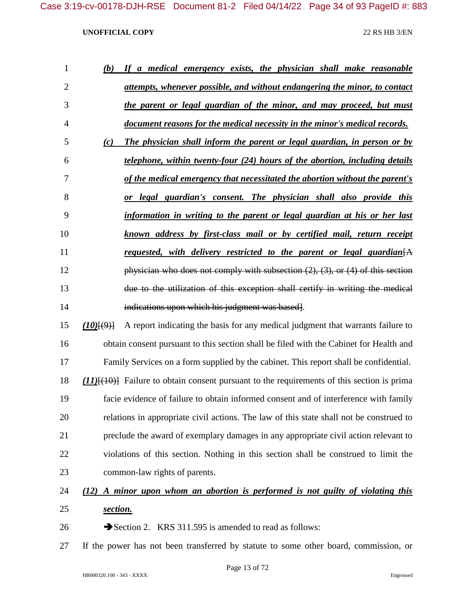| $\mathbf{1}$   | (b)     | If a medical emergency exists, the physician shall make reasonable                                |
|----------------|---------|---------------------------------------------------------------------------------------------------|
| $\overline{2}$ |         | attempts, whenever possible, and without endangering the minor, to contact                        |
| 3              |         | the parent or legal guardian of the minor, and may proceed, but must                              |
| $\overline{4}$ |         | document reasons for the medical necessity in the minor's medical records.                        |
| 5              | (c)     | The physician shall inform the parent or legal guardian, in person or by                          |
| 6              |         | telephone, within twenty-four (24) hours of the abortion, including details                       |
| 7              |         | of the medical emergency that necessitated the abortion without the parent's                      |
| 8              |         | legal guardian's consent. The physician shall also provide this<br><i>or</i>                      |
| 9              |         | information in writing to the parent or legal guardian at his or her last                         |
| 10             |         | known address by first-class mail or by certified mail, return receipt                            |
| 11             |         | requested, with delivery restricted to the parent or legal guardian $[A]$                         |
| 12             |         | physician who does not comply with subsection $(2)$ , $(3)$ , or $(4)$ of this section            |
| 13             |         | due to the utilization of this exception shall certify in writing the medical                     |
| 14             |         | indications upon which his judgment was based.                                                    |
| 15             | (10)(9) | A report indicating the basis for any medical judgment that warrants failure to                   |
| 16             |         | obtain consent pursuant to this section shall be filed with the Cabinet for Health and            |
| 17             |         | Family Services on a form supplied by the cabinet. This report shall be confidential.             |
| 18             |         | $(11)$ [ $(10)$ ] Failure to obtain consent pursuant to the requirements of this section is prima |
| 19             |         | facie evidence of failure to obtain informed consent and of interference with family              |
| 20             |         | relations in appropriate civil actions. The law of this state shall not be construed to           |
| 21             |         | preclude the award of exemplary damages in any appropriate civil action relevant to               |

 violations of this section. Nothing in this section shall be construed to limit the common-law rights of parents.

# *(12) A minor upon whom an abortion is performed is not guilty of violating this section.*

- 26 Section 2. KRS 311.595 is amended to read as follows:
- If the power has not been transferred by statute to some other board, commission, or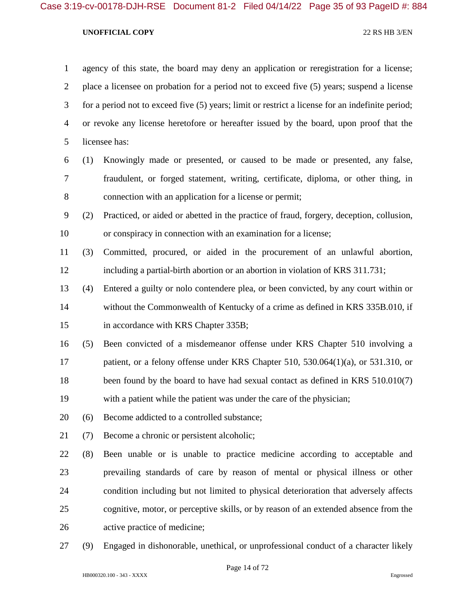agency of this state, the board may deny an application or reregistration for a license; place a licensee on probation for a period not to exceed five (5) years; suspend a license for a period not to exceed five (5) years; limit or restrict a license for an indefinite period; or revoke any license heretofore or hereafter issued by the board, upon proof that the licensee has: (1) Knowingly made or presented, or caused to be made or presented, any false, fraudulent, or forged statement, writing, certificate, diploma, or other thing, in connection with an application for a license or permit; (2) Practiced, or aided or abetted in the practice of fraud, forgery, deception, collusion, or conspiracy in connection with an examination for a license; (3) Committed, procured, or aided in the procurement of an unlawful abortion, including a partial-birth abortion or an abortion in violation of KRS 311.731; (4) Entered a guilty or nolo contendere plea, or been convicted, by any court within or without the Commonwealth of Kentucky of a crime as defined in KRS 335B.010, if 15 in accordance with KRS Chapter 335B; (5) Been convicted of a misdemeanor offense under KRS Chapter 510 involving a patient, or a felony offense under KRS Chapter 510, 530.064(1)(a), or 531.310, or 18 been found by the board to have had sexual contact as defined in KRS 510.010(7) with a patient while the patient was under the care of the physician; (6) Become addicted to a controlled substance; (7) Become a chronic or persistent alcoholic; (8) Been unable or is unable to practice medicine according to acceptable and prevailing standards of care by reason of mental or physical illness or other

 cognitive, motor, or perceptive skills, or by reason of an extended absence from the active practice of medicine;

condition including but not limited to physical deterioration that adversely affects

(9) Engaged in dishonorable, unethical, or unprofessional conduct of a character likely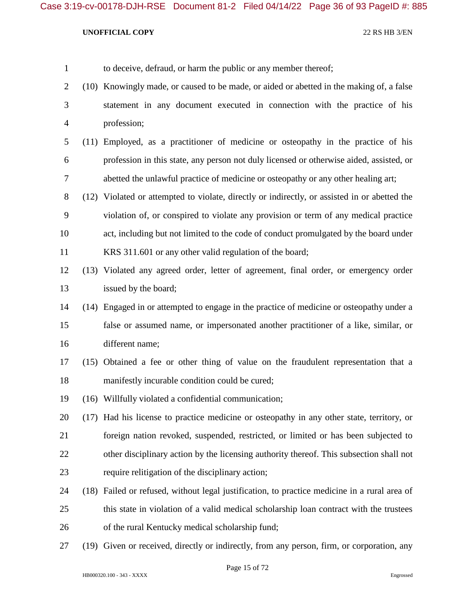| to deceive, defraud, or harm the public or any member thereof; |  |
|----------------------------------------------------------------|--|
|----------------------------------------------------------------|--|

- (10) Knowingly made, or caused to be made, or aided or abetted in the making of, a false statement in any document executed in connection with the practice of his profession;
- (11) Employed, as a practitioner of medicine or osteopathy in the practice of his profession in this state, any person not duly licensed or otherwise aided, assisted, or abetted the unlawful practice of medicine or osteopathy or any other healing art;
- (12) Violated or attempted to violate, directly or indirectly, or assisted in or abetted the violation of, or conspired to violate any provision or term of any medical practice act, including but not limited to the code of conduct promulgated by the board under KRS 311.601 or any other valid regulation of the board;
- (13) Violated any agreed order, letter of agreement, final order, or emergency order issued by the board;
- (14) Engaged in or attempted to engage in the practice of medicine or osteopathy under a false or assumed name, or impersonated another practitioner of a like, similar, or different name;
- (15) Obtained a fee or other thing of value on the fraudulent representation that a 18 manifestly incurable condition could be cured;
- (16) Willfully violated a confidential communication;
- (17) Had his license to practice medicine or osteopathy in any other state, territory, or foreign nation revoked, suspended, restricted, or limited or has been subjected to other disciplinary action by the licensing authority thereof. This subsection shall not require relitigation of the disciplinary action;
- (18) Failed or refused, without legal justification, to practice medicine in a rural area of this state in violation of a valid medical scholarship loan contract with the trustees of the rural Kentucky medical scholarship fund;
- (19) Given or received, directly or indirectly, from any person, firm, or corporation, any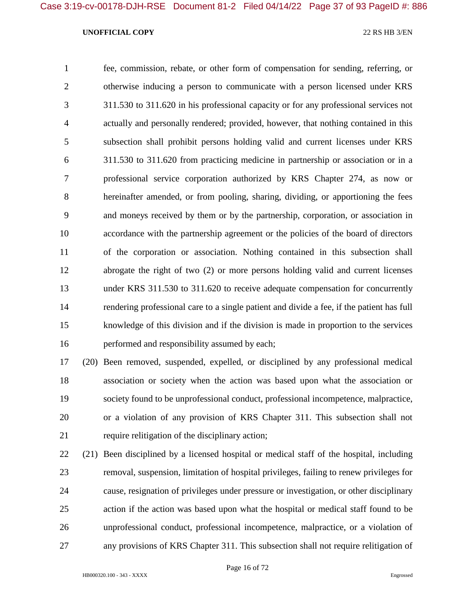fee, commission, rebate, or other form of compensation for sending, referring, or otherwise inducing a person to communicate with a person licensed under KRS 311.530 to 311.620 in his professional capacity or for any professional services not actually and personally rendered; provided, however, that nothing contained in this subsection shall prohibit persons holding valid and current licenses under KRS 311.530 to 311.620 from practicing medicine in partnership or association or in a professional service corporation authorized by KRS Chapter 274, as now or hereinafter amended, or from pooling, sharing, dividing, or apportioning the fees and moneys received by them or by the partnership, corporation, or association in accordance with the partnership agreement or the policies of the board of directors of the corporation or association. Nothing contained in this subsection shall abrogate the right of two (2) or more persons holding valid and current licenses under KRS 311.530 to 311.620 to receive adequate compensation for concurrently rendering professional care to a single patient and divide a fee, if the patient has full knowledge of this division and if the division is made in proportion to the services performed and responsibility assumed by each;

 (20) Been removed, suspended, expelled, or disciplined by any professional medical association or society when the action was based upon what the association or society found to be unprofessional conduct, professional incompetence, malpractice, or a violation of any provision of KRS Chapter 311. This subsection shall not require relitigation of the disciplinary action;

 (21) Been disciplined by a licensed hospital or medical staff of the hospital, including removal, suspension, limitation of hospital privileges, failing to renew privileges for cause, resignation of privileges under pressure or investigation, or other disciplinary action if the action was based upon what the hospital or medical staff found to be unprofessional conduct, professional incompetence, malpractice, or a violation of any provisions of KRS Chapter 311. This subsection shall not require relitigation of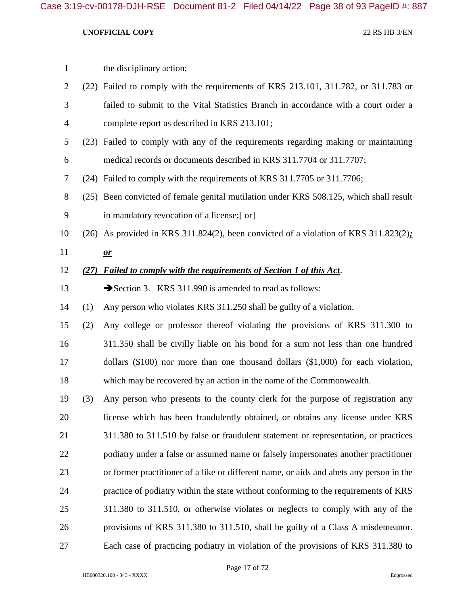| $\mathbf{1}$   |      | the disciplinary action;                                                                |
|----------------|------|-----------------------------------------------------------------------------------------|
| $\overline{2}$ |      | (22) Failed to comply with the requirements of KRS 213.101, 311.782, or 311.783 or      |
| 3              |      | failed to submit to the Vital Statistics Branch in accordance with a court order a      |
| 4              |      | complete report as described in KRS 213.101;                                            |
| 5              |      | (23) Failed to comply with any of the requirements regarding making or maintaining      |
| 6              |      | medical records or documents described in KRS 311.7704 or 311.7707;                     |
| 7              |      | (24) Failed to comply with the requirements of KRS 311.7705 or 311.7706;                |
| 8              |      | (25) Been convicted of female genital mutilation under KRS 508.125, which shall result  |
| 9              |      | in mandatory revocation of a license; [-or]                                             |
| 10             |      | (26) As provided in KRS 311.824(2), been convicted of a violation of KRS 311.823(2):    |
| 11             |      | $\mathbf{r}$                                                                            |
| 12             | (27) | Failed to comply with the requirements of Section 1 of this Act.                        |
| 13             |      | Section 3. KRS 311.990 is amended to read as follows:                                   |
| 14             | (1)  | Any person who violates KRS 311.250 shall be guilty of a violation.                     |
| 15             | (2)  | Any college or professor thereof violating the provisions of KRS 311.300 to             |
| 16             |      | 311.350 shall be civilly liable on his bond for a sum not less than one hundred         |
| 17             |      | dollars $(\$100)$ nor more than one thousand dollars $(\$1,000)$ for each violation,    |
| 18             |      | which may be recovered by an action in the name of the Commonwealth.                    |
| 19             | (3)  | Any person who presents to the county clerk for the purpose of registration any         |
| 20             |      | license which has been fraudulently obtained, or obtains any license under KRS          |
| 21             |      | 311.380 to 311.510 by false or fraudulent statement or representation, or practices     |
| 22             |      | podiatry under a false or assumed name or falsely impersonates another practitioner     |
| 23             |      | or former practitioner of a like or different name, or aids and abets any person in the |
| 24             |      | practice of podiatry within the state without conforming to the requirements of KRS     |
| 25             |      | 311.380 to 311.510, or otherwise violates or neglects to comply with any of the         |
| 26             |      | provisions of KRS 311.380 to 311.510, shall be guilty of a Class A misdemeanor.         |
| 27             |      | Each case of practicing podiatry in violation of the provisions of KRS 311.380 to       |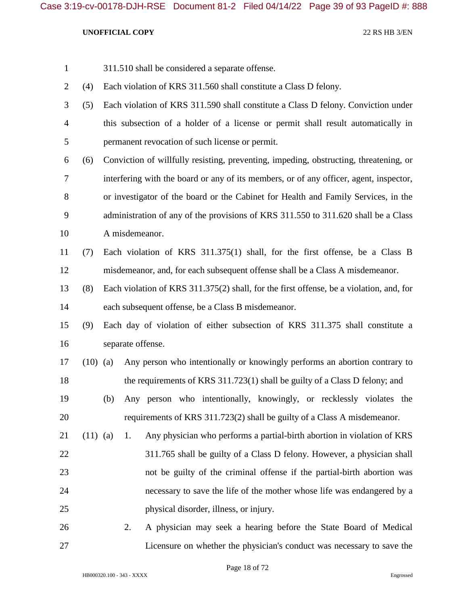| $\mathbf{1}$   |            |                | 311.510 shall be considered a separate offense.                                         |
|----------------|------------|----------------|-----------------------------------------------------------------------------------------|
| $\overline{2}$ | (4)        |                | Each violation of KRS 311.560 shall constitute a Class D felony.                        |
| 3              | (5)        |                | Each violation of KRS 311.590 shall constitute a Class D felony. Conviction under       |
| $\overline{4}$ |            |                | this subsection of a holder of a license or permit shall result automatically in        |
| 5              |            |                | permanent revocation of such license or permit.                                         |
| 6              | (6)        |                | Conviction of willfully resisting, preventing, impeding, obstructing, threatening, or   |
| 7              |            |                | interfering with the board or any of its members, or of any officer, agent, inspector,  |
| 8              |            |                | or investigator of the board or the Cabinet for Health and Family Services, in the      |
| 9              |            |                | administration of any of the provisions of KRS 311.550 to 311.620 shall be a Class      |
| 10             |            | A misdemeanor. |                                                                                         |
| 11             | (7)        |                | Each violation of KRS 311.375(1) shall, for the first offense, be a Class B             |
| 12             |            |                | misdemeanor, and, for each subsequent offense shall be a Class A misdemeanor.           |
| 13             | (8)        |                | Each violation of KRS 311.375(2) shall, for the first offense, be a violation, and, for |
| 14             |            |                | each subsequent offense, be a Class B misdemeanor.                                      |
| 15             | (9)        |                | Each day of violation of either subsection of KRS 311.375 shall constitute a            |
| 16             |            |                | separate offense.                                                                       |
| 17             | $(10)$ (a) |                | Any person who intentionally or knowingly performs an abortion contrary to              |
| 18             |            |                | the requirements of KRS 311.723(1) shall be guilty of a Class D felony; and             |
| 19             |            |                | (b) Any person who intentionally, knowingly, or recklessly violates the                 |
| 20             |            |                | requirements of KRS 311.723(2) shall be guilty of a Class A misdemeanor.                |
| 21             | $(11)$ (a) | 1.             | Any physician who performs a partial-birth abortion in violation of KRS                 |
| 22             |            |                | 311.765 shall be guilty of a Class D felony. However, a physician shall                 |
| 23             |            |                | not be guilty of the criminal offense if the partial-birth abortion was                 |
| 24             |            |                | necessary to save the life of the mother whose life was endangered by a                 |
| 25             |            |                | physical disorder, illness, or injury.                                                  |
| 26             |            | 2.             | A physician may seek a hearing before the State Board of Medical                        |
| 27             |            |                | Licensure on whether the physician's conduct was necessary to save the                  |

Page 18 of 72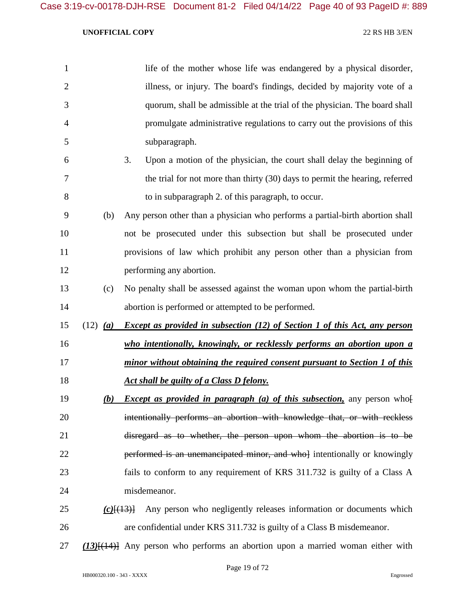| $\mathbf{1}$   |                     | life of the mother whose life was endangered by a physical disorder,              |
|----------------|---------------------|-----------------------------------------------------------------------------------|
| $\overline{2}$ |                     | illness, or injury. The board's findings, decided by majority vote of a           |
| 3              |                     | quorum, shall be admissible at the trial of the physician. The board shall        |
| 4              |                     | promulgate administrative regulations to carry out the provisions of this         |
| 5              |                     | subparagraph.                                                                     |
| 6              |                     | 3.<br>Upon a motion of the physician, the court shall delay the beginning of      |
| 7              |                     | the trial for not more than thirty (30) days to permit the hearing, referred      |
| 8              |                     | to in subparagraph 2. of this paragraph, to occur.                                |
| 9              | (b)                 | Any person other than a physician who performs a partial-birth abortion shall     |
| 10             |                     | not be prosecuted under this subsection but shall be prosecuted under             |
| 11             |                     | provisions of law which prohibit any person other than a physician from           |
| 12             |                     | performing any abortion.                                                          |
| 13             | (c)                 | No penalty shall be assessed against the woman upon whom the partial-birth        |
| 14             |                     | abortion is performed or attempted to be performed.                               |
| 15             | $(12)$ ( <i>a</i> ) | <b>Except as provided in subsection (12) of Section 1 of this Act, any person</b> |
| 16             |                     | who intentionally, knowingly, or recklessly performs an abortion upon a           |
| 17             |                     | minor without obtaining the required consent pursuant to Section 1 of this        |
| 18             |                     | Act shall be guilty of a Class D felony.                                          |
| 19             | (b)                 | <i>Except as provided in paragraph (a) of this subsection</i> , any person who    |
| 20             |                     | intentionally performs an abortion with knowledge that, or with reckless          |
| 21             |                     | disregard as to whether, the person upon whom the abortion is to be               |
| 22             |                     | performed is an unemancipated minor, and who intentionally or knowingly           |
| 23             |                     | fails to conform to any requirement of KRS 311.732 is guilty of a Class A         |
| 24             |                     | misdemeanor.                                                                      |
| 25             | $(c)$ $(13)$        | Any person who negligently releases information or documents which                |
| 26             |                     | are confidential under KRS 311.732 is guilty of a Class B misdemeanor.            |
|                |                     |                                                                                   |

*(13)*[(14)] Any person who performs an abortion upon a married woman either with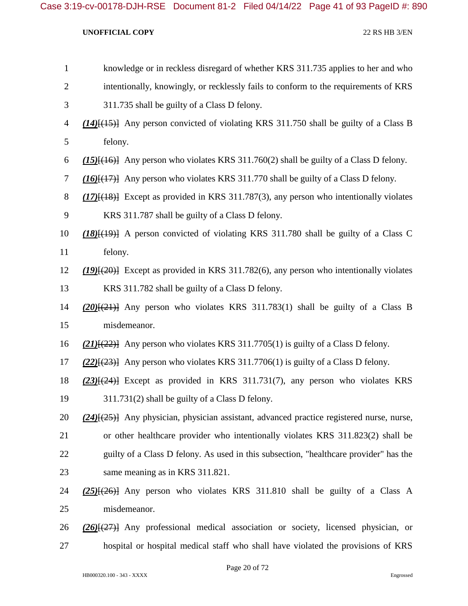| $\mathbf{1}$   | knowledge or in reckless disregard of whether KRS 311.735 applies to her and who                 |
|----------------|--------------------------------------------------------------------------------------------------|
| $\overline{2}$ | intentionally, knowingly, or recklessly fails to conform to the requirements of KRS              |
| 3              | 311.735 shall be guilty of a Class D felony.                                                     |
| $\overline{4}$ | $(14)$ { $(15)$ } Any person convicted of violating KRS 311.750 shall be guilty of a Class B     |
| 5              | felony.                                                                                          |
| 6              | $(15)$ { $(16)$ } Any person who violates KRS 311.760(2) shall be guilty of a Class D felony.    |
| $\tau$         | $(16)$ [ $(17)$ ] Any person who violates KRS 311.770 shall be guilty of a Class D felony.       |
| 8              | $(17)$ [ $(18)$ ] Except as provided in KRS 311.787(3), any person who intentionally violates    |
| 9              | KRS 311.787 shall be guilty of a Class D felony.                                                 |
| 10             | $(18)$ $(19)$ A person convicted of violating KRS 311.780 shall be guilty of a Class C           |
| 11             | felony.                                                                                          |
| 12             | $(19)(20)$ Except as provided in KRS 311.782(6), any person who intentionally violates           |
| 13             | KRS 311.782 shall be guilty of a Class D felony.                                                 |
| 14             | $(20)$ $\{(21)$ Any person who violates KRS 311.783(1) shall be guilty of a Class B              |
| 15             | misdemeanor.                                                                                     |
| 16             | $(21)$ { $(22)$ } Any person who violates KRS 311.7705(1) is guilty of a Class D felony.         |
| 17             | $(22)$ { $(23)$ } Any person who violates KRS 311.7706(1) is guilty of a Class D felony.         |
| 18             | $(23)$ [ $(24)$ ] Except as provided in KRS 311.731(7), any person who violates KRS              |
| 19             | 311.731(2) shall be guilty of a Class D felony.                                                  |
| 20             | $(24)$ { $(25)$ } Any physician, physician assistant, advanced practice registered nurse, nurse, |
| 21             | or other healthcare provider who intentionally violates KRS 311.823(2) shall be                  |
| 22             | guilty of a Class D felony. As used in this subsection, "healthcare provider" has the            |
| 23             | same meaning as in KRS 311.821.                                                                  |
| 24             | $(25)$ { $(26)$ } Any person who violates KRS 311.810 shall be guilty of a Class A               |
| 25             | misdemeanor.                                                                                     |
| 26             | $(26)$ $(27)$ Any professional medical association or society, licensed physician, or            |
| 27             | hospital or hospital medical staff who shall have violated the provisions of KRS                 |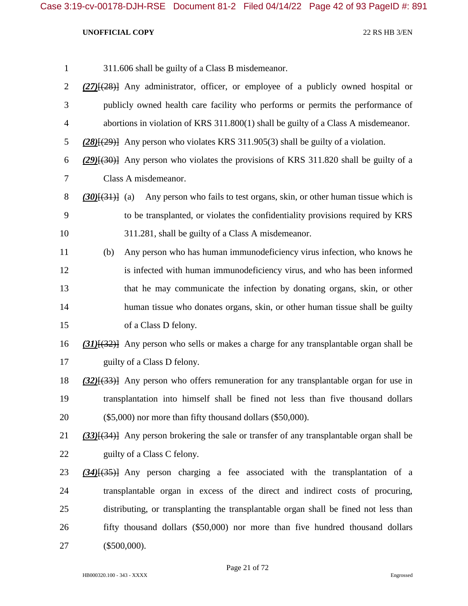| $\mathbf{1}$ |     | 311.606 shall be guilty of a Class B misdemeanor.                                                |
|--------------|-----|--------------------------------------------------------------------------------------------------|
| 2            |     | $(27)$ [ $(28)$ ] Any administrator, officer, or employee of a publicly owned hospital or        |
| 3            |     | publicly owned health care facility who performs or permits the performance of                   |
| 4            |     | abortions in violation of KRS 311.800(1) shall be guilty of a Class A misdemeanor.               |
| 5            |     | $(28)(29)$ } Any person who violates KRS 311.905(3) shall be guilty of a violation.              |
| 6            |     | $(29)(30)$ Any person who violates the provisions of KRS 311.820 shall be guilty of a            |
| 7            |     | Class A misdemeanor.                                                                             |
| 8            |     | (30)[(31)] (a) Any person who fails to test organs, skin, or other human tissue which is         |
| 9            |     | to be transplanted, or violates the confidentiality provisions required by KRS                   |
| 10           |     | 311.281, shall be guilty of a Class A misdemeanor.                                               |
| 11           | (b) | Any person who has human immunodeficiency virus infection, who knows he                          |
| 12           |     | is infected with human immunodeficiency virus, and who has been informed                         |
| 13           |     | that he may communicate the infection by donating organs, skin, or other                         |
| 14           |     | human tissue who donates organs, skin, or other human tissue shall be guilty                     |
| 15           |     | of a Class D felony.                                                                             |
| 16           |     | $(31)$ { $(32)$ } Any person who sells or makes a charge for any transplantable organ shall be   |
| 17           |     | guilty of a Class D felony.                                                                      |
| 18           |     | $(32)$ { $(33)$ } Any person who offers remuneration for any transplantable organ for use in     |
| 19           |     | transplantation into himself shall be fined not less than five thousand dollars                  |
| 20           |     | $(\$5,000)$ nor more than fifty thousand dollars $(\$50,000)$ .                                  |
| 21           |     | $(33)$ [ $(34)$ ] Any person brokering the sale or transfer of any transplantable organ shall be |
| 22           |     | guilty of a Class C felony.                                                                      |
| 23           |     | $(34)$ $(35)$ Any person charging a fee associated with the transplantation of a                 |
| 24           |     | transplantable organ in excess of the direct and indirect costs of procuring,                    |
| 25           |     | distributing, or transplanting the transplantable organ shall be fined not less than             |
| 26           |     | fifty thousand dollars (\$50,000) nor more than five hundred thousand dollars                    |
| 27           |     | $(\$500,000).$                                                                                   |
|              |     |                                                                                                  |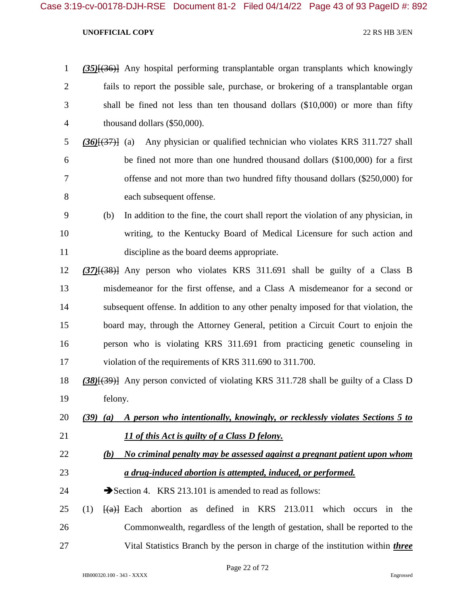|                | $(35)$ { $(36)$ } Any hospital performing transplantable organ transplants which knowingly |
|----------------|--------------------------------------------------------------------------------------------|
| 2              | fails to report the possible sale, purchase, or brokering of a transplantable organ        |
| 3              | shall be fined not less than ten thousand dollars $(\$10,000)$ or more than fifty          |
| $\overline{4}$ | thousand dollars (\$50,000).                                                               |

- *(36)*[(37)] (a) Any physician or qualified technician who violates KRS 311.727 shall be fined not more than one hundred thousand dollars (\$100,000) for a first offense and not more than two hundred fifty thousand dollars (\$250,000) for each subsequent offense.
- (b) In addition to the fine, the court shall report the violation of any physician, in writing, to the Kentucky Board of Medical Licensure for such action and discipline as the board deems appropriate.
- *(37)*[(38)] Any person who violates KRS 311.691 shall be guilty of a Class B misdemeanor for the first offense, and a Class A misdemeanor for a second or subsequent offense. In addition to any other penalty imposed for that violation, the board may, through the Attorney General, petition a Circuit Court to enjoin the person who is violating KRS 311.691 from practicing genetic counseling in violation of the requirements of KRS 311.690 to 311.700.
- *(38)*[(39)] Any person convicted of violating KRS 311.728 shall be guilty of a Class D felony.
- *(39) (a) A person who intentionally, knowingly, or recklessly violates Sections 5 to 11 of this Act is guilty of a Class D felony.*
- *(b) No criminal penalty may be assessed against a pregnant patient upon whom a drug-induced abortion is attempted, induced, or performed.*
- 24 Section 4. KRS 213.101 is amended to read as follows:
- 25 (1)  $\frac{1}{2}$  Each abortion as defined in KRS 213.011 which occurs in the Commonwealth, regardless of the length of gestation, shall be reported to the Vital Statistics Branch by the person in charge of the institution within *three*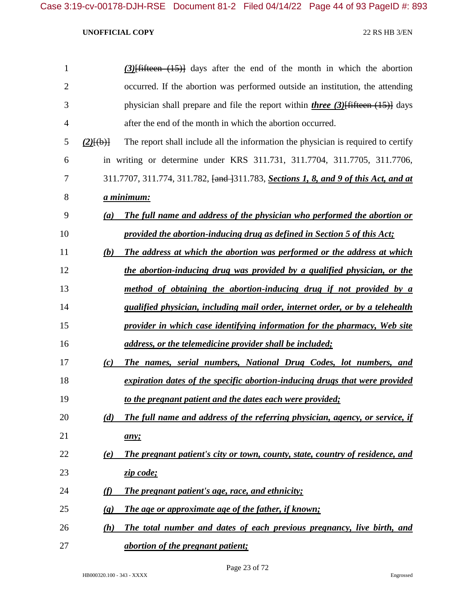| 1              |                             | $(3)$ [fifteen $(15)$ ] days after the end of the month in which the abortion                          |
|----------------|-----------------------------|--------------------------------------------------------------------------------------------------------|
| $\overline{2}$ |                             | occurred. If the abortion was performed outside an institution, the attending                          |
| 3              |                             | physician shall prepare and file the report within <i>three</i> (3) $\left\{\frac{4}{11}\right\}$ days |
| 4              |                             | after the end of the month in which the abortion occurred.                                             |
| 5              | $(2)$ $\{(\rightarrow)\}$   | The report shall include all the information the physician is required to certify                      |
| 6              |                             | in writing or determine under KRS 311.731, 311.7704, 311.7705, 311.7706,                               |
| 7              |                             | 311.7707, 311.774, 311.782, <del>[and ]</del> 311.783, <b>Sections 1, 8, and 9 of this Act, and at</b> |
| 8              | a minimum:                  |                                                                                                        |
| 9              | (a)                         | The full name and address of the physician who performed the abortion or                               |
| 10             |                             | provided the abortion-inducing drug as defined in Section 5 of this Act;                               |
| 11             | (b)                         | The address at which the abortion was performed or the address at which                                |
| 12             |                             | the abortion-inducing drug was provided by a qualified physician, or the                               |
| 13             |                             | method of obtaining the abortion-inducing drug if not provided by a                                    |
| 14             |                             | qualified physician, including mail order, internet order, or by a telehealth                          |
| 15             |                             | provider in which case identifying information for the pharmacy, Web site                              |
| 16             |                             | address, or the telemedicine provider shall be included;                                               |
| 17             | (c)                         | The names, serial numbers, National Drug Codes, lot numbers, and                                       |
| 18             |                             | expiration dates of the specific abortion-inducing drugs that were provided                            |
| 19             |                             | to the pregnant patient and the dates each were provided;                                              |
| 20             | (d)                         | The full name and address of the referring physician, agency, or service, if                           |
| 21             |                             | any;                                                                                                   |
| 22             | (e)                         | The pregnant patient's city or town, county, state, country of residence, and                          |
| 23             |                             | zip code;                                                                                              |
| 24             | (f)                         | <b>The pregnant patient's age, race, and ethnicity;</b>                                                |
| 25             | $\left( \mathbf{g} \right)$ | The age or approximate age of the father, if known;                                                    |
| 26             | (h)                         | The total number and dates of each previous pregnancy, live birth, and                                 |
| 27             |                             | <i>abortion of the pregnant patient;</i>                                                               |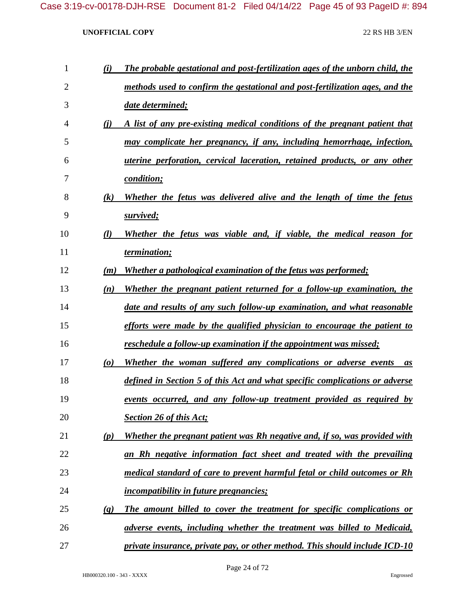| 1              | (i)                             | The probable gestational and post-fertilization ages of the unborn child, the    |
|----------------|---------------------------------|----------------------------------------------------------------------------------|
| $\overline{2}$ |                                 | methods used to confirm the gestational and post-fertilization ages, and the     |
| 3              |                                 | date determined;                                                                 |
| 4              | (i)                             | A list of any pre-existing medical conditions of the pregnant patient that       |
| 5              |                                 | may complicate her pregnancy, if any, including hemorrhage, infection,           |
| 6              |                                 | <i>uterine perforation, cervical laceration, retained products, or any other</i> |
| 7              |                                 | <i>condition;</i>                                                                |
| 8              | $\left( k\right)$               | Whether the fetus was delivered alive and the length of time the fetus           |
| 9              |                                 | survived;                                                                        |
| 10             | $\mathcal{U}$                   | Whether the fetus was viable and, if viable, the medical reason for              |
| 11             |                                 | termination;                                                                     |
| 12             | (m)                             | <b>Whether a pathological examination of the fetus was performed;</b>            |
| 13             | (n)                             | Whether the pregnant patient returned for a follow-up examination, the           |
| 14             |                                 | date and results of any such follow-up examination, and what reasonable          |
| 15             |                                 | efforts were made by the qualified physician to encourage the patient to         |
| 16             |                                 | reschedule a follow-up examination if the appointment was missed;                |
| 17             | $\boldsymbol{(\boldsymbol{o})}$ | Whether the woman suffered any complications or adverse events<br>as             |
| 18             |                                 | defined in Section 5 of this Act and what specific complications or adverse      |
| 19             |                                 | <u>events occurred, and any follow-up treatment provided as required by</u>      |
| 20             |                                 | <b>Section 26 of this Act;</b>                                                   |
| 21             | (p)                             | Whether the pregnant patient was Rh negative and, if so, was provided with       |
| 22             |                                 | an Rh negative information fact sheet and treated with the prevailing            |
| 23             |                                 | medical standard of care to prevent harmful fetal or child outcomes or Rh        |
| 24             |                                 | <i>incompatibility in future pregnancies;</i>                                    |
| 25             | (q)                             | The amount billed to cover the treatment for specific complications or           |
| 26             |                                 | adverse events, including whether the treatment was billed to Medicaid,          |
| 27             |                                 | private insurance, private pay, or other method. This should include ICD-10      |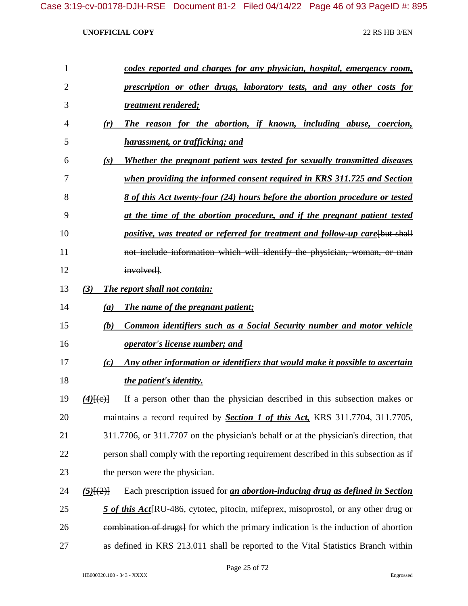| $\mathbf{1}$   | codes reported and charges for any physician, hospital, emergency room,                                |
|----------------|--------------------------------------------------------------------------------------------------------|
| $\overline{2}$ | prescription or other drugs, laboratory tests, and any other costs for                                 |
| 3              | treatment rendered;                                                                                    |
| 4              | The reason for the abortion, if known, including abuse, coercion,<br>(r)                               |
| 5              | harassment, or trafficking; and                                                                        |
| 6              | Whether the pregnant patient was tested for sexually transmitted diseases<br>(s)                       |
| 7              | when providing the informed consent required in KRS 311.725 and Section                                |
| 8              | <u>8 of this Act twenty-four (24) hours before the abortion procedure or tested</u>                    |
| 9              | at the time of the abortion procedure, and if the pregnant patient tested                              |
| 10             | positive, was treated or referred for treatment and follow-up care[but shall                           |
| 11             | not include information which will identify the physician, woman, or man                               |
| 12             | involved.                                                                                              |
| 13             | The report shall not contain:<br>(3)                                                                   |
| 14             | The name of the pregnant patient;<br>(a)                                                               |
| 15             | Common identifiers such as a Social Security number and motor vehicle<br>(b)                           |
| 16             | <i>operator's license number; and</i>                                                                  |
| 17             | Any other information or identifiers that would make it possible to ascertain<br>(c)                   |
| 18             | the patient's identity.                                                                                |
| 19             | If a person other than the physician described in this subsection makes or<br>$(4)$ $\{(\text{e})\}$   |
| 20             | maintains a record required by <b>Section 1 of this Act</b> , KRS 311.7704, 311.7705,                  |
| 21             | 311.7706, or 311.7707 on the physician's behalf or at the physician's direction, that                  |
| 22             | person shall comply with the reporting requirement described in this subsection as if                  |
| 23             | the person were the physician.                                                                         |
| 24             | Each prescription issued for <i>an abortion-inducing drug as defined in Section</i><br>$(5)$ [ $(2)$ ] |
| 25             | 5 of this Act <sup>[RU-486</sup> , cytotec, pitocin, mifeprex, misoprostol, or any other drug or       |
| 26             | eombination of drugs] for which the primary indication is the induction of abortion                    |
| 27             | as defined in KRS 213.011 shall be reported to the Vital Statistics Branch within                      |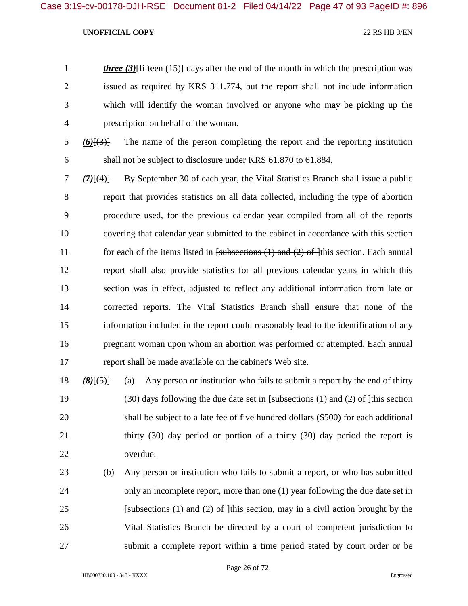*three (3)*<sup>[fifteen (15)]</sup> days after the end of the month in which the prescription was issued as required by KRS 311.774, but the report shall not include information which will identify the woman involved or anyone who may be picking up the prescription on behalf of the woman.

 *(6)*[(3)] The name of the person completing the report and the reporting institution shall not be subject to disclosure under KRS 61.870 to 61.884.

 *(7)*[(4)] By September 30 of each year, the Vital Statistics Branch shall issue a public report that provides statistics on all data collected, including the type of abortion procedure used, for the previous calendar year compiled from all of the reports covering that calendar year submitted to the cabinet in accordance with this section 11 for each of the items listed in [subsections (1) and (2) of ]this section. Each annual report shall also provide statistics for all previous calendar years in which this section was in effect, adjusted to reflect any additional information from late or corrected reports. The Vital Statistics Branch shall ensure that none of the information included in the report could reasonably lead to the identification of any pregnant woman upon whom an abortion was performed or attempted. Each annual report shall be made available on the cabinet's Web site.

 *(8)*[(5)] (a) Any person or institution who fails to submit a report by the end of thirty (30) days following the due date set in [subsections (1) and (2) of ]this section shall be subject to a late fee of five hundred dollars (\$500) for each additional thirty (30) day period or portion of a thirty (30) day period the report is overdue.

 (b) Any person or institution who fails to submit a report, or who has submitted only an incomplete report, more than one (1) year following the due date set in **Example 1 Example 1 Example 1 Example 1 Example 1 Example 1 Example 1 Example 1 Example 1 Example 1 Example 1 Example 1 Example 1 Example 1 Example 1 Example 1 Example 1 Example 1 Ex**  Vital Statistics Branch be directed by a court of competent jurisdiction to submit a complete report within a time period stated by court order or be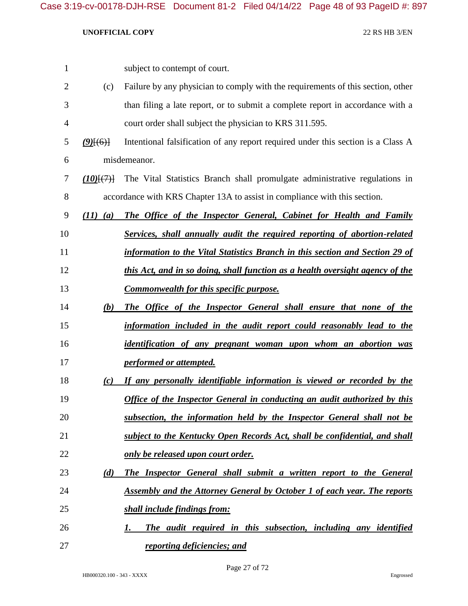| 1              |              | subject to contempt of court.                                                    |
|----------------|--------------|----------------------------------------------------------------------------------|
| $\overline{2}$ | (c)          | Failure by any physician to comply with the requirements of this section, other  |
| 3              |              | than filing a late report, or to submit a complete report in accordance with a   |
| 4              |              | court order shall subject the physician to KRS 311.595.                          |
| 5              | $(9)$ [(6)]  | Intentional falsification of any report required under this section is a Class A |
| 6              |              | misdemeanor.                                                                     |
| 7              | (10)(7)      | The Vital Statistics Branch shall promulgate administrative regulations in       |
| 8              |              | accordance with KRS Chapter 13A to assist in compliance with this section.       |
| 9              | $(11)$ $(a)$ | The Office of the Inspector General, Cabinet for Health and Family               |
| 10             |              | Services, shall annually audit the required reporting of abortion-related        |
| 11             |              | information to the Vital Statistics Branch in this section and Section 29 of     |
| 12             |              | this Act, and in so doing, shall function as a health oversight agency of the    |
| 13             |              | <b>Commonwealth for this specific purpose.</b>                                   |
| 14             | (b)          | The Office of the Inspector General shall ensure that none of the                |
| 15             |              | information included in the audit report could reasonably lead to the            |
| 16             |              | identification of any pregnant woman upon whom an abortion was                   |
| 17             |              | <i><u><b>performed or attempted.</b></u></i>                                     |
| 18             | (c)          | If any personally identifiable information is viewed or recorded by the          |
| 19             |              | <b>Office of the Inspector General in conducting an audit authorized by this</b> |
| 20             |              | subsection, the information held by the Inspector General shall not be           |
| 21             |              | subject to the Kentucky Open Records Act, shall be confidential, and shall       |
| 22             |              | only be released upon court order.                                               |
| 23             | (d)          | <b>The Inspector General shall submit a written report to the General</b>        |
| 24             |              | <b>Assembly and the Attorney General by October 1 of each year. The reports</b>  |
| 25             |              | shall include findings from:                                                     |
| 26             |              | The audit required in this subsection, including any identified<br>1.            |
| 27             |              | reporting deficiencies; and                                                      |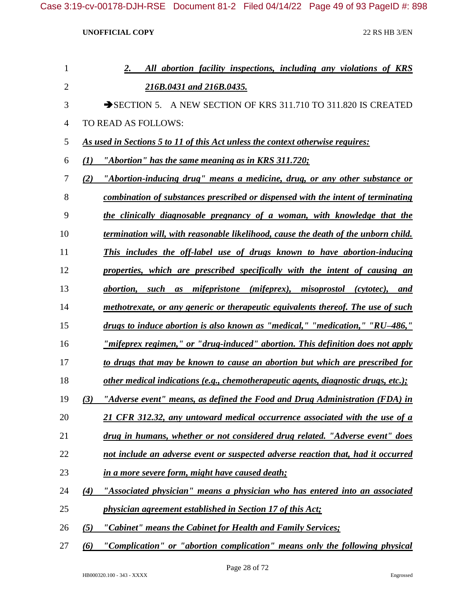| 1              | All abortion facility inspections, including any violations of KRS<br>2.              |
|----------------|---------------------------------------------------------------------------------------|
| $\overline{2}$ | 216B.0431 and 216B.0435.                                                              |
| 3              | A NEW SECTION OF KRS 311.710 TO 311.820 IS CREATED<br>$\rightarrow$ SECTION 5.        |
| 4              | TO READ AS FOLLOWS:                                                                   |
| 5              | As used in Sections 5 to 11 of this Act unless the context otherwise requires:        |
| 6              | "Abortion" has the same meaning as in KRS 311.720;<br>(I)                             |
| 7              | "Abortion-inducing drug" means a medicine, drug, or any other substance or<br>(2)     |
| 8              | combination of substances prescribed or dispensed with the intent of terminating      |
| 9              | the clinically diagnosable pregnancy of a woman, with knowledge that the              |
| 10             | termination will, with reasonable likelihood, cause the death of the unborn child.    |
| 11             | This includes the off-label use of drugs known to have abortion-inducing              |
| 12             | properties, which are prescribed specifically with the intent of causing an           |
| 13             | abortion, such as mifepristone (mifeprex), misoprostol (cytotec), and                 |
| 14             | methotrexate, or any generic or therapeutic equivalents thereof. The use of such      |
| 15             | drugs to induce abortion is also known as "medical," "medication," "RU-486,"          |
| 16             | <u>"mifeprex regimen," or "drug-induced" abortion. This definition does not apply</u> |
| 17             | to drugs that may be known to cause an abortion but which are prescribed for          |
| 18             | other medical indications (e.g., chemotherapeutic agents, diagnostic drugs, etc.);    |
| 19             | "Adverse event" means, as defined the Food and Drug Administration (FDA) in<br>(3)    |
| 20             | 21 CFR 312.32, any untoward medical occurrence associated with the use of a           |
| 21             | drug in humans, whether or not considered drug related. "Adverse event" does          |
| 22             | not include an adverse event or suspected adverse reaction that, had it occurred      |
| 23             | in a more severe form, might have caused death;                                       |
| 24             | "Associated physician" means a physician who has entered into an associated<br>(4)    |
| 25             | physician agreement established in Section 17 of this Act;                            |
| 26             | "Cabinet" means the Cabinet for Health and Family Services;<br>(5)                    |
| 27             | "Complication" or "abortion complication" means only the following physical<br>(6)    |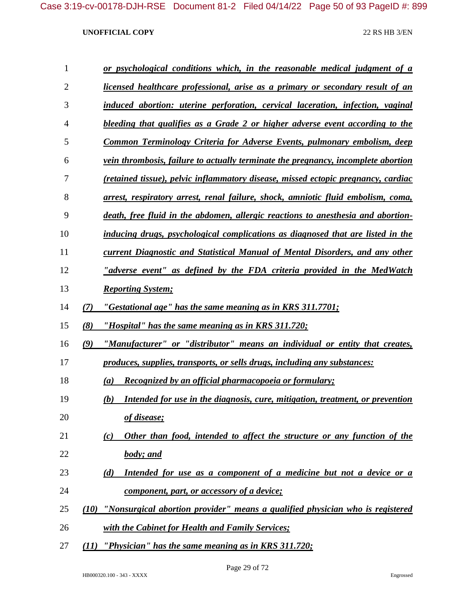| $\mathbf{1}$   |     | or psychological conditions which, in the reasonable medical judgment of a           |
|----------------|-----|--------------------------------------------------------------------------------------|
| $\overline{2}$ |     | licensed healthcare professional, arise as a primary or secondary result of an       |
| 3              |     | induced abortion: uterine perforation, cervical laceration, infection, vaginal       |
| $\overline{4}$ |     | bleeding that qualifies as a Grade 2 or higher adverse event according to the        |
| 5              |     | Common Terminology Criteria for Adverse Events, pulmonary embolism, deep             |
| 6              |     | vein thrombosis, failure to actually terminate the pregnancy, incomplete abortion    |
| 7              |     | (retained tissue), pelvic inflammatory disease, missed ectopic pregnancy, cardiac    |
| 8              |     | arrest, respiratory arrest, renal failure, shock, amniotic fluid embolism, coma,     |
| 9              |     | death, free fluid in the abdomen, allergic reactions to anesthesia and abortion-     |
| 10             |     | inducing drugs, psychological complications as diagnosed that are listed in the      |
| 11             |     | <b>current Diagnostic and Statistical Manual of Mental Disorders, and any other</b>  |
| 12             |     | <u>"adverse event" as defined by the FDA criteria provided in the MedWatch</u>       |
| 13             |     | <b>Reporting System;</b>                                                             |
| 14             | (7) | "Gestational age" has the same meaning as in KRS 311.7701;                           |
| 15             | (8) | "Hospital" has the same meaning as in KRS 311.720;                                   |
| 16             | (9) | "Manufacturer" or "distributor" means an individual or entity that creates,          |
| 17             |     | produces, supplies, transports, or sells drugs, including any substances:            |
| 18             |     | Recognized by an official pharmacopoeia or formulary;<br>(a)                         |
| 19             |     | Intended for use in the diagnosis, cure, mitigation, treatment, or prevention<br>(b) |
| 20             |     | of disease;                                                                          |
| 21             |     | Other than food, intended to affect the structure or any function of the<br>(c)      |
| 22             |     | body; and                                                                            |
| 23             |     | Intended for use as a component of a medicine but not a device or a<br>(d)           |
| 24             |     | component, part, or accessory of a device;                                           |
| 25             |     | (10) "Nonsurgical abortion provider" means a qualified physician who is registered   |
| 26             |     | with the Cabinet for Health and Family Services;                                     |
| 27             |     | $(11)$ "Physician" has the same meaning as in KRS 311.720;                           |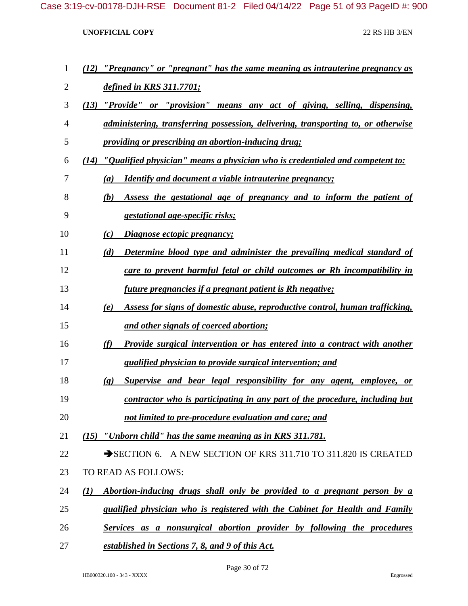| 1  | (12) "Pregnancy" or "pregnant" has the same meaning as intrauterine pregnancy as                   |
|----|----------------------------------------------------------------------------------------------------|
| 2  | <u>defined in KRS 311.7701;</u>                                                                    |
| 3  | (13) "Provide" or "provision" means any act of giving, selling, dispensing,                        |
| 4  | <u>administering, transferring possession, delivering, transporting to, or otherwise</u>           |
| 5  | <i><u><b>providing or prescribing an abortion-inducing drug;</b></u></i>                           |
| 6  | $(14)$ "Qualified physician" means a physician who is credentialed and competent to:               |
| 7  | <b>Identify and document a viable intrauterine pregnancy;</b><br>$\left(a\right)$                  |
| 8  | Assess the gestational age of pregnancy and to inform the patient of<br>(b)                        |
| 9  | <i>gestational age-specific risks;</i>                                                             |
| 10 | Diagnose ectopic pregnancy;<br>(c)                                                                 |
| 11 | Determine blood type and administer the prevailing medical standard of<br>(d)                      |
| 12 | care to prevent harmful fetal or child outcomes or Rh incompatibility in                           |
| 13 | <u>future pregnancies if a pregnant patient is Rh negative;</u>                                    |
| 14 | Assess for signs of domestic abuse, reproductive control, human trafficking,<br>(e)                |
| 15 | and other signals of coerced abortion;                                                             |
| 16 | (f)<br><b>Provide surgical intervention or has entered into a contract with another</b>            |
| 17 | <i>qualified physician to provide surgical intervention; and</i>                                   |
| 18 | Supervise and bear legal responsibility for any agent, employee, or<br>$\left( \mathbf{g} \right)$ |
| 19 | <u>contractor who is participating in any part of the procedure, including but</u>                 |
| 20 | not limited to pre-procedure evaluation and care; and                                              |
| 21 | (15) "Unborn child" has the same meaning as in KRS 311.781.                                        |
| 22 | SECTION 6. A NEW SECTION OF KRS 311.710 TO 311.820 IS CREATED                                      |
| 23 | TO READ AS FOLLOWS:                                                                                |
| 24 | Abortion-inducing drugs shall only be provided to a pregnant person by a<br>$\mathcal{L}(I)$       |
| 25 | qualified physician who is registered with the Cabinet for Health and Family                       |
| 26 | Services as a nonsurgical abortion provider by following the procedures                            |
| 27 | <u>established in Sections 7, 8, and 9 of this Act.</u>                                            |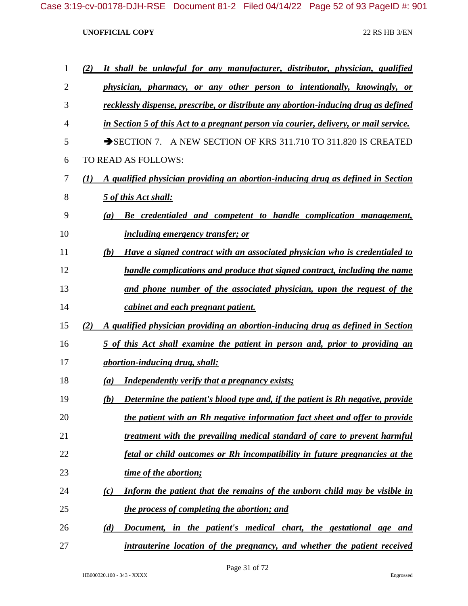| 1  | It shall be unlawful for any manufacturer, distributor, physician, qualified<br>(2)                 |
|----|-----------------------------------------------------------------------------------------------------|
| 2  | physician, pharmacy, or any other person to intentionally, knowingly, or                            |
| 3  | recklessly dispense, prescribe, or distribute any abortion-inducing drug as defined                 |
| 4  | in Section 5 of this Act to a pregnant person via courier, delivery, or mail service.               |
| 5  | $\rightarrow$ SECTION 7.<br>A NEW SECTION OF KRS 311.710 TO 311.820 IS CREATED                      |
| 6  | TO READ AS FOLLOWS:                                                                                 |
| 7  | A qualified physician providing an abortion-inducing drug as defined in Section<br>$\mathcal{L}(I)$ |
| 8  | 5 of this Act shall:                                                                                |
| 9  | Be credentialed and competent to handle complication management,<br>(a)                             |
| 10 | <i>including emergency transfer; or</i>                                                             |
| 11 | Have a signed contract with an associated physician who is credentialed to<br>(b)                   |
| 12 | handle complications and produce that signed contract, including the name                           |
| 13 | and phone number of the associated physician, upon the request of the                               |
| 14 | cabinet and each pregnant patient.                                                                  |
| 15 | A qualified physician providing an abortion-inducing drug as defined in Section<br>(2)              |
| 16 | 5 of this Act shall examine the patient in person and, prior to providing an                        |
| 17 | <i>abortion-inducing drug, shall:</i>                                                               |
| 18 | <b>Independently verify that a pregnancy exists;</b><br>$\left(a\right)$                            |
| 19 | Determine the patient's blood type and, if the patient is Rh negative, provide<br>(b)               |
| 20 | the patient with an Rh negative information fact sheet and offer to provide                         |
| 21 | treatment with the prevailing medical standard of care to prevent harmful                           |
| 22 | fetal or child outcomes or Rh incompatibility in future pregnancies at the                          |
| 23 | time of the abortion;                                                                               |
| 24 | Inform the patient that the remains of the unborn child may be visible in<br>(c)                    |
| 25 | the process of completing the abortion; and                                                         |
| 26 | Document, in the patient's medical chart, the gestational age and<br>(d)                            |
| 27 | intrauterine location of the pregnancy, and whether the patient received                            |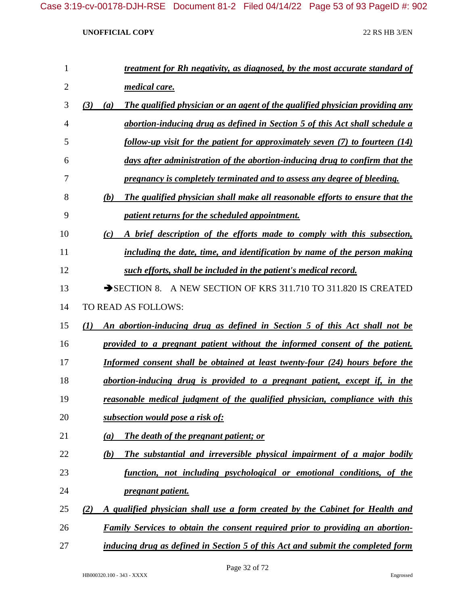| $\mathbf{1}$   | treatment for Rh negativity, as diagnosed, by the most accurate standard of                |
|----------------|--------------------------------------------------------------------------------------------|
| $\overline{2}$ | medical care.                                                                              |
| 3              | (3)<br>The qualified physician or an agent of the qualified physician providing any<br>(a) |
| $\overline{4}$ | abortion-inducing drug as defined in Section 5 of this Act shall schedule a                |
| 5              | follow-up visit for the patient for approximately seven (7) to fourteen (14)               |
| 6              | days after administration of the abortion-inducing drug to confirm that the                |
| 7              | pregnancy is completely terminated and to assess any degree of bleeding.                   |
| 8              | (b)<br>The qualified physician shall make all reasonable efforts to ensure that the        |
| 9              | patient returns for the scheduled appointment.                                             |
| 10             | A brief description of the efforts made to comply with this subsection,<br>(c)             |
| 11             | including the date, time, and identification by name of the person making                  |
| 12             | such efforts, shall be included in the patient's medical record.                           |
| 13             | SECTION 8. A NEW SECTION OF KRS 311.710 TO 311.820 IS CREATED                              |
| 14             | TO READ AS FOLLOWS:                                                                        |
| 15             | An abortion-inducing drug as defined in Section 5 of this Act shall not be<br>(I)          |
| 16             | provided to a pregnant patient without the informed consent of the patient.                |
| 17             | Informed consent shall be obtained at least twenty-four (24) hours before the              |
| 18             | abortion-inducing drug is provided to a pregnant patient, except if, in the                |
| 19             | reasonable medical judgment of the qualified physician, compliance with this               |
| 20             | subsection would pose a risk of:                                                           |
| 21             | The death of the pregnant patient; or<br>(a)                                               |
| 22             | The substantial and irreversible physical impairment of a major bodily<br>(b)              |
| 23             | function, not including psychological or emotional conditions, of the                      |
| 24             | pregnant patient.                                                                          |
| 25             | A qualified physician shall use a form created by the Cabinet for Health and<br>(2)        |
| 26             | Family Services to obtain the consent required prior to providing an abortion-             |
| 27             | inducing drug as defined in Section 5 of this Act and submit the completed form            |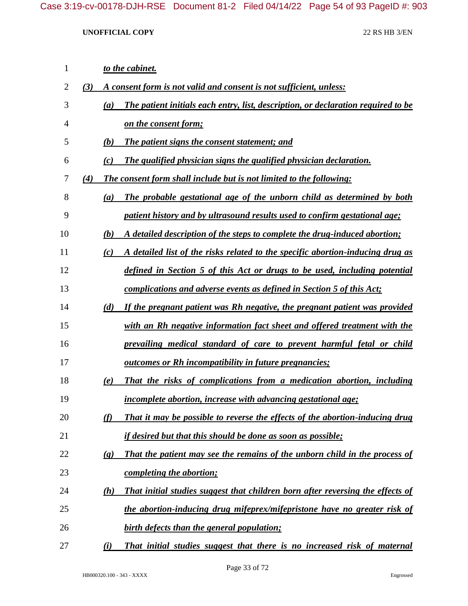| 1  |     | to the cabinet.                                                                                           |
|----|-----|-----------------------------------------------------------------------------------------------------------|
| 2  | (3) | A consent form is not valid and consent is not sufficient, unless:                                        |
| 3  |     | The patient initials each entry, list, description, or declaration required to be<br>(a)                  |
| 4  |     | on the consent form;                                                                                      |
| 5  |     | (b)<br>The patient signs the consent statement; and                                                       |
| 6  |     | The qualified physician signs the qualified physician declaration.<br>(c)                                 |
| 7  | (4) | The consent form shall include but is not limited to the following:                                       |
| 8  |     | The probable gestational age of the unborn child as determined by both<br>(a)                             |
| 9  |     | patient history and by ultrasound results used to confirm gestational age;                                |
| 10 |     | (b)<br>A detailed description of the steps to complete the drug-induced abortion;                         |
| 11 |     | A detailed list of the risks related to the specific abortion-inducing drug as<br>(c)                     |
| 12 |     | defined in Section 5 of this Act or drugs to be used, including potential                                 |
| 13 |     | complications and adverse events as defined in Section 5 of this Act;                                     |
| 14 |     | (d)<br>If the pregnant patient was Rh negative, the pregnant patient was provided                         |
| 15 |     | with an Rh negative information fact sheet and offered treatment with the                                 |
| 16 |     | prevailing medical standard of care to prevent harmful fetal or child                                     |
| 17 |     | <u><b>outcomes or Rh incompatibility in future pregnancies;</b></u>                                       |
| 18 |     | That the risks of complications from a medication abortion, including<br>(e)                              |
| 19 |     | <i>incomplete abortion, increase with advancing gestational age;</i>                                      |
| 20 |     | That it may be possible to reverse the effects of the abortion-inducing drug<br>(f)                       |
| 21 |     | <i>if desired but that this should be done as soon as possible;</i>                                       |
| 22 |     | That the patient may see the remains of the unborn child in the process of<br>$\left( \mathbf{g} \right)$ |
| 23 |     | completing the abortion;                                                                                  |
| 24 |     | That initial studies suggest that children born after reversing the effects of<br>(h)                     |
| 25 |     | the abortion-inducing drug mifeprex/mifepristone have no greater risk of                                  |
| 26 |     | birth defects than the general population;                                                                |
| 27 |     | (i)<br>That initial studies suggest that there is no increased risk of maternal                           |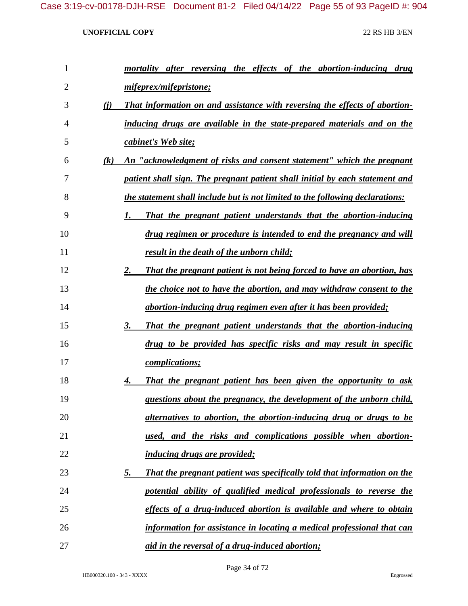| 1              |     | mortality after reversing the effects of the abortion-inducing drug           |
|----------------|-----|-------------------------------------------------------------------------------|
| $\overline{2}$ |     | mifeprex/mifepristone;                                                        |
| 3              | (i) | That information on and assistance with reversing the effects of abortion-    |
| 4              |     | inducing drugs are available in the state-prepared materials and on the       |
| 5              |     | cabinet's Web site;                                                           |
| 6              | (k) | An "acknowledgment of risks and consent statement" which the pregnant         |
| 7              |     | patient shall sign. The pregnant patient shall initial by each statement and  |
| 8              |     | the statement shall include but is not limited to the following declarations: |
| 9              |     | That the pregnant patient understands that the abortion-inducing<br>1.        |
| 10             |     | drug regimen or procedure is intended to end the pregnancy and will           |
| 11             |     | result in the death of the unborn child;                                      |
| 12             |     | That the pregnant patient is not being forced to have an abortion, has<br>2.  |
| 13             |     | the choice not to have the abortion, and may withdraw consent to the          |
| 14             |     | abortion-inducing drug regimen even after it has been provided;               |
| 15             |     | That the pregnant patient understands that the abortion-inducing<br>3.        |
| 16             |     | drug to be provided has specific risks and may result in specific             |
| 17             |     | <i>complications;</i>                                                         |
| 18             |     | That the pregnant patient has been given the opportunity to ask<br>4.         |
| 19             |     | questions about the pregnancy, the development of the unborn child,           |
| 20             |     | alternatives to abortion, the abortion-inducing drug or drugs to be           |
| 21             |     | used, and the risks and complications possible when abortion-                 |
| 22             |     | <i>inducing drugs are provided;</i>                                           |
| 23             |     | That the pregnant patient was specifically told that information on the<br>5. |
| 24             |     | potential ability of qualified medical professionals to reverse the           |
| 25             |     | effects of a drug-induced abortion is available and where to obtain           |
| 26             |     | information for assistance in locating a medical professional that can        |
| 27             |     | aid in the reversal of a drug-induced abortion;                               |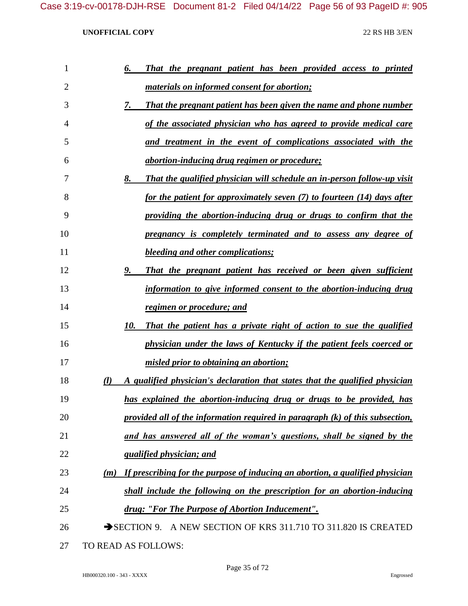| 1              | That the pregnant patient has been provided access to printed<br>6.                           |
|----------------|-----------------------------------------------------------------------------------------------|
| $\overline{2}$ | <u>materials on informed consent for abortion;</u>                                            |
| 3              | <b>That the pregnant patient has been given the name and phone number</b><br>7.               |
| 4              | of the associated physician who has agreed to provide medical care                            |
| 5              | and treatment in the event of complications associated with the                               |
| 6              | <u>abortion-inducing drug regimen or procedure;</u>                                           |
| 7              | 8.<br><b>That the qualified physician will schedule an in-person follow-up visit</b>          |
| 8              | for the patient for approximately seven (7) to fourteen (14) days after                       |
| 9              | providing the abortion-inducing drug or drugs to confirm that the                             |
| 10             | pregnancy is completely terminated and to assess any degree of                                |
| 11             | <b>bleeding and other complications;</b>                                                      |
| 12             | That the pregnant patient has received or been given sufficient<br>9.                         |
| 13             | information to give informed consent to the abortion-inducing drug                            |
| 14             | regimen or procedure; and                                                                     |
| 15             | That the patient has a private right of action to sue the qualified<br>10.                    |
| 16             | physician under the laws of Kentucky if the patient feels coerced or                          |
| 17             | misled prior to obtaining an abortion;                                                        |
| 18             | $\mathcal{U}$<br>A qualified physician's declaration that states that the qualified physician |
| 19             | has explained the abortion-inducing drug or drugs to be provided, has                         |
| 20             | provided all of the information required in paragraph $(k)$ of this subsection,               |
| 21             | and has answered all of the woman's questions, shall be signed by the                         |
| 22             | <i><u><b>gualified physician; and</b></u></i>                                                 |
| 23             | If prescribing for the purpose of inducing an abortion, a qualified physician<br>(m)          |
| 24             | shall include the following on the prescription for an abortion-inducing                      |
| 25             | drug: "For The Purpose of Abortion Inducement".                                               |
| 26             | SECTION 9. A NEW SECTION OF KRS 311.710 TO 311.820 IS CREATED                                 |
| 27             | TO READ AS FOLLOWS:                                                                           |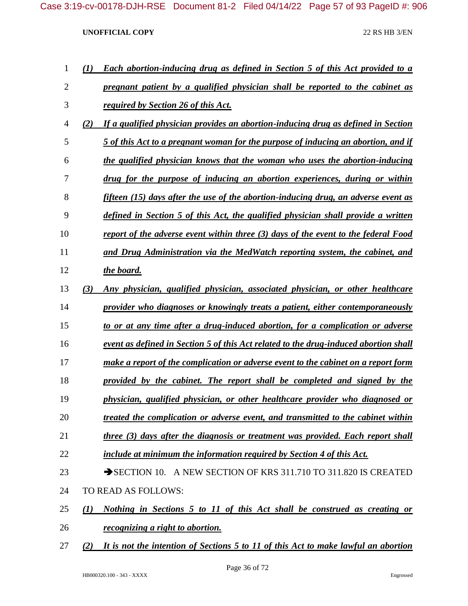| 1              | (I) | <b>Each abortion-inducing drug as defined in Section 5 of this Act provided to a</b> |
|----------------|-----|--------------------------------------------------------------------------------------|
| $\overline{2}$ |     | pregnant patient by a qualified physician shall be reported to the cabinet as        |
| 3              |     | required by Section 26 of this Act.                                                  |
| $\overline{4}$ | (2) | If a qualified physician provides an abortion-inducing drug as defined in Section    |
| 5              |     | 5 of this Act to a pregnant woman for the purpose of inducing an abortion, and if    |
| 6              |     | the qualified physician knows that the woman who uses the abortion-inducing          |
| 7              |     | drug for the purpose of inducing an abortion experiences, during or within           |
| 8              |     | fifteen $(15)$ days after the use of the abortion-inducing drug, an adverse event as |
| 9              |     | defined in Section 5 of this Act, the qualified physician shall provide a written    |
| 10             |     | report of the adverse event within three (3) days of the event to the federal Food   |
| 11             |     | and Drug Administration via the MedWatch reporting system, the cabinet, and          |
| 12             |     | the board.                                                                           |
| 13             | (3) | Any physician, qualified physician, associated physician, or other healthcare        |
| 14             |     | provider who diagnoses or knowingly treats a patient, either contemporaneously       |
| 15             |     | to or at any time after a drug-induced abortion, for a complication or adverse       |
| 16             |     | event as defined in Section 5 of this Act related to the drug-induced abortion shall |
| 17             |     | make a report of the complication or adverse event to the cabinet on a report form   |
| 18             |     | provided by the cabinet. The report shall be completed and signed by the             |
| 19             |     | physician, qualified physician, or other healthcare provider who diagnosed or        |
| 20             |     | treated the complication or adverse event, and transmitted to the cabinet within     |
| 21             |     | three (3) days after the diagnosis or treatment was provided. Each report shall      |
| 22             |     | include at minimum the information required by Section 4 of this Act.                |
| 23             |     | SECTION 10. A NEW SECTION OF KRS 311.710 TO 311.820 IS CREATED                       |
| 24             |     | TO READ AS FOLLOWS:                                                                  |
| 25             | (1) | Nothing in Sections 5 to 11 of this Act shall be construed as creating or            |
| 26             |     | <i>recognizing a right to abortion.</i>                                              |
| 27             | (2) | It is not the intention of Sections 5 to 11 of this Act to make lawful an abortion   |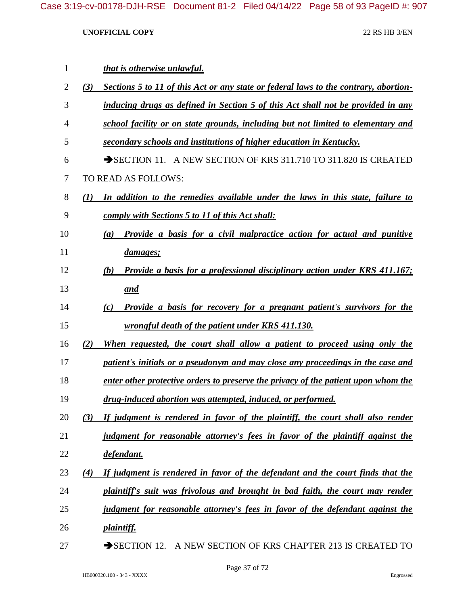| 1              |     | that is otherwise unlawful.                                                           |
|----------------|-----|---------------------------------------------------------------------------------------|
| $\overline{2}$ | (3) | Sections 5 to 11 of this Act or any state or federal laws to the contrary, abortion-  |
| 3              |     | inducing drugs as defined in Section 5 of this Act shall not be provided in any       |
| 4              |     | school facility or on state grounds, including but not limited to elementary and      |
| 5              |     | secondary schools and institutions of higher education in Kentucky.                   |
| 6              |     | SECTION 11. A NEW SECTION OF KRS 311.710 TO 311.820 IS CREATED                        |
| 7              |     | TO READ AS FOLLOWS:                                                                   |
| 8              | (I) | In addition to the remedies available under the laws in this state, failure to        |
| 9              |     | <u>comply with Sections 5 to 11 of this Act shall:</u>                                |
| 10             |     | <b>Provide a basis for a civil malpractice action for actual and punitive</b><br>(a)  |
| 11             |     | <u>damages;</u>                                                                       |
| 12             |     | Provide a basis for a professional disciplinary action under KRS 411.167;<br>(b)      |
| 13             |     | <u>and</u>                                                                            |
| 14             |     | <b>Provide a basis for recovery for a pregnant patient's survivors for the</b><br>(c) |
| 15             |     | wrongful death of the patient under KRS 411.130.                                      |
| 16             | (2) | When requested, the court shall allow a patient to proceed using only the             |
| 17             |     | patient's initials or a pseudonym and may close any proceedings in the case and       |
| 18             |     | enter other protective orders to preserve the privacy of the patient upon whom the    |
| 19             |     | drug-induced abortion was attempted, induced, or performed.                           |
| 20             | (3) | If judgment is rendered in favor of the plaintiff, the court shall also render        |
| 21             |     | judgment for reasonable attorney's fees in favor of the plaintiff against the         |
| 22             |     | defendant.                                                                            |
| 23             | (4) | If judgment is rendered in favor of the defendant and the court finds that the        |
| 24             |     | plaintiff's suit was frivolous and brought in bad faith, the court may render         |
| 25             |     | judgment for reasonable attorney's fees in favor of the defendant against the         |
| 26             |     | <i>plaintiff.</i>                                                                     |
| 27             |     | SECTION 12. A NEW SECTION OF KRS CHAPTER 213 IS CREATED TO                            |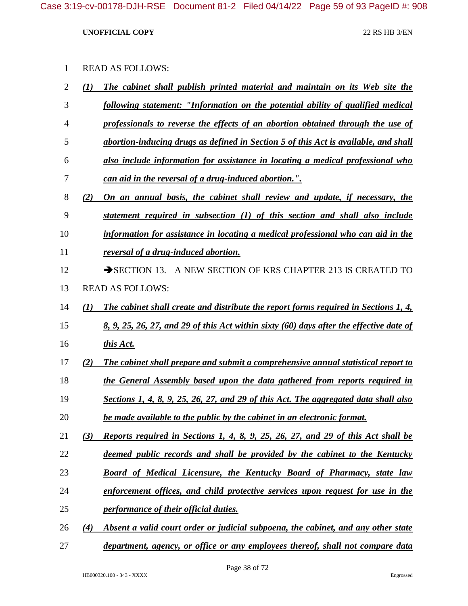| <b>READ AS FOLLOWS:</b> |  |
|-------------------------|--|
|-------------------------|--|

| $\overline{2}$ | (I) | The cabinet shall publish printed material and maintain on its Web site the             |
|----------------|-----|-----------------------------------------------------------------------------------------|
| 3              |     | following statement: "Information on the potential ability of qualified medical         |
| 4              |     | professionals to reverse the effects of an abortion obtained through the use of         |
| 5              |     | abortion-inducing drugs as defined in Section 5 of this Act is available, and shall     |
| 6              |     | also include information for assistance in locating a medical professional who          |
| 7              |     | <u>can aid in the reversal of a drug-induced abortion.".</u>                            |
| 8              | (2) | On an annual basis, the cabinet shall review and update, if necessary, the              |
| 9              |     | statement required in subsection (1) of this section and shall also include             |
| 10             |     | information for assistance in locating a medical professional who can aid in the        |
| 11             |     | reversal of a drug-induced abortion.                                                    |
| 12             |     | SECTION 13. A NEW SECTION OF KRS CHAPTER 213 IS CREATED TO                              |
| 13             |     | <b>READ AS FOLLOWS:</b>                                                                 |
| 14             | (1) | The cabinet shall create and distribute the report forms required in Sections 1, 4,     |
| 15             |     | 8, 9, 25, 26, 27, and 29 of this Act within sixty (60) days after the effective date of |
| 16             |     | this Act.                                                                               |
| 17             | (2) | The cabinet shall prepare and submit a comprehensive annual statistical report to       |
| 18             |     | the General Assembly based upon the data gathered from reports required in              |
| 19             |     | Sections 1, 4, 8, 9, 25, 26, 27, and 29 of this Act. The aggregated data shall also     |
| 20             |     | be made available to the public by the cabinet in an electronic format.                 |
| 21             | (3) | Reports required in Sections 1, 4, 8, 9, 25, 26, 27, and 29 of this Act shall be        |
| 22             |     | deemed public records and shall be provided by the cabinet to the Kentucky              |
| 23             |     | <b>Board of Medical Licensure, the Kentucky Board of Pharmacy, state law</b>            |
| 24             |     | enforcement offices, and child protective services upon request for use in the          |
| 25             |     | performance of their official duties.                                                   |
| 26             | (4) | Absent a valid court order or judicial subpoena, the cabinet, and any other state       |
|                |     |                                                                                         |

*department, agency, or office or any employees thereof, shall not compare data*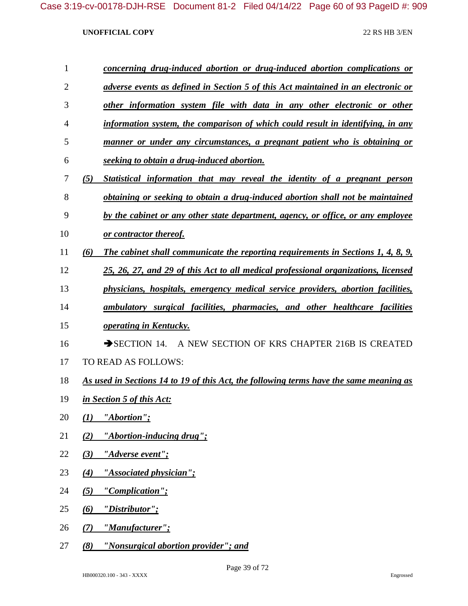| concerning drug-induced abortion or drug-induced abortion complications or        |
|-----------------------------------------------------------------------------------|
| adverse events as defined in Section 5 of this Act maintained in an electronic or |

- *other information system file with data in any other electronic or other*
- *information system, the comparison of which could result in identifying, in any*
- *manner or under any circumstances, a pregnant patient who is obtaining or seeking to obtain a drug-induced abortion.*
- *(5) Statistical information that may reveal the identity of a pregnant person obtaining or seeking to obtain a drug-induced abortion shall not be maintained*
- *by the cabinet or any other state department, agency, or office, or any employee*
- *or contractor thereof.*
- *(6) The cabinet shall communicate the reporting requirements in Sections 1, 4, 8, 9,*
- *25, 26, 27, and 29 of this Act to all medical professional organizations, licensed*
- *physicians, hospitals, emergency medical service providers, abortion facilities,*
- *ambulatory surgical facilities, pharmacies, and other healthcare facilities*
- *operating in Kentucky.*
- 16 SECTION 14. A NEW SECTION OF KRS CHAPTER 216B IS CREATED
- TO READ AS FOLLOWS:
- *As used in Sections 14 to 19 of this Act, the following terms have the same meaning as*
- *in Section 5 of this Act:*
- *(1) "Abortion";*
- *(2) "Abortion-inducing drug";*
- *(3) "Adverse event";*
- *(4) "Associated physician";*
- *(5) "Complication";*
- *(6) "Distributor";*
- *(7) "Manufacturer";*
- *(8) "Nonsurgical abortion provider"; and*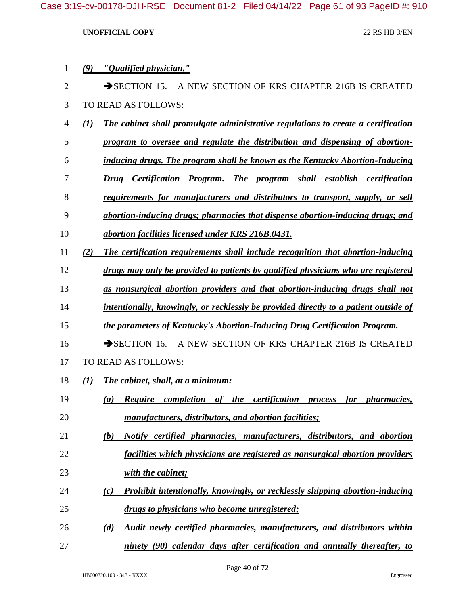| $\mathbf 1$    | "Qualified physician."<br>$\boldsymbol{\left(9\right)}$                                               |
|----------------|-------------------------------------------------------------------------------------------------------|
| $\overline{2}$ | $\rightarrow$ SECTION 15.<br>A NEW SECTION OF KRS CHAPTER 216B IS CREATED                             |
| 3              | TO READ AS FOLLOWS:                                                                                   |
| 4              | $\mathcal{L}(I)$<br>The cabinet shall promulgate administrative regulations to create a certification |
| 5              | program to oversee and regulate the distribution and dispensing of abortion-                          |
| 6              | inducing drugs. The program shall be known as the Kentucky Abortion-Inducing                          |
| 7              | The program shall establish certification<br>Certification Program.<br>Drug                           |
| 8              | requirements for manufacturers and distributors to transport, supply, or sell                         |
| 9              | abortion-inducing drugs; pharmacies that dispense abortion-inducing drugs; and                        |
| 10             | abortion facilities licensed under KRS 216B.0431.                                                     |
| 11             | (2)<br>The certification requirements shall include recognition that abortion-inducing                |
| 12             | drugs may only be provided to patients by qualified physicians who are registered                     |
| 13             | as nonsurgical abortion providers and that abortion-inducing drugs shall not                          |
| 14             | intentionally, knowingly, or recklessly be provided directly to a patient outside of                  |
| 15             | the parameters of Kentucky's Abortion-Inducing Drug Certification Program.                            |
| 16             | A NEW SECTION OF KRS CHAPTER 216B IS CREATED<br>$\rightarrow$ SECTION 16.                             |
| 17             | TO READ AS FOLLOWS:                                                                                   |
| 18             | $\mathcal{L}(I)$<br>The cabinet, shall, at a minimum:                                                 |
| 19             | <b>Require</b> completion of the certification<br>for <i>pharmacies</i> ,<br>(a)<br><i>process</i>    |
| 20             | manufacturers, distributors, and abortion facilities;                                                 |
| 21             | (b)<br>Notify certified pharmacies, manufacturers, distributors, and abortion                         |
| 22             | facilities which physicians are registered as nonsurgical abortion providers                          |
| 23             | with the cabinet;                                                                                     |
| 24             | Prohibit intentionally, knowingly, or recklessly shipping abortion-inducing<br>(c)                    |
| 25             | drugs to physicians who become unregistered;                                                          |
| 26             | Audit newly certified pharmacies, manufacturers, and distributors within<br>(d)                       |
| 27             | ninety (90) calendar days after certification and annually thereafter, to                             |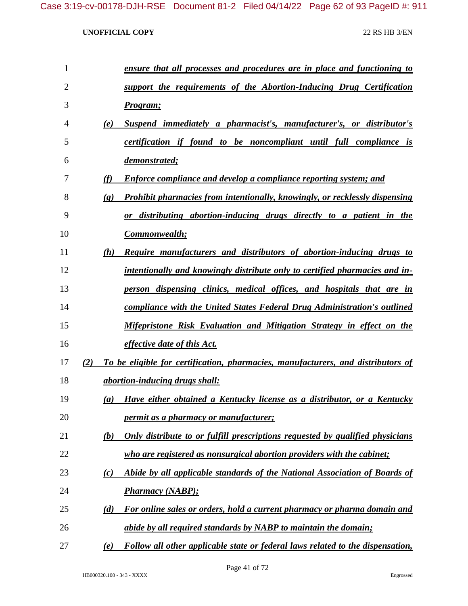| $\mathbf{1}$   |                             | ensure that all processes and procedures are in place and functioning to           |
|----------------|-----------------------------|------------------------------------------------------------------------------------|
| $\overline{2}$ |                             | support the requirements of the Abortion-Inducing Drug Certification               |
| 3              |                             | Program;                                                                           |
| 4              | (e)                         | Suspend immediately a pharmacist's, manufacturer's, or distributor's               |
| 5              |                             | certification if found to be noncompliant until full compliance is                 |
| 6              |                             | demonstrated;                                                                      |
| 7              | (f)                         | <b>Enforce compliance and develop a compliance reporting system; and</b>           |
| 8              | $\left( \mathbf{g} \right)$ | <b>Prohibit pharmacies from intentionally, knowingly, or recklessly dispensing</b> |
| 9              |                             | or distributing abortion-inducing drugs directly to a patient in the               |
| 10             |                             | <b>Commonwealth;</b>                                                               |
| 11             | (h)                         | Require manufacturers and distributors of abortion-inducing drugs to               |
| 12             |                             | intentionally and knowingly distribute only to certified pharmacies and in-        |
| 13             |                             | <u>person dispensing clinics, medical offices, and hospitals that are in</u>       |
| 14             |                             | compliance with the United States Federal Drug Administration's outlined           |
| 15             |                             | Mifepristone Risk Evaluation and Mitigation Strategy in effect on the              |
| 16             |                             | <i>effective date of this Act.</i>                                                 |
| 17             | (2)                         | To be eligible for certification, pharmacies, manufacturers, and distributors of   |
| 18             |                             | <i>abortion-inducing drugs shall:</i>                                              |
| 19             | (a)                         | Have either obtained a Kentucky license as a distributor, or a Kentucky            |
| 20             |                             | <i>permit as a pharmacy or manufacturer;</i>                                       |
| 21             | (b)                         | Only distribute to or fulfill prescriptions requested by qualified physicians      |
| 22             |                             | who are registered as nonsurgical abortion providers with the cabinet;             |
| 23             | (c)                         | Abide by all applicable standards of the National Association of Boards of         |
| 24             |                             | <b>Pharmacy (NABP);</b>                                                            |
| 25             | (d)                         | For online sales or orders, hold a current pharmacy or pharma domain and           |
| 26             |                             | abide by all required standards by NABP to maintain the domain;                    |
| 27             | (e)                         | Follow all other applicable state or federal laws related to the dispensation,     |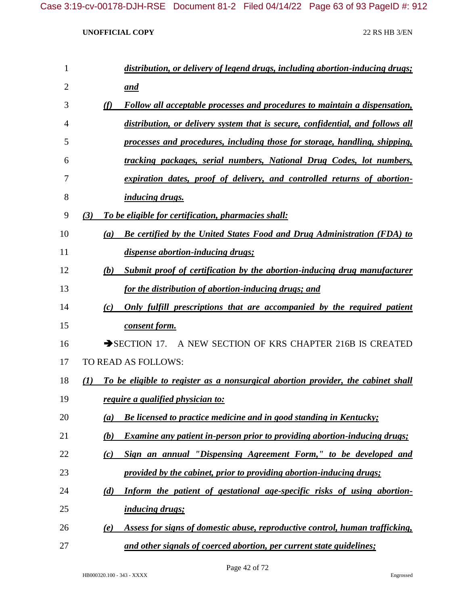| 1  | distribution, or delivery of legend drugs, including abortion-inducing drugs;           |
|----|-----------------------------------------------------------------------------------------|
| 2  | <u>and</u>                                                                              |
| 3  | (f)<br>Follow all acceptable processes and procedures to maintain a dispensation,       |
| 4  | distribution, or delivery system that is secure, confidential, and follows all          |
| 5  | processes and procedures, including those for storage, handling, shipping,              |
| 6  | tracking packages, serial numbers, National Drug Codes, lot numbers,                    |
| 7  | expiration dates, proof of delivery, and controlled returns of abortion-                |
| 8  | <i>inducing drugs.</i>                                                                  |
| 9  | To be eligible for certification, pharmacies shall:<br>(3)                              |
| 10 | <b>Be certified by the United States Food and Drug Administration (FDA) to</b><br>(a)   |
| 11 | dispense abortion-inducing drugs;                                                       |
| 12 | Submit proof of certification by the abortion-inducing drug manufacturer<br>(b)         |
| 13 | for the distribution of abortion-inducing drugs; and                                    |
| 14 | Only fulfill prescriptions that are accompanied by the required patient<br>(c)          |
| 15 | consent form.                                                                           |
| 16 | SECTION 17. A NEW SECTION OF KRS CHAPTER 216B IS CREATED                                |
| 17 | TO READ AS FOLLOWS:                                                                     |
| 18 | To be eligible to register as a nonsurgical abortion provider, the cabinet shall<br>(1) |
| 19 | require a qualified physician to:                                                       |
| 20 | Be licensed to practice medicine and in good standing in Kentucky;<br>(a)               |
| 21 | <b>Examine any patient in-person prior to providing abortion-inducing drugs;</b><br>(b) |
| 22 | Sign an annual "Dispensing Agreement Form," to be developed and<br>(c)                  |
| 23 | provided by the cabinet, prior to providing abortion-inducing drugs;                    |
| 24 | Inform the patient of gestational age-specific risks of using abortion-<br>(d)          |
| 25 | <i>inducing drugs;</i>                                                                  |
| 26 | Assess for signs of domestic abuse, reproductive control, human trafficking,<br>(e)     |
| 27 | and other signals of coerced abortion, per current state guidelines;                    |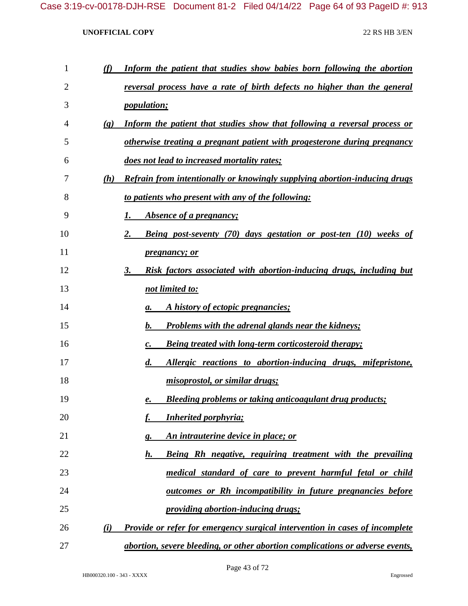| 1  | (f)                         | Inform the patient that studies show babies born following the abortion          |
|----|-----------------------------|----------------------------------------------------------------------------------|
| 2  |                             | reversal process have a rate of birth defects no higher than the general         |
| 3  |                             | <i>population;</i>                                                               |
| 4  | $\left( \mathbf{g} \right)$ | Inform the patient that studies show that following a reversal process or        |
| 5  |                             | otherwise treating a pregnant patient with progesterone during pregnancy         |
| 6  |                             | does not lead to increased mortality rates;                                      |
| 7  | (h)                         | <b>Refrain from intentionally or knowingly supplying abortion-inducing drugs</b> |
| 8  |                             | to patients who present with any of the following:                               |
| 9  |                             | <i>Absence of a pregnancy;</i><br>1.                                             |
| 10 |                             | Being post-seventy (70) days gestation or post-ten (10) weeks of<br>2.           |
| 11 |                             | <i>pregnancy; or</i>                                                             |
| 12 |                             | Risk factors associated with abortion-inducing drugs, including but<br>3.        |
| 13 |                             | not limited to:                                                                  |
| 14 |                             | A history of ectopic pregnancies;<br>а.                                          |
| 15 |                             | <b>Problems with the adrenal glands near the kidneys;</b><br>$\mathbf{b}$ .      |
| 16 |                             | <b>Being treated with long-term corticosteroid therapy;</b><br>$\mathcal{C}$ .   |
| 17 |                             | Allergic reactions to abortion-inducing drugs, mifepristone,<br>$d_{\cdot}$      |
| 18 |                             | misoprostol, or similar drugs;                                                   |
| 19 |                             | <b>Bleeding problems or taking anticoagulant drug products;</b><br>е.            |
| 20 |                             | <b>Inherited porphyria;</b>                                                      |
| 21 |                             | An intrauterine device in place; or<br>g.                                        |
| 22 |                             | Being Rh negative, requiring treatment with the prevailing<br>h.                 |
| 23 |                             | medical standard of care to prevent harmful fetal or child                       |
| 24 |                             | outcomes or Rh incompatibility in future pregnancies before                      |
| 25 |                             | providing abortion-inducing drugs;                                               |
| 26 | (i)                         | Provide or refer for emergency surgical intervention in cases of incomplete      |
| 27 |                             | abortion, severe bleeding, or other abortion complications or adverse events,    |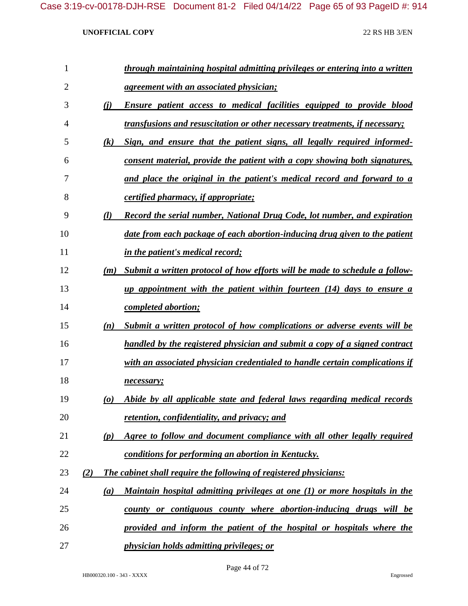| 1  |     |                                 | through maintaining hospital admitting privileges or entering into a written       |
|----|-----|---------------------------------|------------------------------------------------------------------------------------|
| 2  |     |                                 | <u>agreement with an associated physician;</u>                                     |
| 3  |     | (i)                             | Ensure patient access to medical facilities equipped to provide blood              |
| 4  |     |                                 | <u>transfusions and resuscitation or other necessary treatments, if necessary;</u> |
| 5  |     | $\left( k\right)$               | Sign, and ensure that the patient signs, all legally required informed-            |
| 6  |     |                                 | consent material, provide the patient with a copy showing both signatures,         |
| 7  |     |                                 | and place the original in the patient's medical record and forward to a            |
| 8  |     |                                 | <i>certified pharmacy, if appropriate;</i>                                         |
| 9  |     | $\mathcal{U}$                   | Record the serial number, National Drug Code, lot number, and expiration           |
| 10 |     |                                 | date from each package of each abortion-inducing drug given to the patient         |
| 11 |     |                                 | in the patient's medical record;                                                   |
| 12 |     |                                 | (m) Submit a written protocol of how efforts will be made to schedule a follow-    |
| 13 |     |                                 | up appointment with the patient within fourteen $(14)$ days to ensure a            |
| 14 |     |                                 | <i>completed abortion;</i>                                                         |
| 15 |     | (n)                             | Submit a written protocol of how complications or adverse events will be           |
| 16 |     |                                 | handled by the registered physician and submit a copy of a signed contract         |
| 17 |     |                                 | with an associated physician credentialed to handle certain complications if       |
| 18 |     |                                 | necessary;                                                                         |
| 19 |     | $\boldsymbol{\left( o \right)}$ | Abide by all applicable state and federal laws regarding medical records           |
| 20 |     |                                 | retention, confidentiality, and privacy; and                                       |
| 21 |     | (p)                             | Agree to follow and document compliance with all other legally required            |
| 22 |     |                                 | conditions for performing an abortion in Kentucky.                                 |
| 23 | (2) |                                 | The cabinet shall require the following of registered physicians:                  |
| 24 |     | (a)                             | Maintain hospital admitting privileges at one (1) or more hospitals in the         |
| 25 |     |                                 | county or contiguous county where abortion-inducing drugs will be                  |
| 26 |     |                                 | provided and inform the patient of the hospital or hospitals where the             |
| 27 |     |                                 | physician holds admitting privileges; or                                           |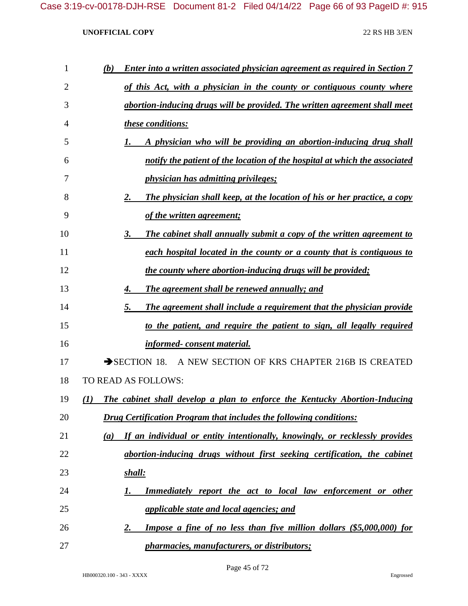| 1  | (b) | <b>Enter into a written associated physician agreement as required in Section 7</b> |
|----|-----|-------------------------------------------------------------------------------------|
| 2  |     | of this Act, with a physician in the county or contiguous county where              |
| 3  |     | abortion-inducing drugs will be provided. The written agreement shall meet          |
| 4  |     | these conditions:                                                                   |
| 5  |     | A physician who will be providing an abortion-inducing drug shall                   |
| 6  |     | notify the patient of the location of the hospital at which the associated          |
| 7  |     | physician has admitting privileges;                                                 |
| 8  |     | The physician shall keep, at the location of his or her practice, a copy<br>2.      |
| 9  |     | of the written agreement;                                                           |
| 10 |     | The cabinet shall annually submit a copy of the written agreement to<br>3.          |
| 11 |     | each hospital located in the county or a county that is contiguous to               |
| 12 |     | the county where abortion-inducing drugs will be provided;                          |
| 13 |     | The agreement shall be renewed annually; and<br>4.                                  |
| 14 |     | The agreement shall include a requirement that the physician provide<br>5.          |
| 15 |     | to the patient, and require the patient to sign, all legally required               |
| 16 |     | <i>informed-consent material.</i>                                                   |
| 17 |     | $\rightarrow$ SECTION 18.<br>A NEW SECTION OF KRS CHAPTER 216B IS CREATED           |
| 18 |     | TO READ AS FOLLOWS:                                                                 |
| 19 | (I) | The cabinet shall develop a plan to enforce the Kentucky Abortion-Inducing          |
| 20 |     | <b>Drug Certification Program that includes the following conditions:</b>           |
| 21 | (a) | If an individual or entity intentionally, knowingly, or recklessly provides         |
| 22 |     | abortion-inducing drugs without first seeking certification, the cabinet            |
| 23 |     | shall:                                                                              |
| 24 |     | <b>Immediately report the act to local law enforcement or other</b><br>1.           |
| 25 |     | <i>applicable state and local agencies; and</i>                                     |
| 26 |     | Impose a fine of no less than five million dollars (\$5,000,000) for<br><u>2.</u>   |
| 27 |     | <i>pharmacies, manufacturers, or distributors;</i>                                  |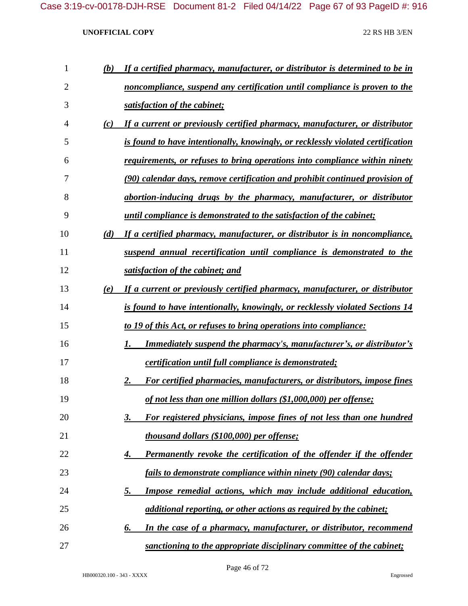| 1  | (b) | If a certified pharmacy, manufacturer, or distributor is determined to be in    |
|----|-----|---------------------------------------------------------------------------------|
| 2  |     | noncompliance, suspend any certification until compliance is proven to the      |
| 3  |     | satisfaction of the cabinet;                                                    |
| 4  | (c) | If a current or previously certified pharmacy, manufacturer, or distributor     |
| 5  |     | is found to have intentionally, knowingly, or recklessly violated certification |
| 6  |     | requirements, or refuses to bring operations into compliance within ninety      |
| 7  |     | (90) calendar days, remove certification and prohibit continued provision of    |
| 8  |     | abortion-inducing drugs by the pharmacy, manufacturer, or distributor           |
| 9  |     | <i>until compliance is demonstrated to the satisfaction of the cabinet;</i>     |
| 10 | (d) | If a certified pharmacy, manufacturer, or distributor is in noncompliance,      |
| 11 |     | suspend annual recertification until compliance is demonstrated to the          |
| 12 |     | satisfaction of the cabinet; and                                                |
| 13 | (e) | If a current or previously certified pharmacy, manufacturer, or distributor     |
| 14 |     | is found to have intentionally, knowingly, or recklessly violated Sections 14   |
| 15 |     | <u>to 19 of this Act, or refuses to bring operations into compliance:</u>       |
| 16 |     | <b>Immediately suspend the pharmacy's, manufacturer's, or distributor's</b>     |
| 17 |     | <i>certification until full compliance is demonstrated;</i>                     |
| 18 |     | For certified pharmacies, manufacturers, or distributors, impose fines<br>2.    |
| 19 |     | of not less than one million dollars (\$1,000,000) per offense;                 |
| 20 |     | For registered physicians, impose fines of not less than one hundred<br>3.      |
| 21 |     | thousand dollars (\$100,000) per offense;                                       |
| 22 |     | Permanently revoke the certification of the offender if the offender<br>4.      |
| 23 |     | fails to demonstrate compliance within ninety (90) calendar days;               |
| 24 |     | Impose remedial actions, which may include additional education,<br><u>5.</u>   |
| 25 |     | additional reporting, or other actions as required by the cabinet;              |
| 26 |     | In the case of a pharmacy, manufacturer, or distributor, recommend<br>6.        |
| 27 |     | sanctioning to the appropriate disciplinary committee of the cabinet;           |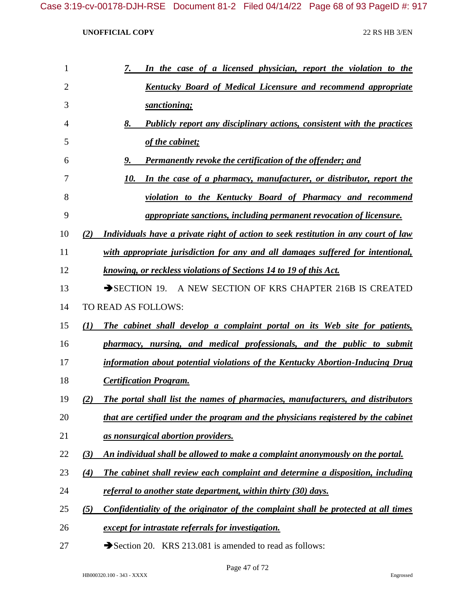| 7.<br>In the case of a licensed physician, report the violation to the                    |
|-------------------------------------------------------------------------------------------|
| <b>Kentucky Board of Medical Licensure and recommend appropriate</b>                      |
| sanctioning;                                                                              |
| Publicly report any disciplinary actions, consistent with the practices<br>8.             |
| of the cabinet;                                                                           |
| Permanently revoke the certification of the offender; and<br>9.                           |
| In the case of a pharmacy, manufacturer, or distributor, report the<br>10.                |
| violation to the Kentucky Board of Pharmacy and recommend                                 |
| <i>appropriate sanctions, including permanent revocation of licensure.</i>                |
| Individuals have a private right of action to seek restitution in any court of law<br>(2) |
| with appropriate jurisdiction for any and all damages suffered for intentional,           |
| knowing, or reckless violations of Sections 14 to 19 of this Act.                         |
| SECTION 19. A NEW SECTION OF KRS CHAPTER 216B IS CREATED                                  |
| TO READ AS FOLLOWS:                                                                       |
| The cabinet shall develop a complaint portal on its Web site for patients,<br>(1)         |
| pharmacy, nursing, and medical professionals, and the public to submit                    |
| information about potential violations of the Kentucky Abortion-Inducing Drug             |
| <b>Certification Program.</b>                                                             |
| The portal shall list the names of pharmacies, manufacturers, and distributors<br>(2)     |
| that are certified under the program and the physicians registered by the cabinet         |
| as nonsurgical abortion providers.                                                        |
| An individual shall be allowed to make a complaint anonymously on the portal.<br>(3)      |
| The cabinet shall review each complaint and determine a disposition, including<br>(4)     |
| referral to another state department, within thirty (30) days.                            |
| Confidentiality of the originator of the complaint shall be protected at all times<br>(5) |
| except for intrastate referrals for investigation.                                        |
|                                                                                           |

27 Section 20. KRS 213.081 is amended to read as follows: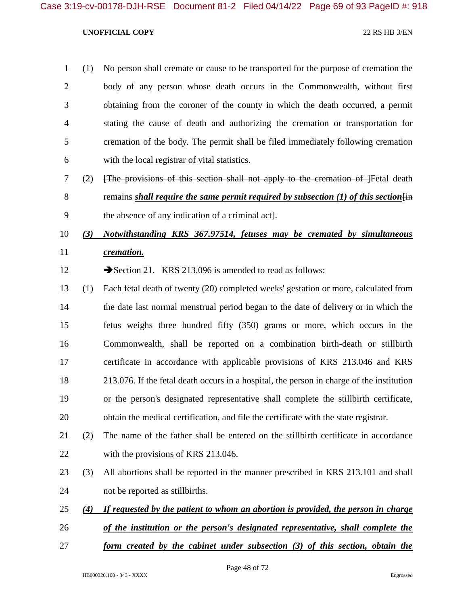- (1) No person shall cremate or cause to be transported for the purpose of cremation the body of any person whose death occurs in the Commonwealth, without first obtaining from the coroner of the county in which the death occurred, a permit stating the cause of death and authorizing the cremation or transportation for cremation of the body. The permit shall be filed immediately following cremation with the local registrar of vital statistics.
- (2) [The provisions of this section shall not apply to the cremation of ]Fetal death 8 remains *shall require the same permit required by subsection (1) of this section*  $\overline{f}$ the absence of any indication of a criminal act].
- *(3) Notwithstanding KRS 367.97514, fetuses may be cremated by simultaneous cremation.*
- 12 Section 21. KRS 213.096 is amended to read as follows:
- (1) Each fetal death of twenty (20) completed weeks' gestation or more, calculated from the date last normal menstrual period began to the date of delivery or in which the fetus weighs three hundred fifty (350) grams or more, which occurs in the Commonwealth, shall be reported on a combination birth-death or stillbirth certificate in accordance with applicable provisions of KRS 213.046 and KRS 213.076. If the fetal death occurs in a hospital, the person in charge of the institution or the person's designated representative shall complete the stillbirth certificate, obtain the medical certification, and file the certificate with the state registrar.
- (2) The name of the father shall be entered on the stillbirth certificate in accordance 22 with the provisions of KRS 213.046.
- (3) All abortions shall be reported in the manner prescribed in KRS 213.101 and shall not be reported as stillbirths.
- *(4) If requested by the patient to whom an abortion is provided, the person in charge*
- *of the institution or the person's designated representative, shall complete the*
- *form created by the cabinet under subsection (3) of this section, obtain the*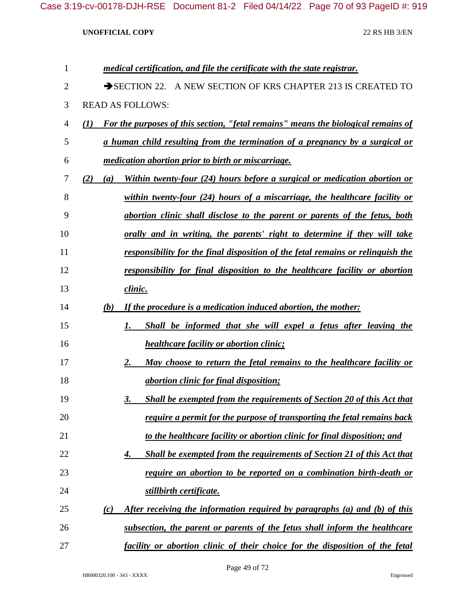| 1  | medical certification, and file the certificate with the state registrar.                       |
|----|-------------------------------------------------------------------------------------------------|
| 2  | SECTION 22. A NEW SECTION OF KRS CHAPTER 213 IS CREATED TO                                      |
| 3  | <b>READ AS FOLLOWS:</b>                                                                         |
| 4  | <b>For the purposes of this section, "fetal remains" means the biological remains of</b><br>(I) |
| 5  | <u>a human child resulting from the termination of a pregnancy by a surgical or</u>             |
| 6  | <i>medication abortion prior to birth or miscarriage.</i>                                       |
| 7  | Within twenty-four (24) hours before a surgical or medication abortion or<br>(2)<br>(a)         |
| 8  | within twenty-four $(24)$ hours of a miscarriage, the healthcare facility or                    |
| 9  | abortion clinic shall disclose to the parent or parents of the fetus, both                      |
| 10 | orally and in writing, the parents' right to determine if they will take                        |
| 11 | responsibility for the final disposition of the fetal remains or relinguish the                 |
| 12 | responsibility for final disposition to the healthcare facility or abortion                     |
| 13 | clinic.                                                                                         |
| 14 | If the procedure is a medication induced abortion, the mother:<br>(b)                           |
| 15 | Shall be informed that she will expel a fetus after leaving the<br>1.                           |
| 16 | <i>healthcare facility or abortion clinic;</i>                                                  |
| 17 | May choose to return the fetal remains to the healthcare facility or<br>2.                      |
| 18 | <i><u><b>abortion clinic for final disposition;</b></u></i>                                     |
| 19 | Shall be exempted from the requirements of Section 20 of this Act that<br>3.                    |
| 20 | require a permit for the purpose of transporting the fetal remains back                         |
| 21 | to the healthcare facility or abortion clinic for final disposition; and                        |
| 22 | <b>Shall be exempted from the requirements of Section 21 of this Act that</b><br>4.             |
| 23 | require an abortion to be reported on a combination birth-death or                              |
| 24 | stillbirth certificate.                                                                         |
| 25 | After receiving the information required by paragraphs (a) and (b) of this<br>(c)               |
| 26 | subsection, the parent or parents of the fetus shall inform the healthcare                      |
| 27 | facility or abortion clinic of their choice for the disposition of the fetal                    |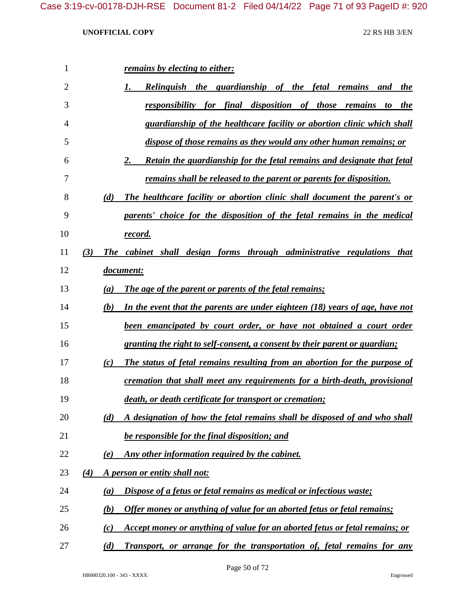| 1              |     |     | remains by electing to either:                                               |
|----------------|-----|-----|------------------------------------------------------------------------------|
| $\overline{2}$ |     |     | <b>Relinguish the guardianship of the fetal remains</b><br>and<br>the        |
| 3              |     |     | responsibility for final disposition of those remains<br>to the              |
| $\overline{4}$ |     |     | guardianship of the healthcare facility or abortion clinic which shall       |
| 5              |     |     | dispose of those remains as they would any other human remains; or           |
| 6              |     |     | Retain the guardianship for the fetal remains and designate that fetal<br>2. |
| 7              |     |     | <u>remains shall be released to the parent or parents for disposition.</u>   |
| 8              |     | (d) | The healthcare facility or abortion clinic shall document the parent's or    |
| 9              |     |     | parents' choice for the disposition of the fetal remains in the medical      |
| 10             |     |     | <u>record.</u>                                                               |
| 11             | (3) |     | The cabinet shall design forms through administrative regulations that       |
| 12             |     |     | document:                                                                    |
| 13             |     | (a) | The age of the parent or parents of the fetal remains;                       |
| 14             |     | (b) | In the event that the parents are under eighteen (18) years of age, have not |
| 15             |     |     | been emancipated by court order, or have not obtained a court order          |
| 16             |     |     | granting the right to self-consent, a consent by their parent or guardian;   |
| 17             |     | (c) | The status of fetal remains resulting from an abortion for the purpose of    |
| 18             |     |     | cremation that shall meet any requirements for a birth-death, provisional    |
| 19             |     |     | death, or death certificate for transport or cremation;                      |
| 20             |     | (d) | A designation of how the fetal remains shall be disposed of and who shall    |
| 21             |     |     | be responsible for the final disposition; and                                |
| 22             |     | (e) | Any other information required by the cabinet.                               |
| 23             | (4) |     | A person or entity shall not:                                                |
| 24             |     | (a) | Dispose of a fetus or fetal remains as medical or infectious waste;          |
| 25             |     | (b) | Offer money or anything of value for an aborted fetus or fetal remains;      |
| 26             |     | (c) | Accept money or anything of value for an aborted fetus or fetal remains; or  |
| 27             |     | (d) | Transport, or arrange for the transportation of, fetal remains for any       |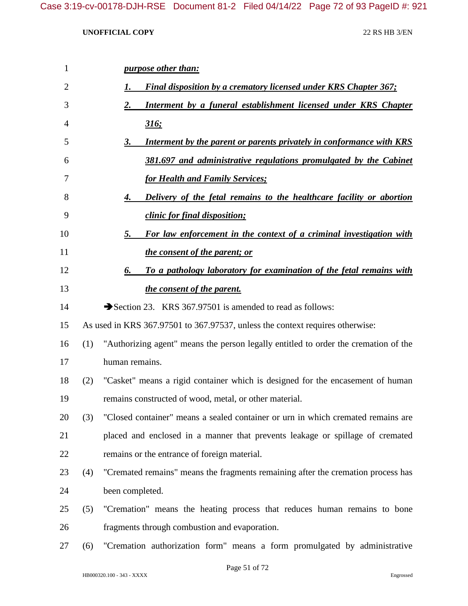| $\mathbf{1}$ |     | <i>purpose other than:</i>                                                          |
|--------------|-----|-------------------------------------------------------------------------------------|
| 2            |     | <b>Final disposition by a crematory licensed under KRS Chapter 367;</b><br>I.       |
| 3            |     | Interment by a funeral establishment licensed under KRS Chapter<br>2.               |
| 4            |     | <u>316;</u>                                                                         |
| 5            |     | Interment by the parent or parents privately in conformance with KRS<br>3.          |
| 6            |     | 381.697 and administrative regulations promulgated by the Cabinet                   |
| 7            |     | <b>for Health and Family Services;</b>                                              |
| 8            |     | Delivery of the fetal remains to the healthcare facility or abortion<br>4.          |
| 9            |     | clinic for final disposition;                                                       |
| 10           |     | For law enforcement in the context of a criminal investigation with<br>5.           |
| 11           |     | <i>the consent of the parent; or</i>                                                |
| 12           |     | To a pathology laboratory for examination of the fetal remains with<br>6.           |
| 13           |     | the consent of the parent.                                                          |
| 14           |     | Section 23. KRS 367.97501 is amended to read as follows:                            |
| 15           |     | As used in KRS 367.97501 to 367.97537, unless the context requires otherwise:       |
| 16           | (1) | "Authorizing agent" means the person legally entitled to order the cremation of the |
| 17           |     | human remains.                                                                      |
| 18           | (2) | "Casket" means a rigid container which is designed for the encasement of human      |
| 19           |     | remains constructed of wood, metal, or other material.                              |
| 20           | (3) | "Closed container" means a sealed container or urn in which cremated remains are    |
| 21           |     | placed and enclosed in a manner that prevents leakage or spillage of cremated       |
| 22           |     | remains or the entrance of foreign material.                                        |
| 23           | (4) | "Cremated remains" means the fragments remaining after the cremation process has    |
| 24           |     | been completed.                                                                     |
| 25           | (5) | "Cremation" means the heating process that reduces human remains to bone            |
| 26           |     | fragments through combustion and evaporation.                                       |
| 27           | (6) | "Cremation authorization form" means a form promulgated by administrative           |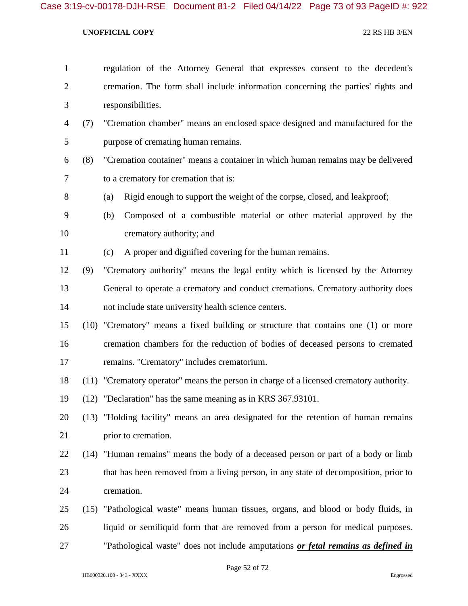| $\mathbf{1}$   |     | regulation of the Attorney General that expresses consent to the decedent's             |
|----------------|-----|-----------------------------------------------------------------------------------------|
| $\overline{2}$ |     | cremation. The form shall include information concerning the parties' rights and        |
| 3              |     | responsibilities.                                                                       |
| $\overline{4}$ | (7) | "Cremation chamber" means an enclosed space designed and manufactured for the           |
| 5              |     | purpose of cremating human remains.                                                     |
| 6              | (8) | "Cremation container" means a container in which human remains may be delivered         |
| 7              |     | to a crematory for cremation that is:                                                   |
| 8              |     | Rigid enough to support the weight of the corpse, closed, and leakproof;<br>(a)         |
| 9              |     | Composed of a combustible material or other material approved by the<br>(b)             |
| 10             |     | crematory authority; and                                                                |
| 11             |     | A proper and dignified covering for the human remains.<br>(c)                           |
| 12             | (9) | "Crematory authority" means the legal entity which is licensed by the Attorney          |
| 13             |     | General to operate a crematory and conduct cremations. Crematory authority does         |
| 14             |     | not include state university health science centers.                                    |
| 15             |     | (10) "Crematory" means a fixed building or structure that contains one (1) or more      |
| 16             |     | cremation chambers for the reduction of bodies of deceased persons to cremated          |
| 17             |     | remains. "Crematory" includes crematorium.                                              |
| 18             |     | (11) "Crematory operator" means the person in charge of a licensed crematory authority. |
| 19             |     | (12) "Declaration" has the same meaning as in KRS 367.93101.                            |
| 20             |     | (13) "Holding facility" means an area designated for the retention of human remains     |
| 21             |     | prior to cremation.                                                                     |
| 22             |     | (14) "Human remains" means the body of a deceased person or part of a body or limb      |
| 23             |     | that has been removed from a living person, in any state of decomposition, prior to     |
| 24             |     | cremation.                                                                              |
| 25             |     | (15) "Pathological waste" means human tissues, organs, and blood or body fluids, in     |
| 26             |     | liquid or semiliquid form that are removed from a person for medical purposes.          |
| 27             |     | "Pathological waste" does not include amputations or fetal remains as defined in        |

Page 52 of 72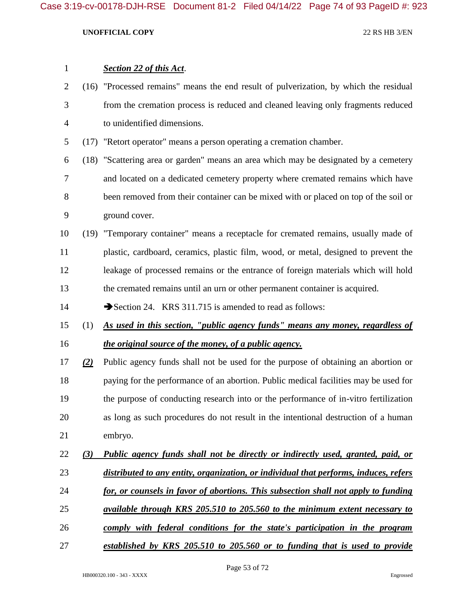| $\mathbf{1}$   |     | <b>Section 22 of this Act.</b>                                                        |
|----------------|-----|---------------------------------------------------------------------------------------|
| $\overline{2}$ |     | (16) "Processed remains" means the end result of pulverization, by which the residual |
| 3              |     | from the cremation process is reduced and cleaned leaving only fragments reduced      |
| $\overline{4}$ |     | to unidentified dimensions.                                                           |
| 5              |     | (17) "Retort operator" means a person operating a cremation chamber.                  |
| 6              |     | (18) "Scattering area or garden" means an area which may be designated by a cemetery  |
| 7              |     | and located on a dedicated cemetery property where cremated remains which have        |
| 8              |     | been removed from their container can be mixed with or placed on top of the soil or   |
| 9              |     | ground cover.                                                                         |
| 10             |     | (19) "Temporary container" means a receptacle for cremated remains, usually made of   |
| 11             |     | plastic, cardboard, ceramics, plastic film, wood, or metal, designed to prevent the   |
| 12             |     | leakage of processed remains or the entrance of foreign materials which will hold     |
| 13             |     | the cremated remains until an urn or other permanent container is acquired.           |
| 14             |     | Section 24. KRS 311.715 is amended to read as follows:                                |
| 15             | (1) | As used in this section, "public agency funds" means any money, regardless of         |
| 16             |     | the original source of the money, of a public agency.                                 |
| 17             | (2) | Public agency funds shall not be used for the purpose of obtaining an abortion or     |
| 18             |     | paying for the performance of an abortion. Public medical facilities may be used for  |
| 19             |     | the purpose of conducting research into or the performance of in-vitro fertilization  |
| 20             |     | as long as such procedures do not result in the intentional destruction of a human    |
| 21             |     | embryo.                                                                               |
| 22             | (3) | Public agency funds shall not be directly or indirectly used, granted, paid, or       |
| 23             |     | distributed to any entity, organization, or individual that performs, induces, refers |
| 24             |     | for, or counsels in favor of abortions. This subsection shall not apply to funding    |
| 25             |     | available through KRS 205.510 to 205.560 to the minimum extent necessary to           |
| 26             |     | comply with federal conditions for the state's participation in the program           |
| 27             |     | established by KRS 205.510 to 205.560 or to funding that is used to provide           |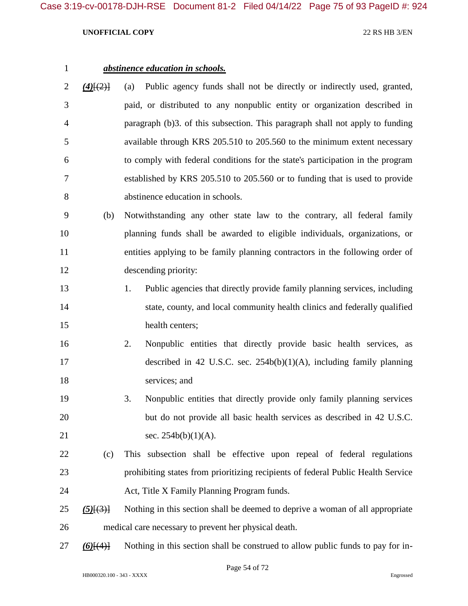# *abstinence education in schools. (4)*[(2)] (a) Public agency funds shall not be directly or indirectly used, granted, paid, or distributed to any nonpublic entity or organization described in paragraph (b)3. of this subsection. This paragraph shall not apply to funding available through KRS 205.510 to 205.560 to the minimum extent necessary to comply with federal conditions for the state's participation in the program

- established by KRS 205.510 to 205.560 or to funding that is used to provide abstinence education in schools.
- (b) Notwithstanding any other state law to the contrary, all federal family planning funds shall be awarded to eligible individuals, organizations, or entities applying to be family planning contractors in the following order of descending priority:
- 1. Public agencies that directly provide family planning services, including 14 state, county, and local community health clinics and federally qualified 15 health centers;
- 2. Nonpublic entities that directly provide basic health services, as described in 42 U.S.C. sec. 254b(b)(1)(A), including family planning services; and
- 3. Nonpublic entities that directly provide only family planning services but do not provide all basic health services as described in 42 U.S.C. 21 sec. 254b(b)(1)(A).
- (c) This subsection shall be effective upon repeal of federal regulations prohibiting states from prioritizing recipients of federal Public Health Service Act, Title X Family Planning Program funds.
- *(5)*[(3)] Nothing in this section shall be deemed to deprive a woman of all appropriate medical care necessary to prevent her physical death.
- *(6)*[(4)] Nothing in this section shall be construed to allow public funds to pay for in-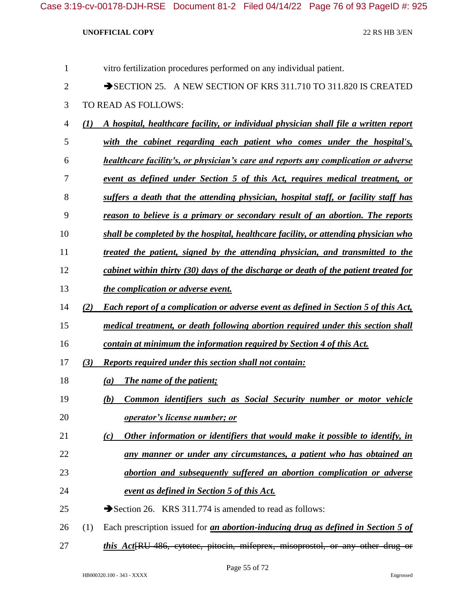| 1              | vitro fertilization procedures performed on any individual patient.                               |  |
|----------------|---------------------------------------------------------------------------------------------------|--|
| $\overline{2}$ | SECTION 25. A NEW SECTION OF KRS 311.710 TO 311.820 IS CREATED                                    |  |
| 3              | TO READ AS FOLLOWS:                                                                               |  |
| $\overline{4}$ | A hospital, healthcare facility, or individual physician shall file a written report<br>(I)       |  |
| 5              | with the cabinet regarding each patient who comes under the hospital's,                           |  |
| 6              | healthcare facility's, or physician's care and reports any complication or adverse                |  |
| 7              | event as defined under Section 5 of this Act, requires medical treatment, or                      |  |
| 8              | suffers a death that the attending physician, hospital staff, or facility staff has               |  |
| 9              | reason to believe is a primary or secondary result of an abortion. The reports                    |  |
| 10             | shall be completed by the hospital, healthcare facility, or attending physician who               |  |
| 11             | treated the patient, signed by the attending physician, and transmitted to the                    |  |
| 12             | cabinet within thirty (30) days of the discharge or death of the patient treated for              |  |
| 13             | the complication or adverse event.                                                                |  |
| 14             | <b>Each report of a complication or adverse event as defined in Section 5 of this Act,</b><br>(2) |  |
| 15             | medical treatment, or death following abortion required under this section shall                  |  |
| 16             | contain at minimum the information required by Section 4 of this Act.                             |  |
| 17             | <b>Reports required under this section shall not contain:</b><br>(3)                              |  |
| 18             | <b>The name of the patient;</b><br>(a)                                                            |  |
| 19             | (b) Common identifiers such as Social Security number or motor vehicle                            |  |
| 20             | <i>operator's license number; or</i>                                                              |  |
| 21             | Other information or identifiers that would make it possible to identify, in<br>$\left( c\right)$ |  |
| 22             | any manner or under any circumstances, a patient who has obtained an                              |  |
| 23             | abortion and subsequently suffered an abortion complication or adverse                            |  |
| 24             | event as defined in Section 5 of this Act.                                                        |  |
| 25             | Section 26. KRS 311.774 is amended to read as follows:                                            |  |
| 26             | Each prescription issued for <i>an abortion-inducing drug as defined in Section 5 of</i><br>(1)   |  |
|                |                                                                                                   |  |

*this Act*[RU-486, cytotec, pitocin, mifeprex, misoprostol, or any other drug or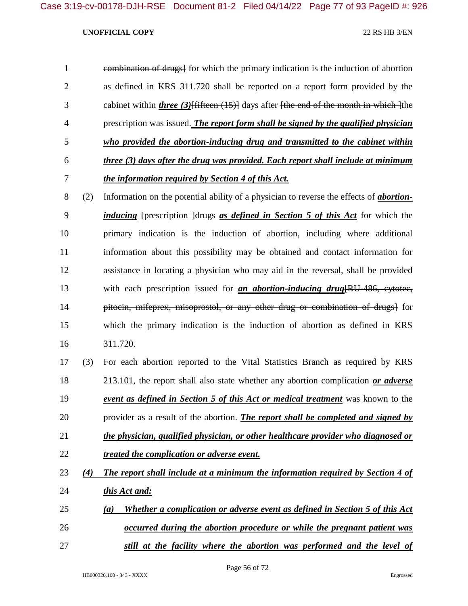| $\mathbf{1}$   |     | combination of drugs] for which the primary indication is the induction of abortion             |
|----------------|-----|-------------------------------------------------------------------------------------------------|
| $\overline{2}$ |     | as defined in KRS 311.720 shall be reported on a report form provided by the                    |
| 3              |     | cabinet within <i>three</i> $(3)$ fifteen $(15)$ days after fthe end of the month in which lthe |
| $\overline{4}$ |     | prescription was issued. The report form shall be signed by the qualified physician             |
| 5              |     | who provided the abortion-inducing drug and transmitted to the cabinet within                   |
| 6              |     | three (3) days after the drug was provided. Each report shall include at minimum                |
| 7              |     | the information required by Section 4 of this Act.                                              |
| 8              | (2) | Information on the potential ability of a physician to reverse the effects of <i>abortion</i> - |
| 9              |     | <i>inducing</i> [prescription ]drugs as defined in Section 5 of this Act for which the          |
| 10             |     | primary indication is the induction of abortion, including where additional                     |
| 11             |     | information about this possibility may be obtained and contact information for                  |
| 12             |     | assistance in locating a physician who may aid in the reversal, shall be provided               |
| 13             |     | with each prescription issued for <i>an abortion-inducing drug</i> [RU-486, cytotec,            |
| 14             |     | pitocin, mifeprex, misoprostol, or any other drug or combination of drugs} for                  |
| 15             |     | which the primary indication is the induction of abortion as defined in KRS                     |
| 16             |     | 311.720.                                                                                        |
| 17             | (3) | For each abortion reported to the Vital Statistics Branch as required by KRS                    |
| 18             |     | 213.101, the report shall also state whether any abortion complication or adverse               |
| 19             |     | event as defined in Section 5 of this Act or medical treatment was known to the                 |
| 20             |     | provider as a result of the abortion. <i>The report shall be completed and signed by</i>        |
| 21             |     | the physician, qualified physician, or other healthcare provider who diagnosed or               |
|                |     |                                                                                                 |

- *treated the complication or adverse event.*
- *(4) The report shall include at a minimum the information required by Section 4 of this Act and:*
- *(a) Whether a complication or adverse event as defined in Section 5 of this Act occurred during the abortion procedure or while the pregnant patient was*
- *still at the facility where the abortion was performed and the level of*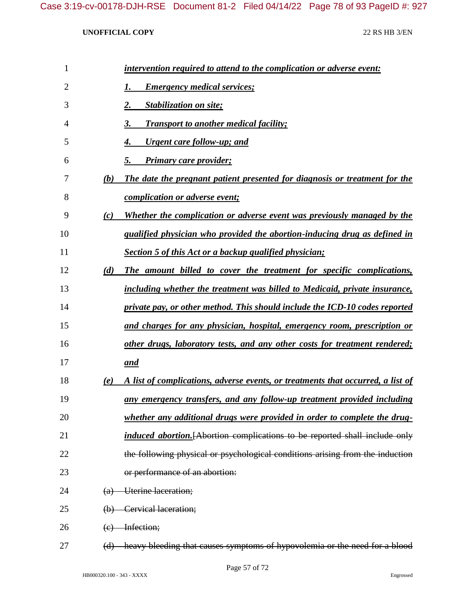| 1  |          | intervention required to attend to the complication or adverse event:              |
|----|----------|------------------------------------------------------------------------------------|
| 2  |          | <b>Emergency medical services;</b>                                                 |
| 3  |          | <b>Stabilization on site;</b><br>2.                                                |
| 4  |          | <b>Transport to another medical facility;</b><br>3.                                |
| 5  |          | <u><b>Urgent care follow-up; and</b></u><br>4.                                     |
| 6  |          | Primary care provider;<br>5.                                                       |
| 7  | (b)      | The date the pregnant patient presented for diagnosis or treatment for the         |
| 8  |          | <i>complication or adverse event;</i>                                              |
| 9  | (c)      | Whether the complication or adverse event was previously managed by the            |
| 10 |          | qualified physician who provided the abortion-inducing drug as defined in          |
| 11 |          | Section 5 of this Act or a backup qualified physician;                             |
| 12 | (d)      | The amount billed to cover the treatment for specific complications,               |
| 13 |          | including whether the treatment was billed to Medicaid, private insurance,         |
| 14 |          | private pay, or other method. This should include the ICD-10 codes reported        |
| 15 |          | and charges for any physician, hospital, emergency room, prescription or           |
| 16 |          | other drugs, laboratory tests, and any other costs for treatment rendered;         |
| 17 |          | <u>and</u>                                                                         |
| 18 | (e)      | A list of complications, adverse events, or treatments that occurred, a list of    |
| 19 |          | any emergency transfers, and any follow-up treatment provided including            |
| 20 |          | whether any additional drugs were provided in order to complete the drug-          |
| 21 |          | <i>induced abortion.</i> [Abortion complications to be reported shall include only |
| 22 |          | the following physical or psychological conditions arising from the induction      |
| 23 |          | or performance of an abortion:                                                     |
| 24 | (a)      | Uterine laceration;                                                                |
| 25 | $\Theta$ | Cervical laceration;                                                               |
| 26 | (e)      | Infection;                                                                         |
| 27 | (d)      | heavy bleeding that causes symptoms of hypovolemia or the need for a blood         |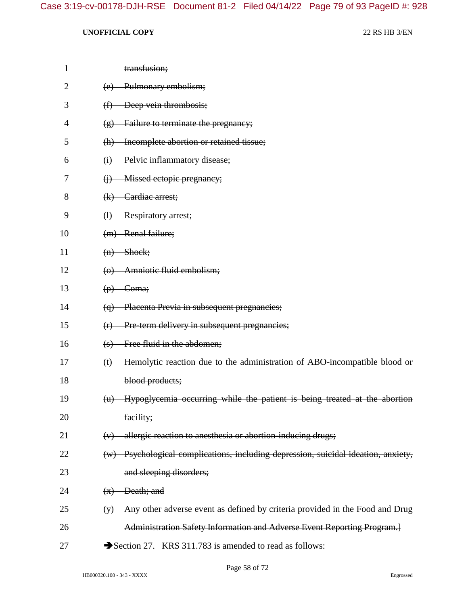| 1              | transfusion;                                                                                |
|----------------|---------------------------------------------------------------------------------------------|
| $\overline{2}$ | Pulmonary embolism;<br>(e)                                                                  |
| 3              | Deep vein thrombosis;<br>$\bigoplus$                                                        |
| 4              | Failure to terminate the pregnancy;<br>$\left( \frac{\alpha}{2} \right)$                    |
| 5              | (h) Incomplete abortion or retained tissue;                                                 |
| 6              | Pelvic inflammatory disease;<br>$\leftrightarrow$                                           |
| 7              | Missed ectopic pregnancy;<br>$\Theta$                                                       |
| 8              | $(k)$ Cardiac arrest;                                                                       |
| 9              | <b>Respiratory arrest;</b><br>$\oplus$                                                      |
| 10             | (m) Renal failure;                                                                          |
| 11             | $(n)$ Shock;                                                                                |
| 12             | (o) Amniotic fluid embolism;                                                                |
| 13             | $(p)$ Coma;                                                                                 |
| 14             | (q) Placenta Previa in subsequent pregnancies;                                              |
| 15             | Pre-term delivery in subsequent pregnancies;<br>(f)                                         |
| 16             | Free fluid in the abdomen;<br>$\left( s\right)$                                             |
| 17             | Hemolytic reaction due to the administration of ABO-incompatible blood or<br>(t)            |
| 18             | blood products;                                                                             |
| 19             | (u) Hypoglycemia occurring while the patient is being treated at the abortion               |
| 20             | facility;                                                                                   |
| 21             | allergic reaction to anesthesia or abortion-inducing drugs;<br>(v)                          |
| 22             | (w) Psychological complications, including depression, suicidal ideation, anxiety,          |
| 23             | and sleeping disorders;                                                                     |
| 24             | $(x)$ Death; and                                                                            |
| 25             | Any other adverse event as defined by criteria provided in the Food and Drug<br>$(\forall)$ |
| 26             | Administration Safety Information and Adverse Event Reporting Program.]                     |
| 27             | Section 27. KRS 311.783 is amended to read as follows:                                      |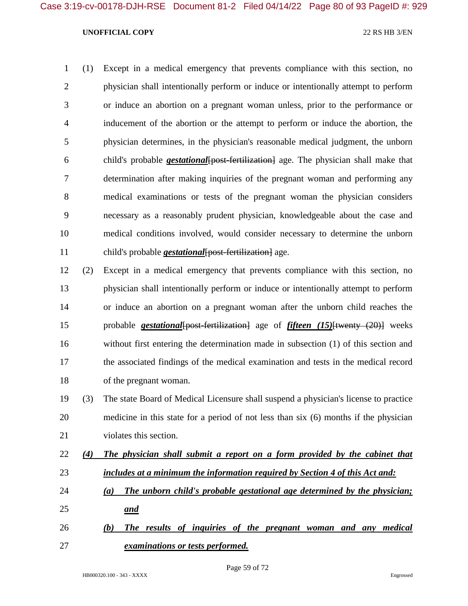(1) Except in a medical emergency that prevents compliance with this section, no physician shall intentionally perform or induce or intentionally attempt to perform or induce an abortion on a pregnant woman unless, prior to the performance or inducement of the abortion or the attempt to perform or induce the abortion, the physician determines, in the physician's reasonable medical judgment, the unborn child's probable *gestational*[post-fertilization] age. The physician shall make that determination after making inquiries of the pregnant woman and performing any medical examinations or tests of the pregnant woman the physician considers necessary as a reasonably prudent physician, knowledgeable about the case and medical conditions involved, would consider necessary to determine the unborn child's probable *gestational*[post-fertilization] age.

 (2) Except in a medical emergency that prevents compliance with this section, no physician shall intentionally perform or induce or intentionally attempt to perform or induce an abortion on a pregnant woman after the unborn child reaches the probable *gestational*[post-fertilization] age of *fifteen (15)*[twenty (20)] weeks without first entering the determination made in subsection (1) of this section and the associated findings of the medical examination and tests in the medical record of the pregnant woman.

 (3) The state Board of Medical Licensure shall suspend a physician's license to practice medicine in this state for a period of not less than six (6) months if the physician violates this section.

 *(4) The physician shall submit a report on a form provided by the cabinet that includes at a minimum the information required by Section 4 of this Act and:*

- *(a) The unborn child's probable gestational age determined by the physician; and*
- *(b) The results of inquiries of the pregnant woman and any medical examinations or tests performed.*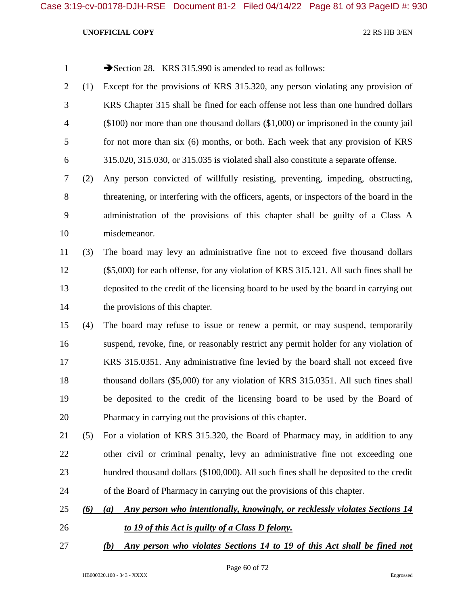| Section 28. KRS 315.990 is amended to read as follows: |  |
|--------------------------------------------------------|--|
|--------------------------------------------------------|--|

- (1) Except for the provisions of KRS 315.320, any person violating any provision of KRS Chapter 315 shall be fined for each offense not less than one hundred dollars (\$100) nor more than one thousand dollars (\$1,000) or imprisoned in the county jail for not more than six (6) months, or both. Each week that any provision of KRS 315.020, 315.030, or 315.035 is violated shall also constitute a separate offense.
- (2) Any person convicted of willfully resisting, preventing, impeding, obstructing, threatening, or interfering with the officers, agents, or inspectors of the board in the administration of the provisions of this chapter shall be guilty of a Class A misdemeanor.

# (3) The board may levy an administrative fine not to exceed five thousand dollars (\$5,000) for each offense, for any violation of KRS 315.121. All such fines shall be deposited to the credit of the licensing board to be used by the board in carrying out 14 the provisions of this chapter.

- (4) The board may refuse to issue or renew a permit, or may suspend, temporarily suspend, revoke, fine, or reasonably restrict any permit holder for any violation of KRS 315.0351. Any administrative fine levied by the board shall not exceed five thousand dollars (\$5,000) for any violation of KRS 315.0351. All such fines shall be deposited to the credit of the licensing board to be used by the Board of Pharmacy in carrying out the provisions of this chapter.
- (5) For a violation of KRS 315.320, the Board of Pharmacy may, in addition to any other civil or criminal penalty, levy an administrative fine not exceeding one hundred thousand dollars (\$100,000). All such fines shall be deposited to the credit of the Board of Pharmacy in carrying out the provisions of this chapter.
- *(6) (a) Any person who intentionally, knowingly, or recklessly violates Sections 14*
- *to 19 of this Act is guilty of a Class D felony.*
- *(b) Any person who violates Sections 14 to 19 of this Act shall be fined not*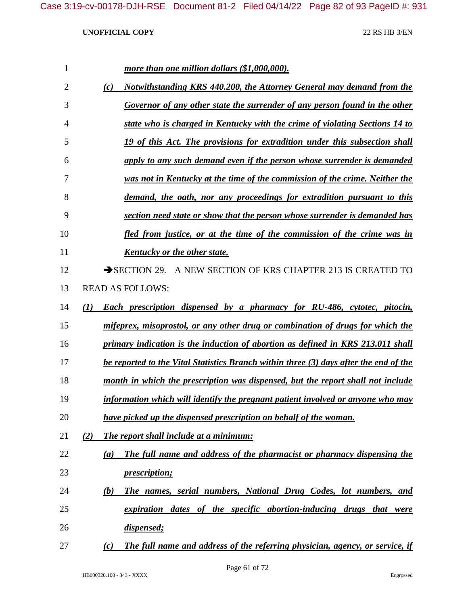| 1              | more than one million dollars (\$1,000,000).                                          |
|----------------|---------------------------------------------------------------------------------------|
| $\overline{2}$ | Notwithstanding KRS 440.200, the Attorney General may demand from the<br>(c)          |
| 3              | Governor of any other state the surrender of any person found in the other            |
| 4              | state who is charged in Kentucky with the crime of violating Sections 14 to           |
| 5              | 19 of this Act. The provisions for extradition under this subsection shall            |
| 6              | apply to any such demand even if the person whose surrender is demanded               |
| 7              | was not in Kentucky at the time of the commission of the crime. Neither the           |
| 8              | demand, the oath, nor any proceedings for extradition pursuant to this                |
| 9              | section need state or show that the person whose surrender is demanded has            |
| 10             | fled from justice, or at the time of the commission of the crime was in               |
| 11             | Kentucky or the other state.                                                          |
| 12             | SECTION 29. A NEW SECTION OF KRS CHAPTER 213 IS CREATED TO                            |
| 13             | <b>READ AS FOLLOWS:</b>                                                               |
| 14             | <b>Each prescription dispensed by a pharmacy for RU-486, cytotec, pitocin,</b><br>(1) |
| 15             | mifeprex, misoprostol, or any other drug or combination of drugs for which the        |
| 16             | primary indication is the induction of abortion as defined in KRS 213.011 shall       |
| 17             | be reported to the Vital Statistics Branch within three (3) days after the end of the |
| 18             | month in which the prescription was dispensed, but the report shall not include       |
| 19             | information which will identify the pregnant patient involved or anyone who may       |
| 20             | have picked up the dispensed prescription on behalf of the woman.                     |
| 21             | The report shall include at a minimum:<br>(2)                                         |
| 22             | The full name and address of the pharmacist or pharmacy dispensing the<br>(a)         |
| 23             | <i>prescription;</i>                                                                  |
| 24             | The names, serial numbers, National Drug Codes, lot numbers, and<br>(b)               |
| 25             | expiration dates of the specific abortion-inducing drugs that were                    |
| 26             | dispensed;                                                                            |
| 27             | The full name and address of the referring physician, agency, or service, if<br>(c)   |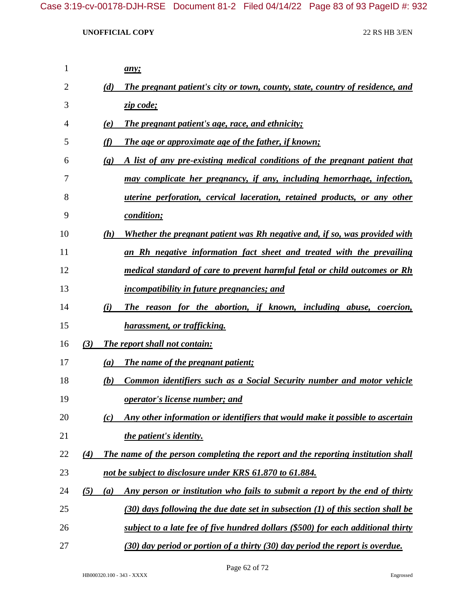| 1  |                             | any;                                                                               |
|----|-----------------------------|------------------------------------------------------------------------------------|
| 2  | (d)                         | The pregnant patient's city or town, county, state, country of residence, and      |
| 3  |                             | zip code;                                                                          |
| 4  | (e)                         | <b>The pregnant patient's age, race, and ethnicity;</b>                            |
| 5  | (f)                         | <b>The age or approximate age of the father, if known;</b>                         |
| 6  | $\left( \mathbf{g} \right)$ | A list of any pre-existing medical conditions of the pregnant patient that         |
| 7  |                             | may complicate her pregnancy, if any, including hemorrhage, infection,             |
| 8  |                             | <i>uterine perforation, cervical laceration, retained products, or any other</i>   |
| 9  |                             | condition;                                                                         |
| 10 | (h)                         | Whether the pregnant patient was Rh negative and, if so, was provided with         |
| 11 |                             | an Rh negative information fact sheet and treated with the prevailing              |
| 12 |                             | medical standard of care to prevent harmful fetal or child outcomes or Rh          |
| 13 |                             | <i>incompatibility in future pregnancies; and</i>                                  |
| 14 | (i)                         | The reason for the abortion, if known, including abuse, coercion,                  |
| 15 |                             | harassment, or trafficking.                                                        |
| 16 | (3)                         | <b>The report shall not contain:</b>                                               |
| 17 | (a)                         | The name of the pregnant patient;                                                  |
| 18 | (b)                         | <b>Common identifiers such as a Social Security number and motor vehicle</b>       |
| 19 |                             | <b><u>operator's license number; and</u></b>                                       |
| 20 | (c)                         | Any other information or identifiers that would make it possible to ascertain      |
| 21 |                             | the patient's identity.                                                            |
| 22 | (4)                         | The name of the person completing the report and the reporting institution shall   |
| 23 |                             | not be subject to disclosure under KRS 61.870 to 61.884.                           |
| 24 | (5)<br>(a)                  | <u>Any person or institution who fails to submit a report by the end of thirty</u> |
| 25 |                             | $(30)$ days following the due date set in subsection (1) of this section shall be  |
| 26 |                             | subject to a late fee of five hundred dollars (\$500) for each additional thirty   |
| 27 |                             | (30) day period or portion of a thirty (30) day period the report is overdue.      |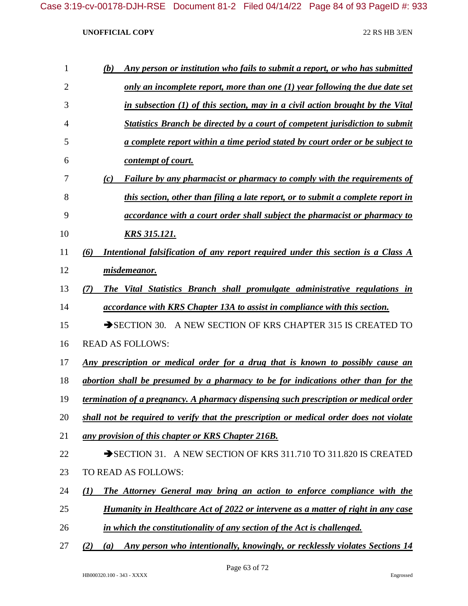| $\mathbf{1}$   | Any person or institution who fails to submit a report, or who has submitted<br>(b)         |
|----------------|---------------------------------------------------------------------------------------------|
| $\overline{2}$ | only an incomplete report, more than one $(1)$ year following the due date set              |
| 3              | in subsection (1) of this section, may in a civil action brought by the Vital               |
| 4              | <b>Statistics Branch be directed by a court of competent jurisdiction to submit</b>         |
| 5              | a complete report within a time period stated by court order or be subject to               |
| 6              | contempt of court.                                                                          |
| 7              | Failure by any pharmacist or pharmacy to comply with the requirements of<br>(c)             |
| 8              | this section, other than filing a late report, or to submit a complete report in            |
| 9              | accordance with a court order shall subject the pharmacist or pharmacy to                   |
| 10             | <u>KRS 315.121.</u>                                                                         |
| 11             | Intentional falsification of any report required under this section is a Class A<br>(6)     |
| 12             | misdemeanor.                                                                                |
| 13             | The Vital Statistics Branch shall promulgate administrative regulations in<br>(7)           |
| 14             | <i>accordance with KRS Chapter 13A to assist in compliance with this section.</i>           |
| 15             | A NEW SECTION OF KRS CHAPTER 315 IS CREATED TO<br>$\rightarrow$ SECTION 30.                 |
| 16             | <b>READ AS FOLLOWS:</b>                                                                     |
| 17             | Any prescription or medical order for a drug that is known to possibly cause an             |
| 18             | abortion shall be presumed by a pharmacy to be for indications other than for the           |
| 19             | termination of a pregnancy. A pharmacy dispensing such prescription or medical order        |
| 20             | shall not be required to verify that the prescription or medical order does not violate     |
| 21             | any provision of this chapter or KRS Chapter 216B.                                          |
| 22             | SECTION 31. A NEW SECTION OF KRS 311.710 TO 311.820 IS CREATED                              |
| 23             | TO READ AS FOLLOWS:                                                                         |
| 24             | The Attorney General may bring an action to enforce compliance with the<br>$\mathcal{L}(I)$ |
| 25             | Humanity in Healthcare Act of 2022 or intervene as a matter of right in any case            |
| 26             | in which the constitutionality of any section of the Act is challenged.                     |
|                |                                                                                             |

*(2) (a) Any person who intentionally, knowingly, or recklessly violates Sections 14*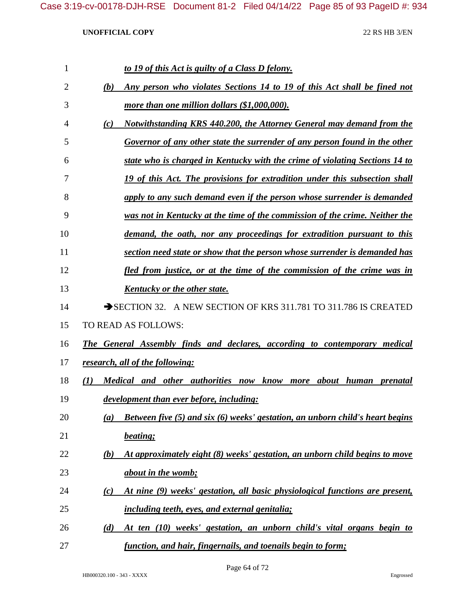| $\mathbf{1}$   | to 19 of this Act is guilty of a Class D felony.                                            |
|----------------|---------------------------------------------------------------------------------------------|
| $\overline{2}$ | Any person who violates Sections 14 to 19 of this Act shall be fined not<br>(b)             |
| 3              | more than one million dollars (\$1,000,000).                                                |
| 4              | Notwithstanding KRS 440.200, the Attorney General may demand from the<br>(c)                |
| 5              | Governor of any other state the surrender of any person found in the other                  |
| 6              | state who is charged in Kentucky with the crime of violating Sections 14 to                 |
| 7              | 19 of this Act. The provisions for extradition under this subsection shall                  |
| 8              | apply to any such demand even if the person whose surrender is demanded                     |
| 9              | was not in Kentucky at the time of the commission of the crime. Neither the                 |
| 10             | demand, the oath, nor any proceedings for extradition pursuant to this                      |
| 11             | section need state or show that the person whose surrender is demanded has                  |
| 12             | fled from justice, or at the time of the commission of the crime was in                     |
| 13             | Kentucky or the other state.                                                                |
| 14             | SECTION 32. A NEW SECTION OF KRS 311.781 TO 311.786 IS CREATED                              |
| 15             | TO READ AS FOLLOWS:                                                                         |
| 16             | <b>The General Assembly finds and declares, according to contemporary medical</b>           |
| 17             | research, all of the following:                                                             |
| 18             | Medical and other authorities now know more about human prenatal<br>(I)                     |
| 19             | development than ever before, including:                                                    |
| 20             | <b>Between five (5) and six (6) weeks' gestation, an unborn child's heart begins</b><br>(a) |
| 21             | beating;                                                                                    |
| 22             | At approximately eight (8) weeks' gestation, an unborn child begins to move<br>(b)          |
| 23             | about in the womb;                                                                          |
| 24             | At nine (9) weeks' gestation, all basic physiological functions are present,<br>(c)         |
| 25             | <i>including teeth, eyes, and external genitalia;</i>                                       |
| 26             | At ten (10) weeks' gestation, an unborn child's vital organs begin to<br>(d)                |
| 27             | function, and hair, fingernails, and toenails begin to form;                                |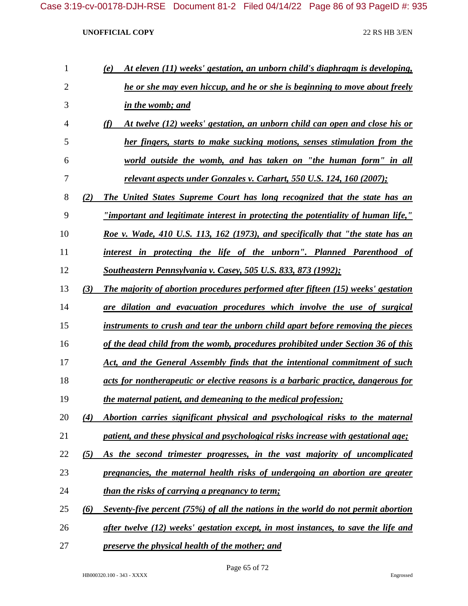| 1              |          | At eleven (11) weeks' gestation, an unborn child's diaphragm is developing,<br>(e) |
|----------------|----------|------------------------------------------------------------------------------------|
| $\overline{2}$ |          | he or she may even hiccup, and he or she is beginning to move about freely         |
| 3              |          | in the womb; and                                                                   |
| 4              |          | (f)<br>At twelve (12) weeks' gestation, an unborn child can open and close his or  |
| 5              |          | her fingers, starts to make sucking motions, senses stimulation from the           |
| 6              |          | world outside the womb, and has taken on "the human form" in all                   |
| 7              |          | <u>relevant aspects under Gonzales v. Carhart, 550 U.S. 124, 160 (2007);</u>       |
| 8              | (2)      | The United States Supreme Court has long recognized that the state has an          |
| 9              |          | "important and legitimate interest in protecting the potentiality of human life,"  |
| 10             |          | Roe v. Wade, 410 U.S. 113, 162 (1973), and specifically that "the state has an     |
| 11             |          | interest in protecting the life of the unborn". Planned Parenthood of              |
| 12             |          | <b>Southeastern Pennsylvania v. Casey, 505 U.S. 833, 873 (1992);</b>               |
| 13             | (3)      | The majority of abortion procedures performed after fifteen (15) weeks' gestation  |
| 14             |          | are dilation and evacuation procedures which involve the use of surgical           |
| 15             |          | instruments to crush and tear the unborn child apart before removing the pieces    |
| 16             |          | of the dead child from the womb, procedures prohibited under Section 36 of this    |
| 17             |          | Act, and the General Assembly finds that the intentional commitment of such        |
| 18             |          | acts for nontherapeutic or elective reasons is a barbaric practice, dangerous for  |
| 19             |          | the maternal patient, and demeaning to the medical profession;                     |
| 20             | (4)      | Abortion carries significant physical and psychological risks to the maternal      |
| 21             |          | patient, and these physical and psychological risks increase with gestational age; |
| 22             | (5)      | As the second trimester progresses, in the vast majority of uncomplicated          |
| 23             |          | pregnancies, the maternal health risks of undergoing an abortion are greater       |
| 24             |          | <i>than the risks of carrying a pregnancy to term;</i>                             |
| 25             | $\omega$ | Seventy-five percent (75%) of all the nations in the world do not permit abortion  |
| 26             |          | after twelve (12) weeks' gestation except, in most instances, to save the life and |
| 27             |          | preserve the physical health of the mother; and                                    |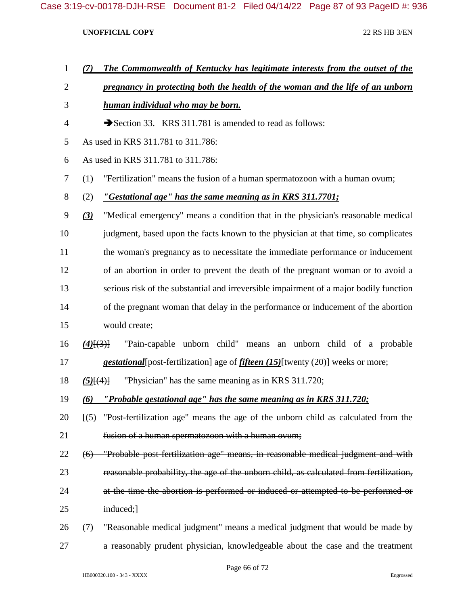- *(7) The Commonwealth of Kentucky has legitimate interests from the outset of the*
- *pregnancy in protecting both the health of the woman and the life of an unborn*
- *human individual who may be born.*
- 4 Section 33. KRS 311.781 is amended to read as follows:
- As used in KRS 311.781 to 311.786:
- As used in KRS 311.781 to 311.786:
- (1) "Fertilization" means the fusion of a human spermatozoon with a human ovum;
- (2) *"Gestational age" has the same meaning as in KRS 311.7701;*
- *(3)* "Medical emergency" means a condition that in the physician's reasonable medical judgment, based upon the facts known to the physician at that time, so complicates the woman's pregnancy as to necessitate the immediate performance or inducement of an abortion in order to prevent the death of the pregnant woman or to avoid a serious risk of the substantial and irreversible impairment of a major bodily function of the pregnant woman that delay in the performance or inducement of the abortion would create;
- *(4)*[(3)] "Pain-capable unborn child" means an unborn child of a probable *gestational*[post-fertilization] age of *fifteen (15)*[twenty (20)] weeks or more;
- *(5)*[(4)] "Physician" has the same meaning as in KRS 311.720;

*(6) "Probable gestational age" has the same meaning as in KRS 311.720;*

- [(5) "Post-fertilization age" means the age of the unborn child as calculated from the fusion of a human spermatozoon with a human ovum;
- (6) "Probable post-fertilization age" means, in reasonable medical judgment and with reasonable probability, the age of the unborn child, as calculated from fertilization, at the time the abortion is performed or induced or attempted to be performed or 25 induced;
- (7) "Reasonable medical judgment" means a medical judgment that would be made by a reasonably prudent physician, knowledgeable about the case and the treatment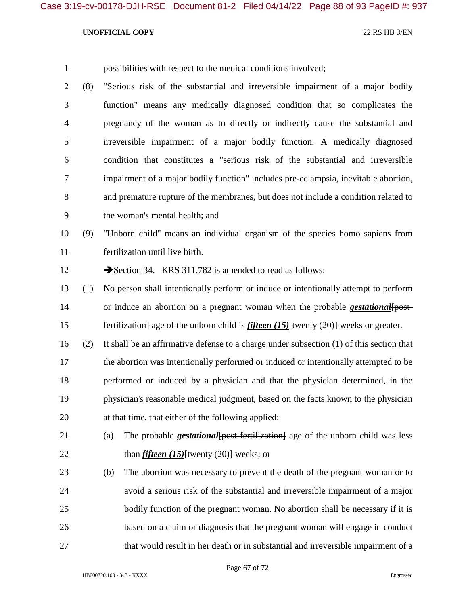- possibilities with respect to the medical conditions involved;
- (8) "Serious risk of the substantial and irreversible impairment of a major bodily function" means any medically diagnosed condition that so complicates the pregnancy of the woman as to directly or indirectly cause the substantial and irreversible impairment of a major bodily function. A medically diagnosed condition that constitutes a "serious risk of the substantial and irreversible impairment of a major bodily function" includes pre-eclampsia, inevitable abortion, and premature rupture of the membranes, but does not include a condition related to the woman's mental health; and

 (9) "Unborn child" means an individual organism of the species homo sapiens from fertilization until live birth.

12 Section 34. KRS 311.782 is amended to read as follows:

- (1) No person shall intentionally perform or induce or intentionally attempt to perform 14 or induce an abortion on a pregnant woman when the probable *gestational* [post-**fertilization** age of the unborn child is *fifteen* (15) {twenty (20)} weeks or greater.
- (2) It shall be an affirmative defense to a charge under subsection (1) of this section that 17 the abortion was intentionally performed or induced or intentionally attempted to be performed or induced by a physician and that the physician determined, in the physician's reasonable medical judgment, based on the facts known to the physician at that time, that either of the following applied:
- (a) The probable *gestational*[post-fertilization] age of the unborn child was less 22 than *fifteen (15)*<sup>{twenty (20)}</sup> weeks; or
- (b) The abortion was necessary to prevent the death of the pregnant woman or to avoid a serious risk of the substantial and irreversible impairment of a major 25 bodily function of the pregnant woman. No abortion shall be necessary if it is based on a claim or diagnosis that the pregnant woman will engage in conduct that would result in her death or in substantial and irreversible impairment of a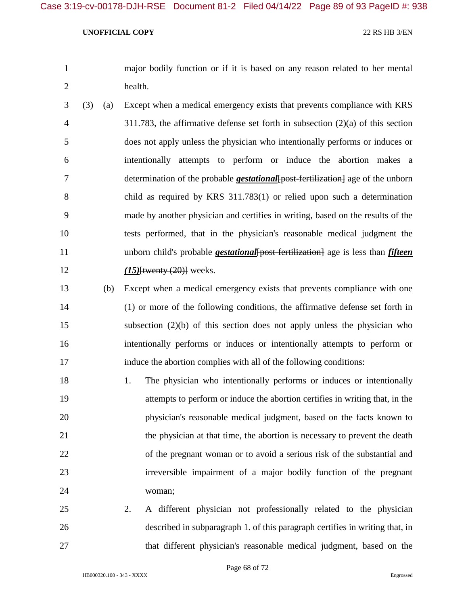- major bodily function or if it is based on any reason related to her mental health.
- (3) (a) Except when a medical emergency exists that prevents compliance with KRS 311.783, the affirmative defense set forth in subsection (2)(a) of this section does not apply unless the physician who intentionally performs or induces or intentionally attempts to perform or induce the abortion makes a determination of the probable *gestational*[post-fertilization] age of the unborn child as required by KRS 311.783(1) or relied upon such a determination made by another physician and certifies in writing, based on the results of the tests performed, that in the physician's reasonable medical judgment the 11 unborn child's probable *gestational* [post-fertilization] age is less than *fifteen (15)*[twenty (20)] weeks.
- (b) Except when a medical emergency exists that prevents compliance with one (1) or more of the following conditions, the affirmative defense set forth in subsection (2)(b) of this section does not apply unless the physician who intentionally performs or induces or intentionally attempts to perform or induce the abortion complies with all of the following conditions:
- 18 1. The physician who intentionally performs or induces or intentionally attempts to perform or induce the abortion certifies in writing that, in the physician's reasonable medical judgment, based on the facts known to the physician at that time, the abortion is necessary to prevent the death 22 of the pregnant woman or to avoid a serious risk of the substantial and irreversible impairment of a major bodily function of the pregnant woman;
- 2. A different physician not professionally related to the physician described in subparagraph 1. of this paragraph certifies in writing that, in that different physician's reasonable medical judgment, based on the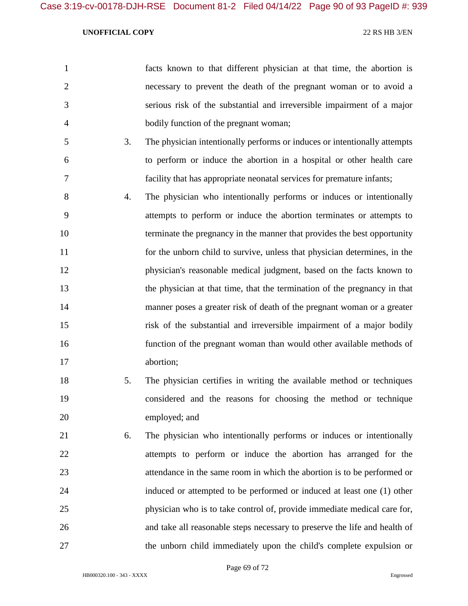|                | facts known to that different physician at that time, the abortion is  |
|----------------|------------------------------------------------------------------------|
| 2              | necessary to prevent the death of the pregnant woman or to avoid a     |
| 3              | serious risk of the substantial and irreversible impairment of a major |
| $\overline{4}$ | bodily function of the pregnant woman;                                 |

- 3. The physician intentionally performs or induces or intentionally attempts to perform or induce the abortion in a hospital or other health care facility that has appropriate neonatal services for premature infants;
- 4. The physician who intentionally performs or induces or intentionally attempts to perform or induce the abortion terminates or attempts to terminate the pregnancy in the manner that provides the best opportunity for the unborn child to survive, unless that physician determines, in the physician's reasonable medical judgment, based on the facts known to 13 the physician at that time, that the termination of the pregnancy in that manner poses a greater risk of death of the pregnant woman or a greater risk of the substantial and irreversible impairment of a major bodily function of the pregnant woman than would other available methods of abortion;
- 5. The physician certifies in writing the available method or techniques considered and the reasons for choosing the method or technique employed; and
- 6. The physician who intentionally performs or induces or intentionally attempts to perform or induce the abortion has arranged for the attendance in the same room in which the abortion is to be performed or induced or attempted to be performed or induced at least one (1) other physician who is to take control of, provide immediate medical care for, and take all reasonable steps necessary to preserve the life and health of the unborn child immediately upon the child's complete expulsion or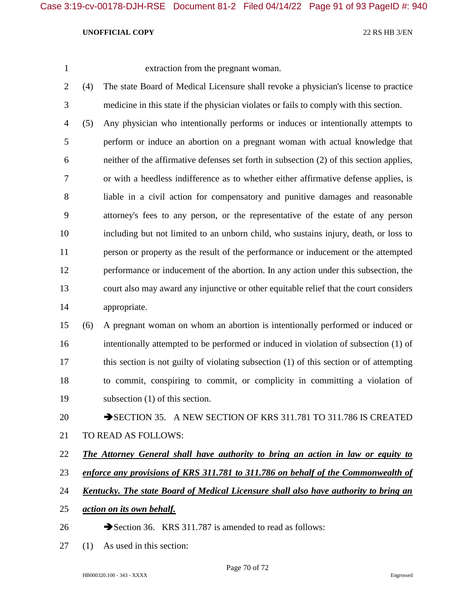extraction from the pregnant woman.

 (4) The state Board of Medical Licensure shall revoke a physician's license to practice medicine in this state if the physician violates or fails to comply with this section.

 (5) Any physician who intentionally performs or induces or intentionally attempts to perform or induce an abortion on a pregnant woman with actual knowledge that neither of the affirmative defenses set forth in subsection (2) of this section applies, or with a heedless indifference as to whether either affirmative defense applies, is liable in a civil action for compensatory and punitive damages and reasonable attorney's fees to any person, or the representative of the estate of any person including but not limited to an unborn child, who sustains injury, death, or loss to person or property as the result of the performance or inducement or the attempted performance or inducement of the abortion. In any action under this subsection, the court also may award any injunctive or other equitable relief that the court considers appropriate.

 (6) A pregnant woman on whom an abortion is intentionally performed or induced or intentionally attempted to be performed or induced in violation of subsection (1) of this section is not guilty of violating subsection (1) of this section or of attempting to commit, conspiring to commit, or complicity in committing a violation of subsection (1) of this section.

20 SECTION 35. A NEW SECTION OF KRS 311.781 TO 311.786 IS CREATED TO READ AS FOLLOWS:

## *The Attorney General shall have authority to bring an action in law or equity to*

- *enforce any provisions of KRS 311.781 to 311.786 on behalf of the Commonwealth of*
- *Kentucky. The state Board of Medical Licensure shall also have authority to bring an*
- *action on its own behalf.*
- 26 Section 36. KRS 311.787 is amended to read as follows:
- (1) As used in this section: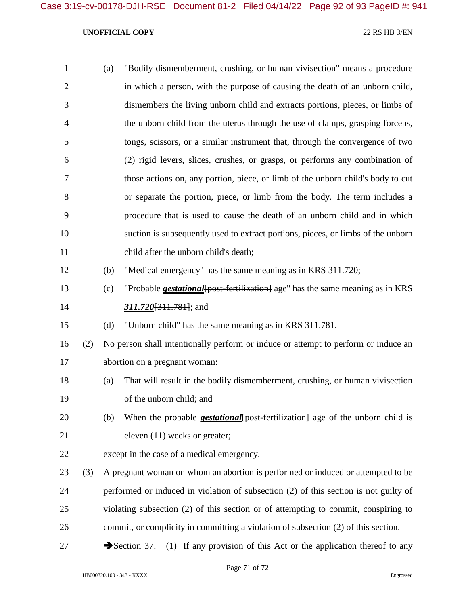| $\mathbf{1}$   |     | (a) | "Bodily dismemberment, crushing, or human vivisection" means a procedure                    |
|----------------|-----|-----|---------------------------------------------------------------------------------------------|
| $\overline{2}$ |     |     | in which a person, with the purpose of causing the death of an unborn child,                |
| 3              |     |     | dismembers the living unborn child and extracts portions, pieces, or limbs of               |
| $\overline{4}$ |     |     | the unborn child from the uterus through the use of clamps, grasping forceps,               |
| 5              |     |     | tongs, scissors, or a similar instrument that, through the convergence of two               |
| 6              |     |     | (2) rigid levers, slices, crushes, or grasps, or performs any combination of                |
| 7              |     |     | those actions on, any portion, piece, or limb of the unborn child's body to cut             |
| 8              |     |     | or separate the portion, piece, or limb from the body. The term includes a                  |
| 9              |     |     | procedure that is used to cause the death of an unborn child and in which                   |
| 10             |     |     | suction is subsequently used to extract portions, pieces, or limbs of the unborn            |
| 11             |     |     | child after the unborn child's death;                                                       |
| 12             |     | (b) | "Medical emergency" has the same meaning as in KRS 311.720;                                 |
| 13             |     | (c) | "Probable <i>gestational</i> [post-fertilization] age" has the same meaning as in KRS       |
| 14             |     |     | $311.720[311.781]$ ; and                                                                    |
| 15             |     | (d) | "Unborn child" has the same meaning as in KRS 311.781.                                      |
| 16             | (2) |     | No person shall intentionally perform or induce or attempt to perform or induce an          |
| 17             |     |     | abortion on a pregnant woman:                                                               |
| 18             |     | (a) | That will result in the bodily dismemberment, crushing, or human vivisection                |
| 19             |     |     | of the unborn child; and                                                                    |
| 20             |     | (b) | When the probable <b><i>gestational</i></b> {post-fertilization} age of the unborn child is |
| 21             |     |     | eleven (11) weeks or greater;                                                               |
| 22             |     |     | except in the case of a medical emergency.                                                  |
| 23             | (3) |     | A pregnant woman on whom an abortion is performed or induced or attempted to be             |
| 24             |     |     | performed or induced in violation of subsection (2) of this section is not guilty of        |
| 25             |     |     | violating subsection (2) of this section or of attempting to commit, conspiring to          |

commit, or complicity in committing a violation of subsection (2) of this section.

27 Section 37. (1) If any provision of this Act or the application thereof to any